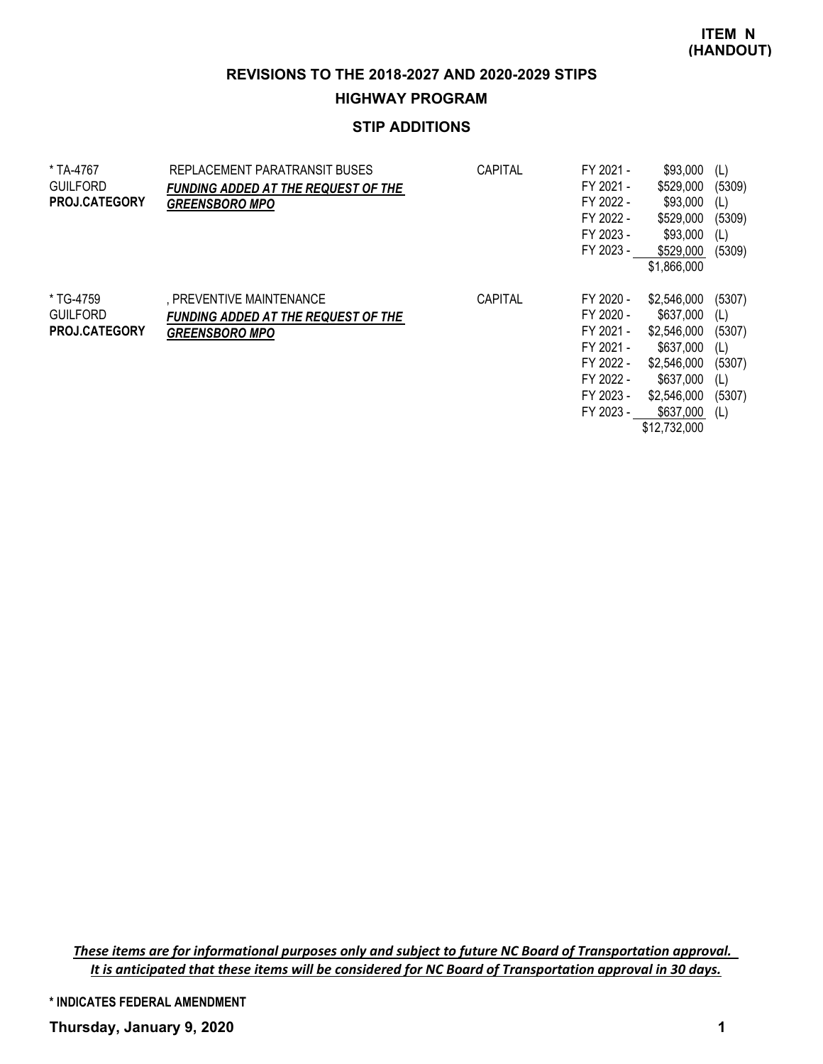**ITEM N (HANDOUT)**

**REVISIONS TO THE 2018-2027 AND 2020-2029 STIPS**

### **HIGHWAY PROGRAM**

# **STIP ADDITIONS**

| * TA-4767<br><b>GUILFORD</b><br><b>PROJ.CATEGORY</b> | REPLACEMENT PARATRANSIT BUSES<br><b>FUNDING ADDED AT THE REQUEST OF THE</b><br><b>GREENSBORO MPO</b> | CAPITAL        | FY 2021 -<br>FY 2021 -<br>FY 2022 -<br>FY 2022 -<br>FY 2023 -<br>FY 2023 -                           | \$93,000<br>\$529,000<br>\$93,000<br>\$529,000<br>\$93,000<br>\$529,000<br>\$1,866,000                                       | (L)<br>(5309)<br>(L)<br>(5309)<br>(L)<br>(5309)                  |
|------------------------------------------------------|------------------------------------------------------------------------------------------------------|----------------|------------------------------------------------------------------------------------------------------|------------------------------------------------------------------------------------------------------------------------------|------------------------------------------------------------------|
| * TG-4759<br><b>GUILFORD</b><br><b>PROJ.CATEGORY</b> | , PREVENTIVE MAINTENANCE<br><b>FUNDING ADDED AT THE REQUEST OF THE</b><br><b>GREENSBORO MPO</b>      | <b>CAPITAL</b> | FY 2020 -<br>FY 2020 -<br>FY 2021 -<br>FY 2021 -<br>FY 2022 -<br>FY 2022 -<br>FY 2023 -<br>FY 2023 - | \$2,546,000<br>\$637,000<br>\$2,546,000<br>\$637,000<br>\$2,546,000<br>\$637,000<br>\$2,546,000<br>\$637,000<br>\$12,732,000 | (5307)<br>(L)<br>(5307)<br>(L)<br>(5307)<br>(L)<br>(5307)<br>(L) |

*These items are for informational purposes only and subject to future NC Board of Transportation approval. It is anticipated that these items will be considered for NC Board of Transportation approval in 30 days.*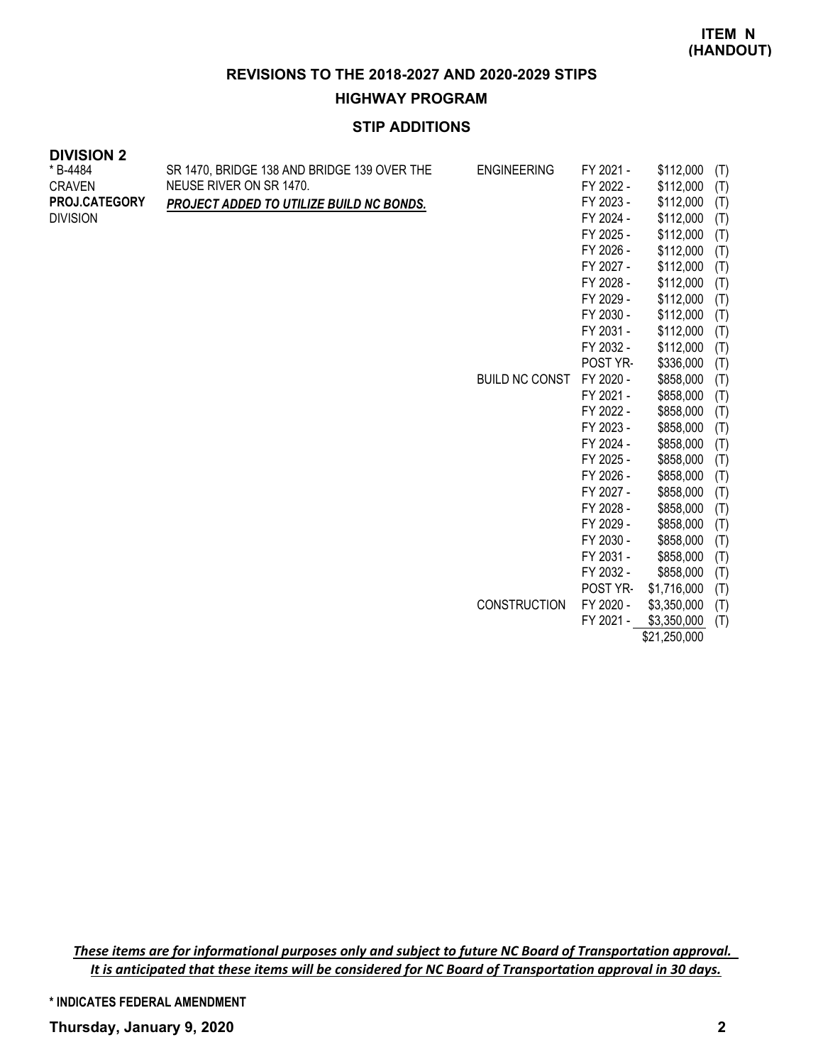#### **HIGHWAY PROGRAM**

# **STIP ADDITIONS**

| <b>DIVISION 2</b>    |                                             |                       |           |           |     |
|----------------------|---------------------------------------------|-----------------------|-----------|-----------|-----|
| * B-4484             | SR 1470, BRIDGE 138 AND BRIDGE 139 OVER THE | <b>ENGINEERING</b>    | FY 2021 - | \$112,000 | (T) |
| <b>CRAVEN</b>        | NEUSE RIVER ON SR 1470.                     |                       | FY 2022 - | \$112,000 | (T) |
| <b>PROJ.CATEGORY</b> | PROJECT ADDED TO UTILIZE BUILD NC BONDS.    |                       | FY 2023 - | \$112,000 | (T) |
| <b>DIVISION</b>      |                                             |                       | FY 2024 - | \$112,000 | (T) |
|                      |                                             |                       | FY 2025 - | \$112,000 | (T) |
|                      |                                             |                       | FY 2026 - | \$112,000 | (T) |
|                      |                                             |                       | FY 2027 - | \$112,000 | (T) |
|                      |                                             |                       | FY 2028 - | \$112,000 | (T) |
|                      |                                             |                       | FY 2029 - | \$112,000 | (T) |
|                      |                                             |                       | FY 2030 - | \$112,000 | (T) |
|                      |                                             |                       | FY 2031 - | \$112,000 | (T) |
|                      |                                             |                       | FY 2032 - | \$112,000 | (T) |
|                      |                                             |                       | POST YR-  | \$336,000 | (T) |
|                      |                                             | <b>BUILD NC CONST</b> | FY 2020 - | \$858,000 | (T) |
|                      |                                             |                       | FY 2021 - | \$858,000 | (T) |
|                      |                                             |                       | FY 2022 - | \$858,000 | (T) |
|                      |                                             |                       | FY 2023 - | \$858,000 | (T) |
|                      |                                             |                       | FY 2024 - | \$858,000 | (T) |
|                      |                                             |                       | FY 2025 - | \$858,000 | (T) |
|                      |                                             |                       | FY 2026 - | \$858,000 | (T) |
|                      |                                             |                       | FY 2027 - | \$858,000 | (T) |
|                      |                                             |                       | FY 2028 - | \$858,000 | (T) |
|                      |                                             |                       | FY 2029 - | \$858,000 | (T) |
|                      |                                             |                       | LA JUJU   | CRER NNN  | (T) |

|                     | FY 2029 - | \$858,000   | (T) |
|---------------------|-----------|-------------|-----|
|                     | FY 2030 - | \$858,000   | (T) |
|                     | FY 2031 - | \$858,000   | (T) |
|                     | FY 2032 - | \$858,000   | (T) |
|                     | POST YR-  | \$1,716,000 | (T) |
| <b>CONSTRUCTION</b> | FY 2020 - | \$3,350,000 | (T) |
|                     | FY 2021 - | \$3,350,000 | (T) |
|                     |           |             |     |

\$21,250,000

*These items are for informational purposes only and subject to future NC Board of Transportation approval. It is anticipated that these items will be considered for NC Board of Transportation approval in 30 days.*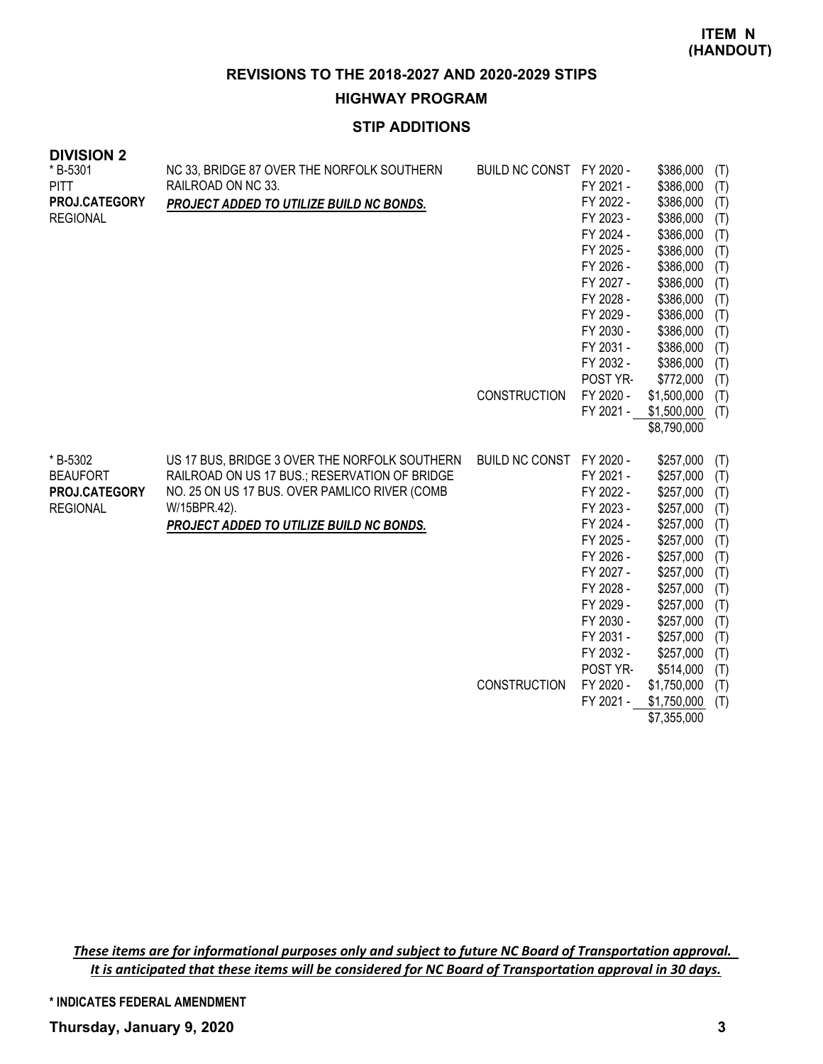**HIGHWAY PROGRAM**

# **STIP ADDITIONS**

| <b>DIVISIUN 2</b><br>* B-5301<br><b>PITT</b><br>PROJ.CATEGORY<br><b>REGIONAL</b> | NC 33, BRIDGE 87 OVER THE NORFOLK SOUTHERN<br>RAILROAD ON NC 33.<br>PROJECT ADDED TO UTILIZE BUILD NC BONDS.                                                                                                | BUILD NC CONST FY 2020 -<br><b>CONSTRUCTION</b> | FY 2021 -<br>FY 2022 -<br>FY 2023 -<br>FY 2024 -<br>FY 2025 -<br>FY 2026 -<br>FY 2027 -<br>FY 2028 -<br>FY 2029 -<br>FY 2030 -<br>FY 2031 -<br>FY 2032 -<br>POST YR-<br>FY 2020 -<br>FY 2021 - | \$386,000<br>\$386,000<br>\$386,000<br>\$386,000<br>\$386,000<br>\$386,000<br>\$386,000<br>\$386,000<br>\$386,000<br>\$386,000<br>\$386,000<br>\$386,000<br>\$386,000<br>\$772,000<br>\$1,500,000<br>\$1,500,000                               | (T)<br>(T)<br>(T)<br>(T)<br>(T)<br>(T)<br>(T)<br>(T)<br>(T)<br>(T)<br>(T)<br>(T)<br>(T)<br>(T)<br>(T)<br>(T) |
|----------------------------------------------------------------------------------|-------------------------------------------------------------------------------------------------------------------------------------------------------------------------------------------------------------|-------------------------------------------------|------------------------------------------------------------------------------------------------------------------------------------------------------------------------------------------------|------------------------------------------------------------------------------------------------------------------------------------------------------------------------------------------------------------------------------------------------|--------------------------------------------------------------------------------------------------------------|
| * B-5302<br><b>BEAUFORT</b><br>PROJ.CATEGORY<br><b>REGIONAL</b>                  | US 17 BUS, BRIDGE 3 OVER THE NORFOLK SOUTHERN<br>RAILROAD ON US 17 BUS.; RESERVATION OF BRIDGE<br>NO. 25 ON US 17 BUS. OVER PAMLICO RIVER (COMB<br>W/15BPR.42).<br>PROJECT ADDED TO UTILIZE BUILD NC BONDS. | BUILD NC CONST FY 2020 -<br><b>CONSTRUCTION</b> | FY 2021 -<br>FY 2022 -<br>FY 2023 -<br>FY 2024 -<br>FY 2025 -<br>FY 2026 -<br>FY 2027 -<br>FY 2028 -<br>FY 2029 -<br>FY 2030 -<br>FY 2031 -<br>FY 2032 -<br>POST YR-<br>FY 2020 -<br>FY 2021 - | \$8,790,000<br>\$257,000<br>\$257,000<br>\$257,000<br>\$257,000<br>\$257,000<br>\$257,000<br>\$257,000<br>\$257,000<br>\$257,000<br>\$257,000<br>\$257,000<br>\$257,000<br>\$257,000<br>\$514,000<br>\$1,750,000<br>\$1,750,000<br>\$7,355,000 | (T)<br>(T)<br>(T)<br>(T)<br>(T)<br>(T)<br>(T)<br>(T)<br>(T)<br>(T)<br>(T)<br>(T)<br>(T)<br>(T)<br>(T)<br>(T) |

*These items are for informational purposes only and subject to future NC Board of Transportation approval. It is anticipated that these items will be considered for NC Board of Transportation approval in 30 days.*

**DIVISION 2**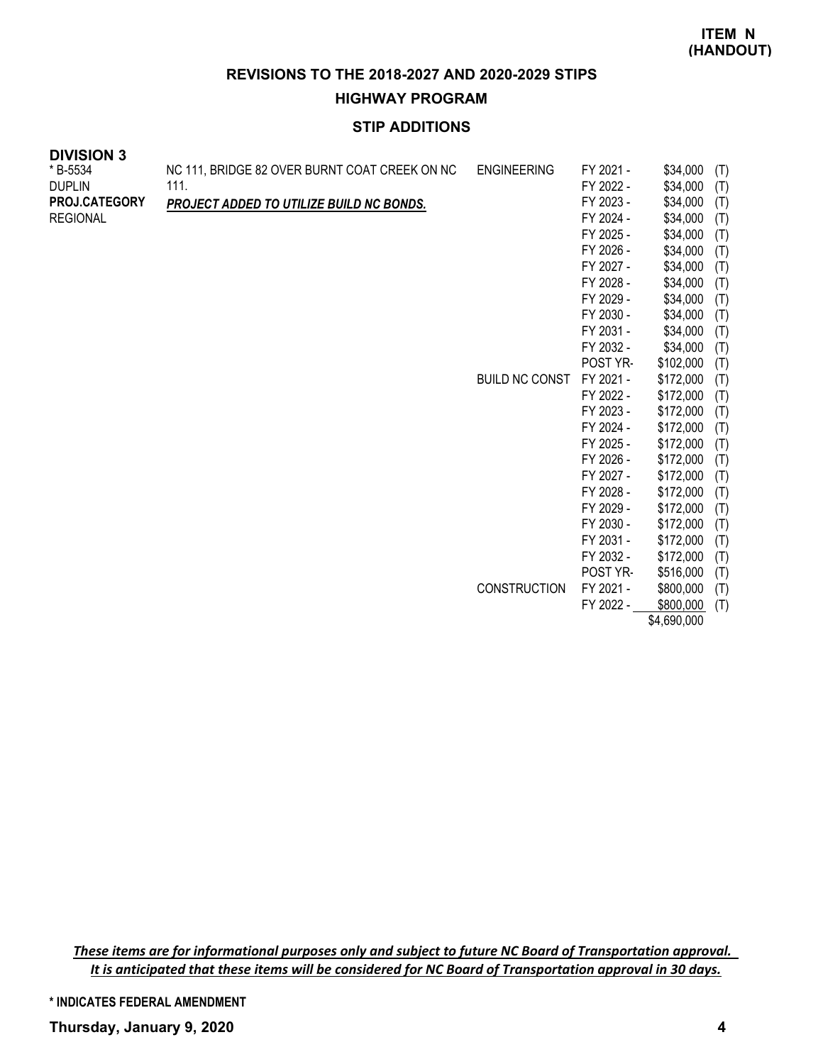**HIGHWAY PROGRAM**

# **STIP ADDITIONS**

| <b>DIVISION 3</b>    |                                                 |                       |           |                  |  |
|----------------------|-------------------------------------------------|-----------------------|-----------|------------------|--|
| * B-5534             | NC 111, BRIDGE 82 OVER BURNT COAT CREEK ON NC   | <b>ENGINEERING</b>    | FY 2021 - | \$34,000<br>(T)  |  |
| <b>DUPLIN</b>        | 111.                                            |                       | FY 2022 - | \$34,000<br>(T)  |  |
| <b>PROJ.CATEGORY</b> | <b>PROJECT ADDED TO UTILIZE BUILD NC BONDS.</b> |                       | FY 2023 - | \$34,000<br>(T)  |  |
| <b>REGIONAL</b>      |                                                 |                       | FY 2024 - | \$34,000<br>(T)  |  |
|                      |                                                 |                       | FY 2025 - | \$34,000<br>(T)  |  |
|                      |                                                 |                       | FY 2026 - | \$34,000<br>(T)  |  |
|                      |                                                 |                       | FY 2027 - | \$34,000<br>(T)  |  |
|                      |                                                 |                       | FY 2028 - | \$34,000<br>(T)  |  |
|                      |                                                 |                       | FY 2029 - | \$34,000<br>(T)  |  |
|                      |                                                 |                       | FY 2030 - | \$34,000<br>(T)  |  |
|                      |                                                 |                       | FY 2031 - | \$34,000<br>(T)  |  |
|                      |                                                 |                       | FY 2032 - | \$34,000<br>(T)  |  |
|                      |                                                 |                       | POST YR-  | \$102,000<br>(T) |  |
|                      |                                                 | <b>BUILD NC CONST</b> | FY 2021 - | \$172,000<br>(T) |  |
|                      |                                                 |                       | FY 2022 - | \$172,000<br>(T) |  |
|                      |                                                 |                       | FY 2023 - | \$172,000<br>(T) |  |
|                      |                                                 |                       | FY 2024 - | \$172,000<br>(T) |  |
|                      |                                                 |                       | FY 2025 - | \$172,000<br>(T) |  |
|                      |                                                 |                       | FY 2026 - | \$172,000<br>(T) |  |
|                      |                                                 |                       | FY 2027 - | \$172,000<br>(T) |  |
|                      |                                                 |                       | FY 2028 - | \$172,000<br>(T) |  |
|                      |                                                 |                       | FY 2029 - | \$172,000<br>(T) |  |
|                      |                                                 |                       | FY 2030 - | \$172,000<br>(T) |  |
|                      |                                                 |                       | FY 2031 - | \$172,000<br>(T) |  |
|                      |                                                 |                       | FY 2032 - | \$172,000<br>(T) |  |
|                      |                                                 |                       | POST YR-  | \$516,000<br>(T) |  |
|                      |                                                 | <b>CONSTRUCTION</b>   | FY 2021 - | \$800,000<br>(T) |  |
|                      |                                                 |                       | FY 2022 - | \$800,000<br>(T) |  |

\$4,690,000

*These items are for informational purposes only and subject to future NC Board of Transportation approval. It is anticipated that these items will be considered for NC Board of Transportation approval in 30 days.*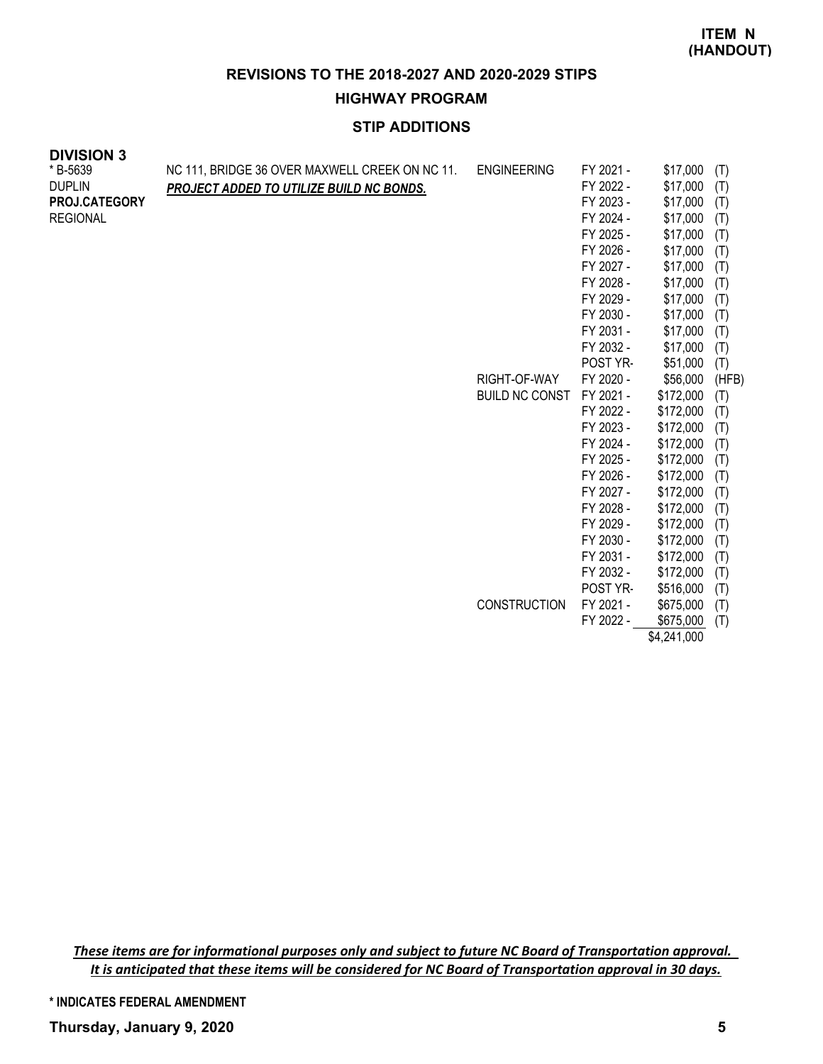**HIGHWAY PROGRAM**

# **STIP ADDITIONS**

| * B-5639        | NC 111, BRIDGE 36 OVER MAXWELL CREEK ON NC 11.  | <b>ENGINEERING</b>    | FY 2021 - | \$17,000    | (T)   |
|-----------------|-------------------------------------------------|-----------------------|-----------|-------------|-------|
| <b>DUPLIN</b>   | <b>PROJECT ADDED TO UTILIZE BUILD NC BONDS.</b> |                       | FY 2022 - | \$17,000    | (T)   |
| PROJ.CATEGORY   |                                                 |                       | FY 2023 - | \$17,000    | (T)   |
| <b>REGIONAL</b> |                                                 |                       | FY 2024 - | \$17,000    | (T)   |
|                 |                                                 |                       | FY 2025 - | \$17,000    | (T)   |
|                 |                                                 |                       | FY 2026 - | \$17,000    | (T)   |
|                 |                                                 |                       | FY 2027 - | \$17,000    | (T)   |
|                 |                                                 |                       | FY 2028 - | \$17,000    | (T)   |
|                 |                                                 |                       | FY 2029 - | \$17,000    | (T)   |
|                 |                                                 |                       | FY 2030 - | \$17,000    | (T)   |
|                 |                                                 |                       | FY 2031 - | \$17,000    | (T)   |
|                 |                                                 |                       | FY 2032 - | \$17,000    | (T)   |
|                 |                                                 |                       | POST YR-  | \$51,000    | (T)   |
|                 |                                                 | RIGHT-OF-WAY          | FY 2020 - | \$56,000    | (HFB) |
|                 |                                                 | <b>BUILD NC CONST</b> | FY 2021 - | \$172,000   | (T)   |
|                 |                                                 |                       | FY 2022 - | \$172,000   | (T)   |
|                 |                                                 |                       | FY 2023 - | \$172,000   | (T)   |
|                 |                                                 |                       | FY 2024 - | \$172,000   | (T)   |
|                 |                                                 |                       | FY 2025 - | \$172,000   | (T)   |
|                 |                                                 |                       | FY 2026 - | \$172,000   | (T)   |
|                 |                                                 |                       | FY 2027 - | \$172,000   | (T)   |
|                 |                                                 |                       | FY 2028 - | \$172,000   | (T)   |
|                 |                                                 |                       | FY 2029 - | \$172,000   | (T)   |
|                 |                                                 |                       | FY 2030 - | \$172,000   | (T)   |
|                 |                                                 |                       | FY 2031 - | \$172,000   | (T)   |
|                 |                                                 |                       | FY 2032 - | \$172,000   | (T)   |
|                 |                                                 |                       | POST YR-  | \$516,000   | (T)   |
|                 |                                                 | <b>CONSTRUCTION</b>   | FY 2021 - | \$675,000   | (T)   |
|                 |                                                 |                       | FY 2022 - | \$675,000   | (T)   |
|                 |                                                 |                       |           | \$4,241,000 |       |

*These items are for informational purposes only and subject to future NC Board of Transportation approval. It is anticipated that these items will be considered for NC Board of Transportation approval in 30 days.*

**\* INDICATES FEDERAL AMENDMENT**

**DIVISION 3**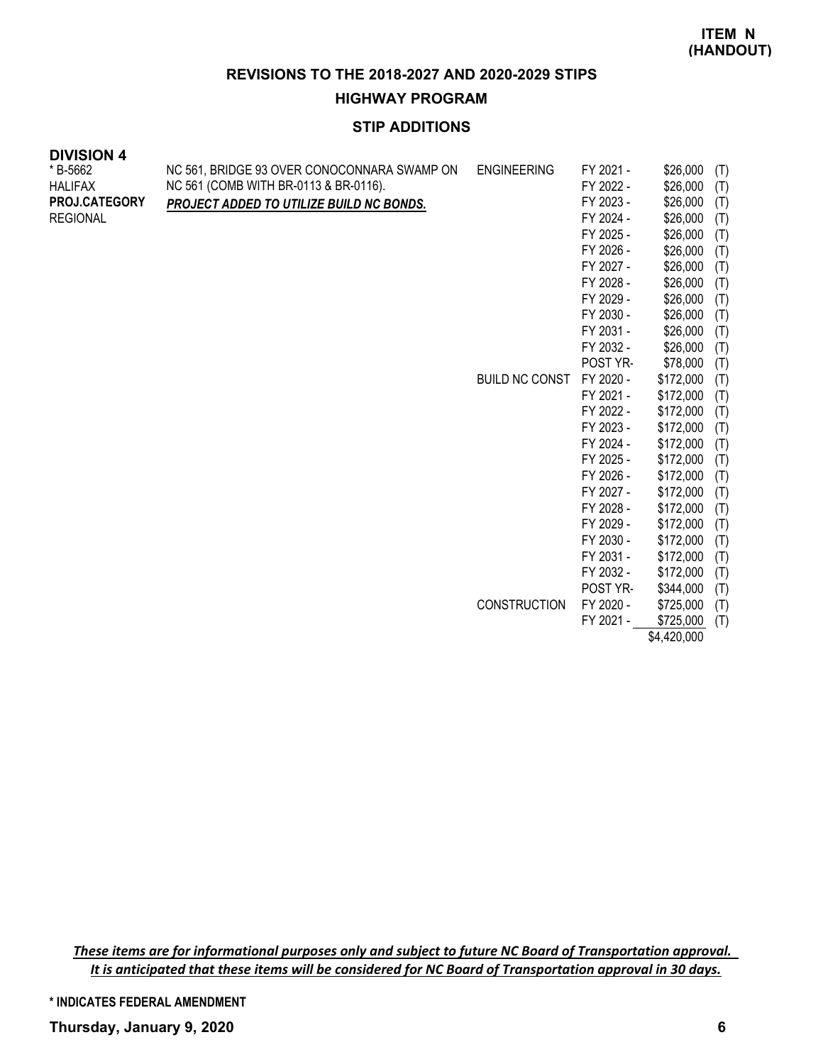#### **HIGHWAY PROGRAM**

# **STIP ADDITIONS**

| <b>DIVISION 4</b> |  |
|-------------------|--|
| * B-5662          |  |

| * B-5662        | NC 561, BRIDGE 93 OVER CONOCONNARA SWAMP ON | <b>ENGINEERING</b>    | FY 2021 - | \$26,000  | (T) |
|-----------------|---------------------------------------------|-----------------------|-----------|-----------|-----|
| <b>HALIFAX</b>  | NC 561 (COMB WITH BR-0113 & BR-0116).       |                       | FY 2022 - | \$26,000  | (T) |
| PROJ.CATEGORY   | PROJECT ADDED TO UTILIZE BUILD NC BONDS.    |                       | FY 2023 - | \$26,000  | (T) |
| <b>REGIONAL</b> |                                             |                       | FY 2024 - | \$26,000  | (T) |
|                 |                                             |                       | FY 2025 - | \$26,000  | (T) |
|                 |                                             |                       | FY 2026 - | \$26,000  | (T) |
|                 |                                             |                       | FY 2027 - | \$26,000  | (T) |
|                 |                                             |                       | FY 2028 - | \$26,000  | (T) |
|                 |                                             |                       | FY 2029 - | \$26,000  | (T) |
|                 |                                             |                       | FY 2030 - | \$26,000  | (T) |
|                 |                                             |                       | FY 2031 - | \$26,000  | (T) |
|                 |                                             |                       | FY 2032 - | \$26,000  | (T) |
|                 |                                             |                       | POST YR-  | \$78,000  | (T) |
|                 |                                             | <b>BUILD NC CONST</b> | FY 2020 - | \$172,000 | (T) |
|                 |                                             |                       | FY 2021 - | \$172,000 | (T) |
|                 |                                             |                       | FY 2022 - | \$172,000 | (T) |
|                 |                                             |                       | FY 2023 - | \$172,000 | (T) |
|                 |                                             |                       | FY 2024 - | \$172,000 | (T) |
|                 |                                             |                       | FY 2025 - | \$172,000 | (T) |
|                 |                                             |                       | FY 2026 - | \$172,000 | (T) |
|                 |                                             |                       | FY 2027 - | \$172,000 | (T) |
|                 |                                             |                       | FY 2028 - | \$172,000 | (T) |
|                 |                                             |                       | FY 2029 - | \$172,000 | (T) |
|                 |                                             |                       | FY 2030 - | \$172,000 | (T) |
|                 |                                             |                       | FY 2031 - | \$172,000 | (T) |
|                 |                                             |                       | FY 2032 - | \$172,000 | (T) |
|                 |                                             |                       | POST YR-  | \$344,000 | (T) |
|                 |                                             | <b>CONSTRUCTION</b>   | FY 2020 - | \$725,000 | (T) |
|                 |                                             |                       | FY 2021 - | \$725,000 | (T) |

\$4,420,000

*These items are for informational purposes only and subject to future NC Board of Transportation approval. It is anticipated that these items will be considered for NC Board of Transportation approval in 30 days.*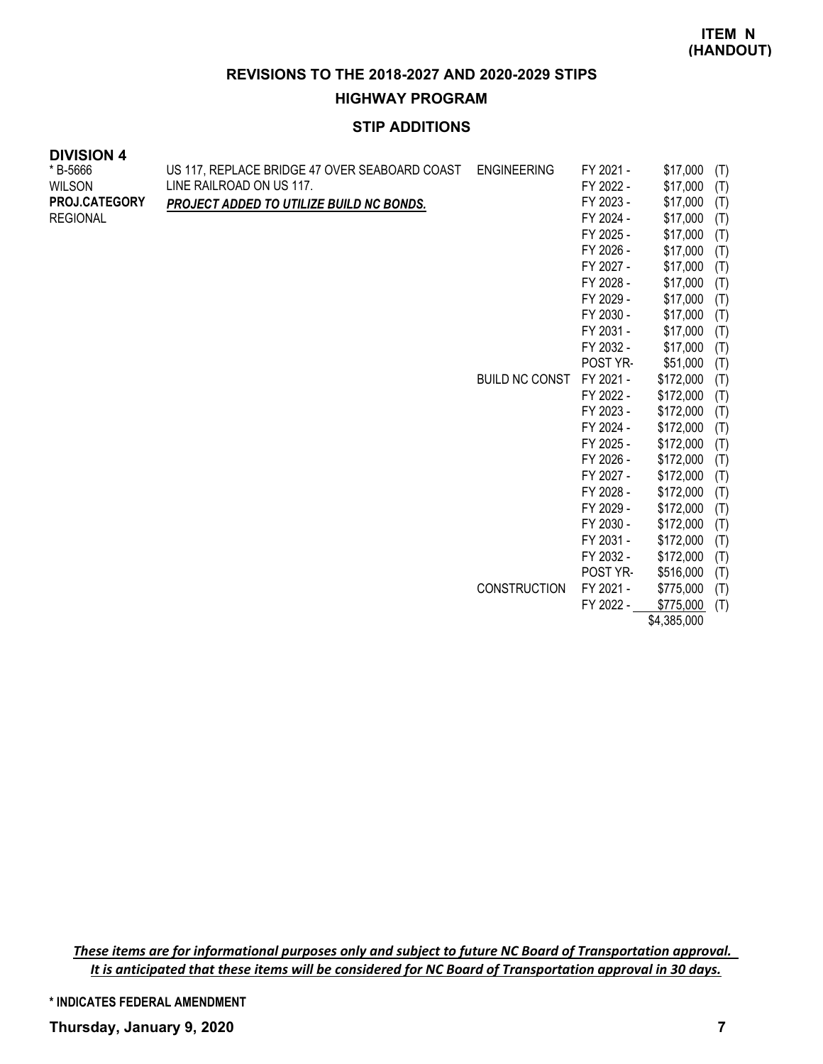**HIGHWAY PROGRAM**

# **STIP ADDITIONS**

| <b>DIVISION 4</b> |  |
|-------------------|--|
| * B-5666          |  |

| * B-5666        | US 117, REPLACE BRIDGE 47 OVER SEABOARD COAST | <b>ENGINEERING</b>    | FY 2021 - | \$17,000    | (T) |
|-----------------|-----------------------------------------------|-----------------------|-----------|-------------|-----|
| <b>WILSON</b>   | LINE RAILROAD ON US 117.                      |                       | FY 2022 - | \$17,000    | (T) |
| PROJ.CATEGORY   | PROJECT ADDED TO UTILIZE BUILD NC BONDS.      |                       | FY 2023 - | \$17,000    | (T) |
| <b>REGIONAL</b> |                                               |                       | FY 2024 - | \$17,000    | (T) |
|                 |                                               |                       | FY 2025 - | \$17,000    | (T) |
|                 |                                               |                       | FY 2026 - | \$17,000    | (T) |
|                 |                                               |                       | FY 2027 - | \$17,000    | (T) |
|                 |                                               |                       | FY 2028 - | \$17,000    | (T) |
|                 |                                               |                       | FY 2029 - | \$17,000    | (T) |
|                 |                                               |                       | FY 2030 - | \$17,000    | (T) |
|                 |                                               |                       | FY 2031 - | \$17,000    | (T) |
|                 |                                               |                       | FY 2032 - | \$17,000    | (T) |
|                 |                                               |                       | POST YR-  | \$51,000    | (T) |
|                 |                                               | <b>BUILD NC CONST</b> | FY 2021 - | \$172,000   | (T) |
|                 |                                               |                       | FY 2022 - | \$172,000   | (T) |
|                 |                                               |                       | FY 2023 - | \$172,000   | (T) |
|                 |                                               |                       | FY 2024 - | \$172,000   | (T) |
|                 |                                               |                       | FY 2025 - | \$172,000   | (T) |
|                 |                                               |                       | FY 2026 - | \$172,000   | (T) |
|                 |                                               |                       | FY 2027 - | \$172,000   | (T) |
|                 |                                               |                       | FY 2028 - | \$172,000   | (T) |
|                 |                                               |                       | FY 2029 - | \$172,000   | (T) |
|                 |                                               |                       | FY 2030 - | \$172,000   | (T) |
|                 |                                               |                       | FY 2031 - | \$172,000   | (T) |
|                 |                                               |                       | FY 2032 - | \$172,000   | (T) |
|                 |                                               |                       | POST YR-  | \$516,000   | (T) |
|                 |                                               | <b>CONSTRUCTION</b>   | FY 2021 - | \$775,000   | (T) |
|                 |                                               |                       | FY 2022 - | \$775,000   | (T) |
|                 |                                               |                       |           | \$4,385,000 |     |

*These items are for informational purposes only and subject to future NC Board of Transportation approval. It is anticipated that these items will be considered for NC Board of Transportation approval in 30 days.*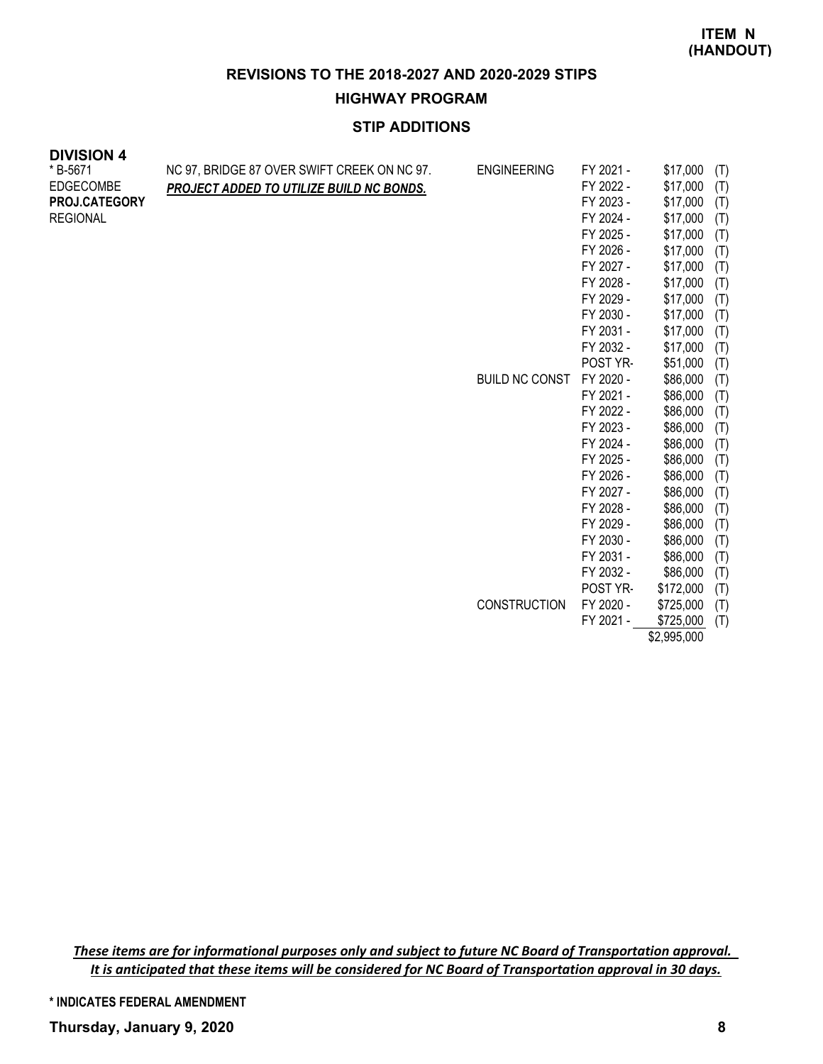#### **HIGHWAY PROGRAM**

# **STIP ADDITIONS**

| * B-5671<br><b>EDGECOMBE</b><br>PROJ.CATEGORY<br><b>REGIONAL</b> | NC 97, BRIDGE 87 OVER SWIFT CREEK ON NC 97.<br><b>PROJECT ADDED TO UTILIZE BUILD NC BONDS.</b> | <b>ENGINEERING</b><br><b>BUILD NC CONST</b> | FY 2021 -<br>FY 2022 -<br>FY 2023 -<br>FY 2024 -<br>FY 2025 -<br>FY 2026 -<br>FY 2027 -<br>FY 2028 -<br>FY 2029 -<br>FY 2030 -<br>FY 2031 -<br>FY 2032 -<br>POST YR-<br>FY 2020 -<br>FY 2021 -<br>FY 2022 -<br>FY 2023 -<br>FY 2024 -<br>FY 2025 -<br>FY 2026 -<br>FY 2027 -<br>FY 2028 -<br>FY 2029 -<br>FY 2030 - | \$17,000<br>\$17,000<br>\$17,000<br>\$17,000<br>\$17,000<br>\$17,000<br>\$17,000<br>\$17,000<br>\$17,000<br>\$17,000<br>\$17,000<br>\$17,000<br>\$51,000<br>\$86,000<br>\$86,000<br>\$86,000<br>\$86,000<br>\$86,000<br>\$86,000<br>\$86,000<br>\$86,000<br>\$86,000<br>\$86,000<br>\$86,000 | (T)<br>(T)<br>(T)<br>(T)<br>(T)<br>(T)<br>(T)<br>(T)<br>(T)<br>(T)<br>(T)<br>(T)<br>(T)<br>(T)<br>(T)<br>(T)<br>(T)<br>(T)<br>(T)<br>(T)<br>(T)<br>(T)<br>(T)<br>(T) |
|------------------------------------------------------------------|------------------------------------------------------------------------------------------------|---------------------------------------------|---------------------------------------------------------------------------------------------------------------------------------------------------------------------------------------------------------------------------------------------------------------------------------------------------------------------|----------------------------------------------------------------------------------------------------------------------------------------------------------------------------------------------------------------------------------------------------------------------------------------------|----------------------------------------------------------------------------------------------------------------------------------------------------------------------|
|                                                                  |                                                                                                |                                             | FY 2031 -<br>FY 2032 -                                                                                                                                                                                                                                                                                              | \$86,000<br>\$86,000                                                                                                                                                                                                                                                                         | (T)<br>(T)                                                                                                                                                           |
|                                                                  |                                                                                                | <b>CONSTRUCTION</b>                         | POST YR-<br>FY 2020 -                                                                                                                                                                                                                                                                                               | \$172,000<br>\$725,000                                                                                                                                                                                                                                                                       | (T)<br>(T)                                                                                                                                                           |

*These items are for informational purposes only and subject to future NC Board of Transportation approval. It is anticipated that these items will be considered for NC Board of Transportation approval in 30 days.*

**\* INDICATES FEDERAL AMENDMENT**

**DIVISION 4**

FY 2021 - \$725,000 (T) \$2,995,000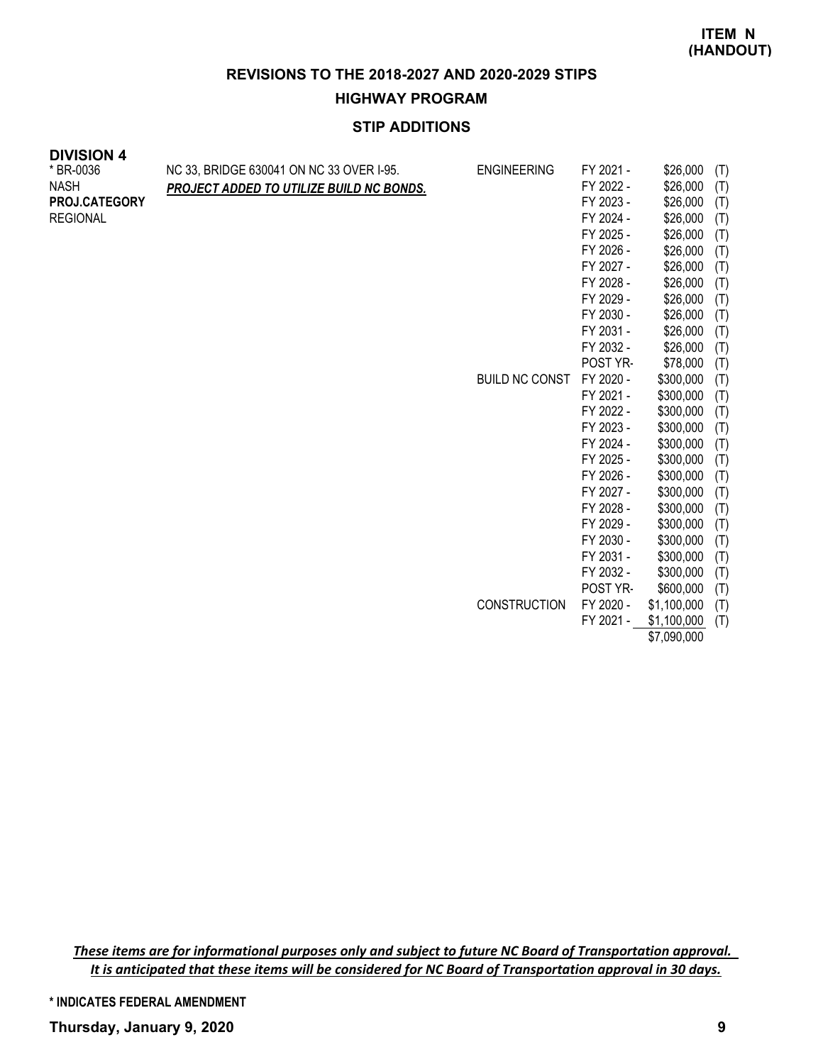#### **HIGHWAY PROGRAM**

# **STIP ADDITIONS**

| <b>DIVISION 4</b> |  |
|-------------------|--|
|-------------------|--|

| ד ווטוטואוט<br>* BR-0036<br><b>NASH</b><br>PROJ.CATEGORY<br><b>REGIONAL</b> | NC 33, BRIDGE 630041 ON NC 33 OVER I-95.<br>PROJECT ADDED TO UTILIZE BUILD NC BONDS. | <b>ENGINEERING</b>    | FY 2021 -<br>FY 2022 -<br>FY 2023 -<br>FY 2024 -<br>FY 2025 -<br>FY 2026 -<br>FY 2027 -<br>FY 2028 -<br>FY 2029 -<br>FY 2030 -<br>FY 2031 -<br>FY 2032 -<br>POST YR- | \$26,000<br>\$26,000<br>\$26,000<br>\$26,000<br>\$26,000<br>\$26,000<br>\$26,000<br>\$26,000<br>\$26,000<br>\$26,000<br>\$26,000<br>\$26,000<br>\$78,000 | (T)<br>(T)<br>(T)<br>(T)<br>(T)<br>(T)<br>(T)<br>(T)<br>(T)<br>(T)<br>(T)<br>(T)<br>(T) |
|-----------------------------------------------------------------------------|--------------------------------------------------------------------------------------|-----------------------|----------------------------------------------------------------------------------------------------------------------------------------------------------------------|----------------------------------------------------------------------------------------------------------------------------------------------------------|-----------------------------------------------------------------------------------------|
|                                                                             |                                                                                      | <b>BUILD NC CONST</b> | FY 2020 -                                                                                                                                                            | \$300,000                                                                                                                                                | (T)                                                                                     |
|                                                                             |                                                                                      |                       | FY 2021 -                                                                                                                                                            | \$300,000                                                                                                                                                | (T)                                                                                     |
|                                                                             |                                                                                      |                       | FY 2022 -                                                                                                                                                            | \$300,000                                                                                                                                                | (T)                                                                                     |
|                                                                             |                                                                                      |                       | FY 2023 -                                                                                                                                                            | \$300,000                                                                                                                                                | (T)                                                                                     |
|                                                                             |                                                                                      |                       | FY 2024 -                                                                                                                                                            | \$300,000                                                                                                                                                | (T)                                                                                     |
|                                                                             |                                                                                      |                       | FY 2025 -                                                                                                                                                            | \$300,000                                                                                                                                                | (T)                                                                                     |
|                                                                             |                                                                                      |                       | FY 2026 -                                                                                                                                                            | \$300,000                                                                                                                                                | (T)                                                                                     |
|                                                                             |                                                                                      |                       | FY 2027 -                                                                                                                                                            | \$300,000                                                                                                                                                | (T)                                                                                     |
|                                                                             |                                                                                      |                       | FY 2028 -                                                                                                                                                            | \$300,000                                                                                                                                                | (T)                                                                                     |
|                                                                             |                                                                                      |                       | FY 2029 -                                                                                                                                                            | \$300,000                                                                                                                                                | (T)                                                                                     |
|                                                                             |                                                                                      |                       | FY 2030 -                                                                                                                                                            | \$300,000                                                                                                                                                | (T)                                                                                     |
|                                                                             |                                                                                      |                       | FY 2031 -                                                                                                                                                            | \$300,000                                                                                                                                                | (T)                                                                                     |
|                                                                             |                                                                                      |                       | FY 2032 -                                                                                                                                                            | \$300,000                                                                                                                                                | (T)                                                                                     |
|                                                                             |                                                                                      |                       | POST YR-                                                                                                                                                             | \$600,000                                                                                                                                                | (T)                                                                                     |
|                                                                             |                                                                                      | <b>CONSTRUCTION</b>   | FY 2020 -                                                                                                                                                            | \$1,100,000                                                                                                                                              | (T)                                                                                     |
|                                                                             |                                                                                      |                       | FY 2021 -                                                                                                                                                            | \$1,100,000                                                                                                                                              | (T)                                                                                     |

\$7,090,000

*These items are for informational purposes only and subject to future NC Board of Transportation approval. It is anticipated that these items will be considered for NC Board of Transportation approval in 30 days.*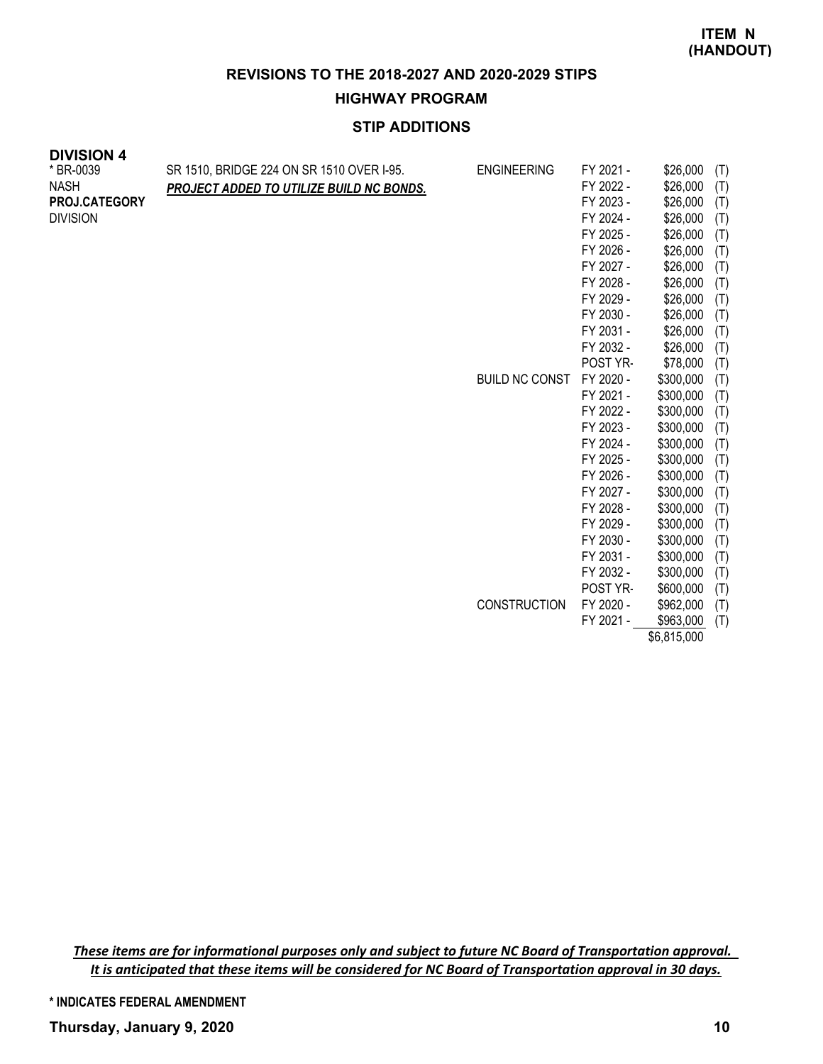#### **HIGHWAY PROGRAM**

# **STIP ADDITIONS**

| <b>DIVISION 4</b><br>* BR-0039<br><b>NASH</b> | SR 1510, BRIDGE 224 ON SR 1510 OVER I-95.<br>PROJECT ADDED TO UTILIZE BUILD NC BONDS. |
|-----------------------------------------------|---------------------------------------------------------------------------------------|
| <b>PROJ.CATEGORY</b><br><b>DIVISION</b>       |                                                                                       |
|                                               |                                                                                       |
|                                               |                                                                                       |
|                                               |                                                                                       |

| ENGINEERING           | FY 2021 - | \$26,000    | (T) |
|-----------------------|-----------|-------------|-----|
|                       | FY 2022 - | \$26,000    | (T) |
|                       | FY 2023 - | \$26,000    | (T) |
|                       | FY 2024 - | \$26,000    | (T) |
|                       | FY 2025 - | \$26,000    | (T) |
|                       | FY 2026 - | \$26,000    | (T) |
|                       | FY 2027 - | \$26,000    | (T) |
|                       | FY 2028 - | \$26,000    | (T) |
|                       | FY 2029 - | \$26,000    | (T) |
|                       | FY 2030 - | \$26,000    | (T) |
|                       | FY 2031 - | \$26,000    | (T) |
|                       | FY 2032 - | \$26,000    | (T) |
|                       | POST YR-  | \$78,000    | (T) |
| <b>BUILD NC CONST</b> | FY 2020 - | \$300,000   | (T) |
|                       | FY 2021 - | \$300,000   | (T) |
|                       | FY 2022 - | \$300,000   | (T) |
|                       | FY 2023 - | \$300,000   | (T) |
|                       | FY 2024 - | \$300,000   | (T) |
|                       | FY 2025 - | \$300,000   | (T) |
|                       | FY 2026 - | \$300,000   | (T) |
|                       | FY 2027 - | \$300,000   | (T) |
|                       | FY 2028 - | \$300,000   | (T) |
|                       | FY 2029 - | \$300,000   | (T) |
|                       | FY 2030 - | \$300,000   | (T) |
|                       | FY 2031 - | \$300,000   | (T) |
|                       | FY 2032 - | \$300,000   | (T) |
|                       | POST YR-  | \$600,000   | (T) |
| <b>CONSTRUCTION</b>   | FY 2020 - | \$962,000   | (T) |
|                       | FY 2021 - | \$963,000   | (T) |
|                       |           | \$6,815,000 |     |

*These items are for informational purposes only and subject to future NC Board of Transportation approval. It is anticipated that these items will be considered for NC Board of Transportation approval in 30 days.*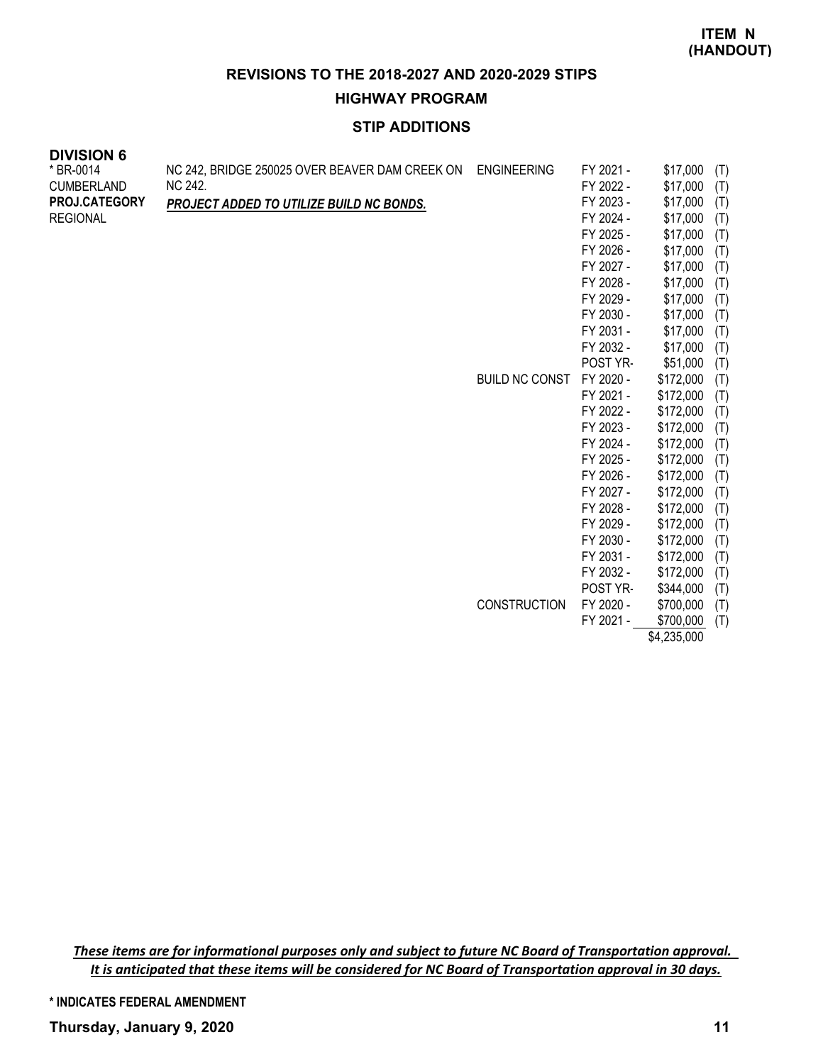**HIGHWAY PROGRAM**

# **STIP ADDITIONS**

| <b>DIVISION 6</b> |                                                |                       |           |           |     |
|-------------------|------------------------------------------------|-----------------------|-----------|-----------|-----|
| * BR-0014         | NC 242, BRIDGE 250025 OVER BEAVER DAM CREEK ON | <b>ENGINEERING</b>    | FY 2021 - | \$17,000  | (T) |
| <b>CUMBERLAND</b> | NC 242.                                        |                       | FY 2022 - | \$17,000  | (T) |
| PROJ.CATEGORY     | PROJECT ADDED TO UTILIZE BUILD NC BONDS.       |                       | FY 2023 - | \$17,000  | (T) |
| <b>REGIONAL</b>   |                                                |                       | FY 2024 - | \$17,000  | (T) |
|                   |                                                |                       | FY 2025 - | \$17,000  | (T) |
|                   |                                                |                       | FY 2026 - | \$17,000  | (T) |
|                   |                                                |                       | FY 2027 - | \$17,000  | (T) |
|                   |                                                |                       | FY 2028 - | \$17,000  | (T) |
|                   |                                                |                       | FY 2029 - | \$17,000  | (T) |
|                   |                                                |                       | FY 2030 - | \$17,000  | (T) |
|                   |                                                |                       | FY 2031 - | \$17,000  | (T) |
|                   |                                                |                       | FY 2032 - | \$17,000  | (T) |
|                   |                                                |                       | POST YR-  | \$51,000  | (T) |
|                   |                                                | <b>BUILD NC CONST</b> | FY 2020 - | \$172,000 | (T) |
|                   |                                                |                       | FY 2021 - | \$172,000 | (T) |
|                   |                                                |                       | FY 2022 - | \$172,000 | (T) |
|                   |                                                |                       | FY 2023 - | \$172,000 | (T) |
|                   |                                                |                       | FY 2024 - | \$172,000 | (T) |
|                   |                                                |                       | FY 2025 - | \$172,000 | (T) |
|                   |                                                |                       | FY 2026 - | \$172,000 | (T) |
|                   |                                                |                       | FY 2027 - | \$172,000 | (T) |
|                   |                                                |                       | FY 2028 - | \$172,000 | (T) |
|                   |                                                |                       | FY 2029 - | \$172,000 | (T) |
|                   |                                                |                       | FY 2030 - | \$172,000 | (T) |
|                   |                                                |                       | FY 2031 - | \$172,000 | (T) |
|                   |                                                |                       | FY 2032 - | \$172,000 | (T) |
|                   |                                                |                       | POST YR-  | \$344,000 | (T) |

CONSTRUCTION FY 2020 - \$700,000 (T) FY 2021 - \$700,000 (T)

\$4,235,000

*These items are for informational purposes only and subject to future NC Board of Transportation approval. It is anticipated that these items will be considered for NC Board of Transportation approval in 30 days.*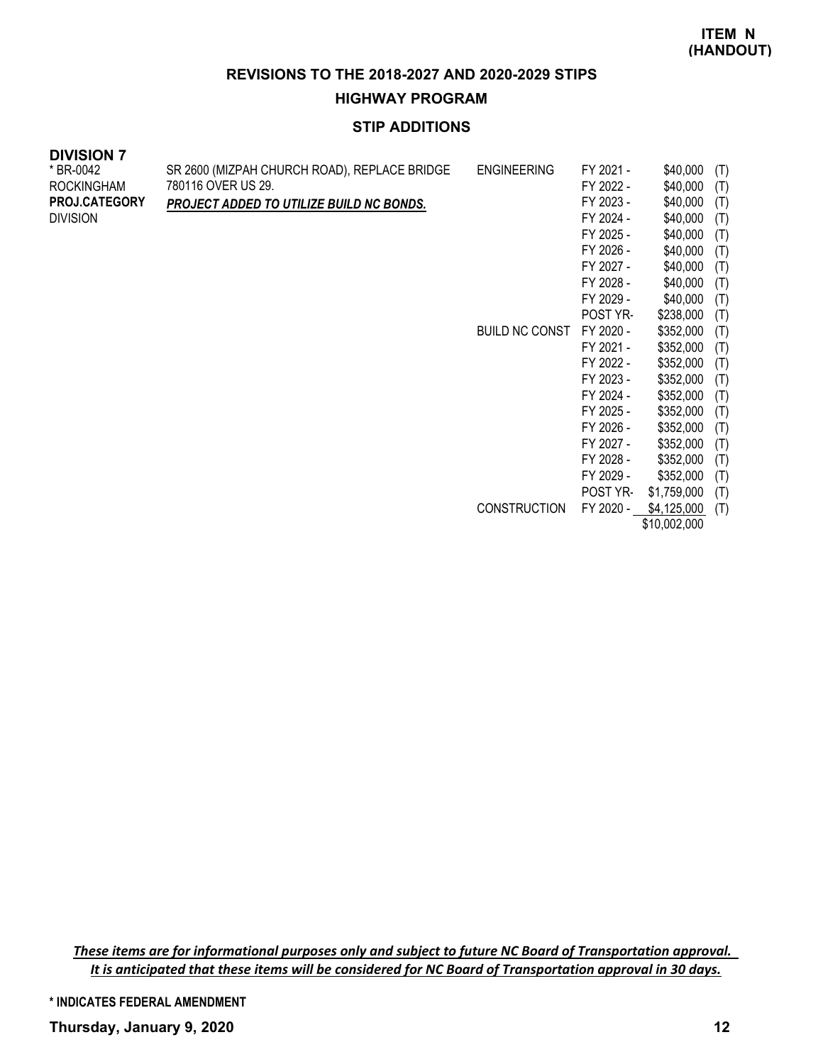**HIGHWAY PROGRAM**

# **STIP ADDITIONS**

| --------<br>* BR-0042<br>ROCKINGHAM<br>PROJ.CATEGORY | SR 2600 (MIZPAH CHURCH ROAD), REPLACE BRIDGE<br>780116 OVER US 29.<br>PROJECT ADDED TO UTILIZE BUILD NC BONDS. | <b>ENGINEERING</b>    | FY 2021 -<br>FY 2022 -<br>FY 2023 - | \$40,000<br>\$40,000<br>\$40,000 | (T)<br>(T)<br>(T) |
|------------------------------------------------------|----------------------------------------------------------------------------------------------------------------|-----------------------|-------------------------------------|----------------------------------|-------------------|
| <b>DIVISION</b>                                      |                                                                                                                |                       | FY 2024 -                           | \$40,000                         | (T)               |
|                                                      |                                                                                                                |                       | FY 2025 -                           | \$40,000                         | (T)               |
|                                                      |                                                                                                                |                       | FY 2026 -                           | \$40,000                         | (T)               |
|                                                      |                                                                                                                |                       | FY 2027 -                           | \$40,000                         | (T)               |
|                                                      |                                                                                                                |                       | FY 2028 -                           | \$40,000                         | (T)               |
|                                                      |                                                                                                                |                       | FY 2029 -                           | \$40,000                         | (T)               |
|                                                      |                                                                                                                |                       | POST YR-                            | \$238,000                        | (T)               |
|                                                      |                                                                                                                | <b>BUILD NC CONST</b> | FY 2020 -                           | \$352,000                        | (T)               |
|                                                      |                                                                                                                |                       | FY 2021 -                           | \$352,000                        | (T)               |
|                                                      |                                                                                                                |                       | FY 2022 -                           | \$352,000                        | (T)               |
|                                                      |                                                                                                                |                       | FY 2023 -                           | \$352,000                        | (T)               |
|                                                      |                                                                                                                |                       | FY 2024 -                           | \$352,000                        | (T)               |
|                                                      |                                                                                                                |                       | FY 2025 -                           | \$352,000                        | (T)               |
|                                                      |                                                                                                                |                       | FY 2026 -                           | \$352,000                        | (T)               |
|                                                      |                                                                                                                |                       | FY 2027 -                           | \$352,000                        | (T)               |
|                                                      |                                                                                                                |                       | FY 2028 -                           | \$352,000                        | (T)               |
|                                                      |                                                                                                                |                       | FY 2029 -                           | \$352,000                        | (T)               |
|                                                      |                                                                                                                |                       | POST YR-                            | \$1,759,000                      | (T)               |
|                                                      |                                                                                                                | <b>CONSTRUCTION</b>   | FY 2020 -                           | \$4,125,000                      | (T)               |
|                                                      |                                                                                                                |                       |                                     | \$10,002,000                     |                   |

*These items are for informational purposes only and subject to future NC Board of Transportation approval. It is anticipated that these items will be considered for NC Board of Transportation approval in 30 days.*

**\* INDICATES FEDERAL AMENDMENT**

**DIVISION 7**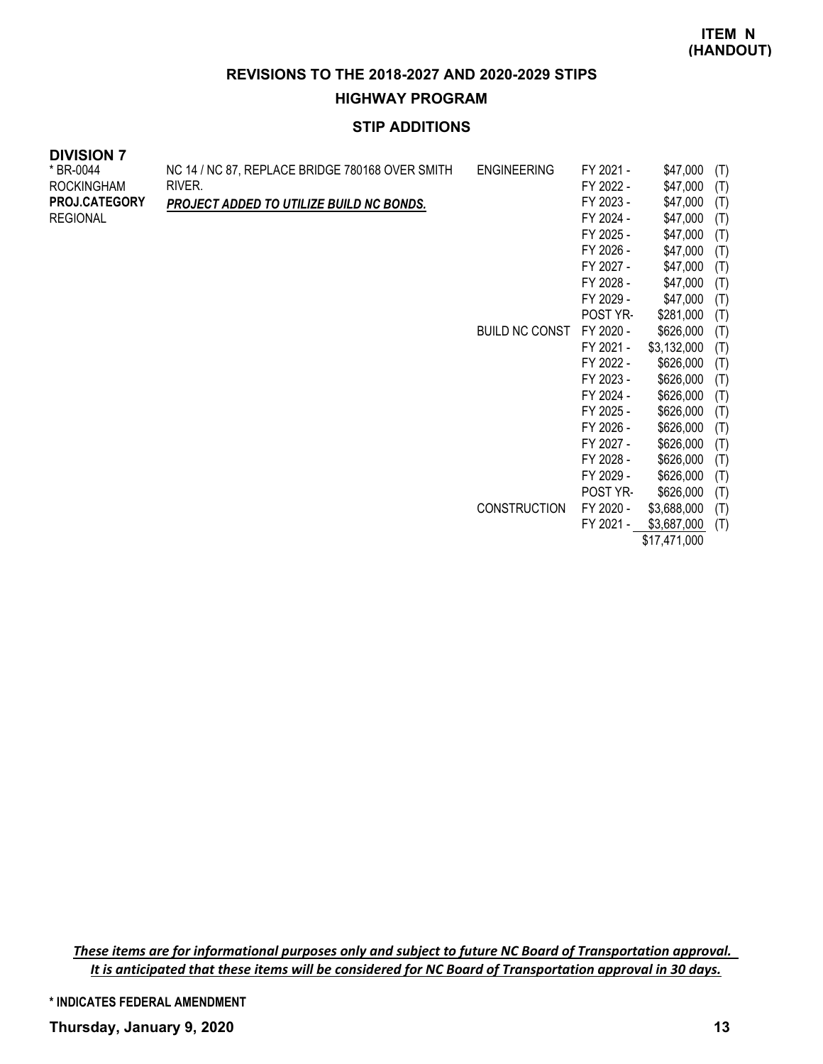**HIGHWAY PROGRAM**

# **STIP ADDITIONS**

| * BR-0044<br>ROCKINGHAM | NC 14 / NC 87, REPLACE BRIDGE 780168 OVER SMITH<br>RIVER. | <b>ENGINEERING</b>    | FY 2021 -<br>FY 2022 - | \$47,000<br>\$47,000 | (T)<br>(T) |
|-------------------------|-----------------------------------------------------------|-----------------------|------------------------|----------------------|------------|
| <b>PROJ.CATEGORY</b>    | PROJECT ADDED TO UTILIZE BUILD NC BONDS.                  |                       | FY 2023 -              | \$47,000             | (T)        |
| REGIONAL                |                                                           |                       | FY 2024 -              | \$47,000             | (T)        |
|                         |                                                           |                       | FY 2025 -              | \$47,000             | (T)        |
|                         |                                                           |                       | FY 2026 -              | \$47,000             | (T)        |
|                         |                                                           |                       | FY 2027 -              | \$47,000             | (T)        |
|                         |                                                           |                       | FY 2028 -              | \$47,000             | (T)        |
|                         |                                                           |                       | FY 2029 -              | \$47,000             | (T)        |
|                         |                                                           |                       | <b>POST YR-</b>        | \$281,000            | (T)        |
|                         |                                                           | <b>BUILD NC CONST</b> | FY 2020 -              | \$626,000            | (T)        |
|                         |                                                           |                       | FY 2021 -              | \$3,132,000          | (T)        |
|                         |                                                           |                       | FY 2022 -              | \$626,000            | (T)        |
|                         |                                                           |                       | FY 2023 -              | \$626,000            | (T)        |
|                         |                                                           |                       | FY 2024 -              | \$626,000            | (T)        |
|                         |                                                           |                       | FY 2025 -              | \$626,000            | (T)        |
|                         |                                                           |                       | FY 2026 -              | \$626,000            | (T)        |
|                         |                                                           |                       | FY 2027 -              | \$626,000            | (T)        |
|                         |                                                           |                       | FY 2028 -              | \$626,000            | (T)        |
|                         |                                                           |                       | FY 2029 -              | \$626,000            | (T)        |
|                         |                                                           |                       | POST YR-               | \$626,000            | (T)        |
|                         |                                                           | <b>CONSTRUCTION</b>   | FY 2020 -              | \$3,688,000          | (T)        |
|                         |                                                           |                       | FY 2021 -              | \$3,687,000          | (T)        |
|                         |                                                           |                       |                        | \$17,471,000         |            |

*These items are for informational purposes only and subject to future NC Board of Transportation approval. It is anticipated that these items will be considered for NC Board of Transportation approval in 30 days.*

**\* INDICATES FEDERAL AMENDMENT**

**DIVISION 7**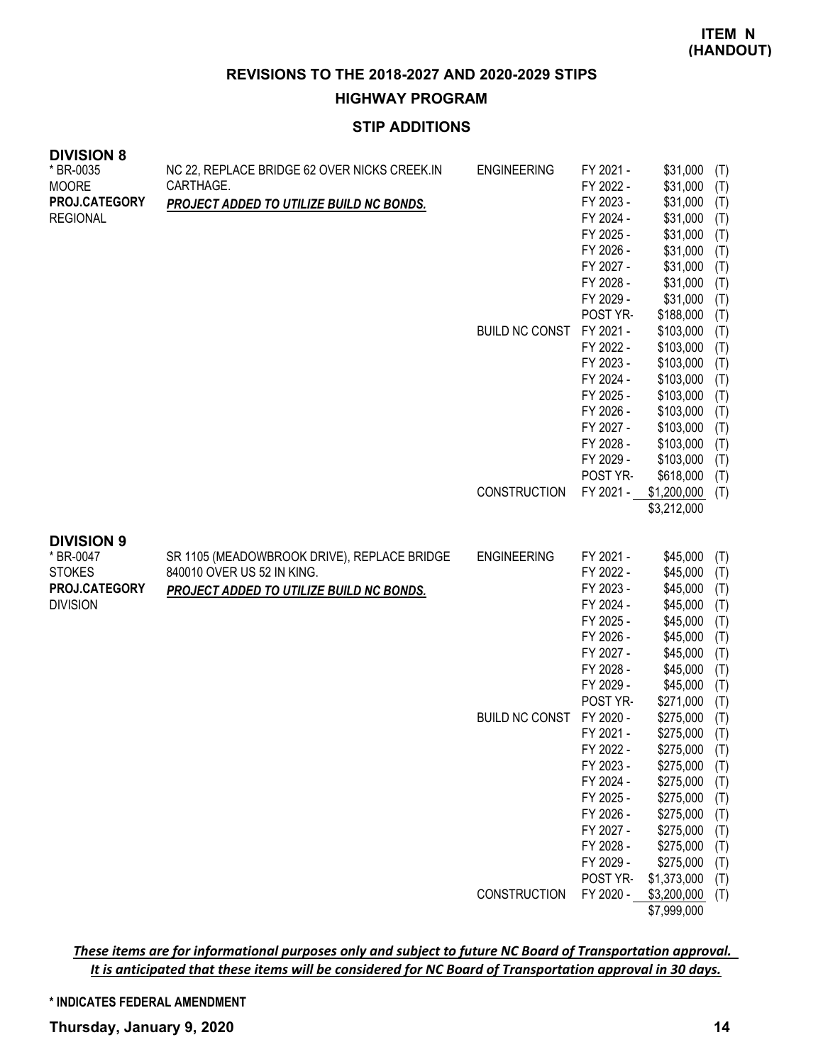**HIGHWAY PROGRAM**

# **STIP ADDITIONS**

| <b>DIVISION 8</b>              |                                              |                       |           |                            |     |
|--------------------------------|----------------------------------------------|-----------------------|-----------|----------------------------|-----|
| * BR-0035                      | NC 22, REPLACE BRIDGE 62 OVER NICKS CREEK.IN | <b>ENGINEERING</b>    | FY 2021 - | \$31,000                   | (T) |
| <b>MOORE</b>                   | CARTHAGE.                                    |                       | FY 2022 - | \$31,000                   | (T) |
| PROJ.CATEGORY                  | PROJECT ADDED TO UTILIZE BUILD NC BONDS.     |                       | FY 2023 - | \$31,000                   | (T) |
| <b>REGIONAL</b>                |                                              |                       | FY 2024 - | \$31,000                   | (T) |
|                                |                                              |                       | FY 2025 - | \$31,000                   | (T) |
|                                |                                              |                       | FY 2026 - | \$31,000                   | (T) |
|                                |                                              |                       | FY 2027 - | \$31,000                   | (T) |
|                                |                                              |                       | FY 2028 - | \$31,000                   | (T) |
|                                |                                              |                       | FY 2029 - | \$31,000                   | (T) |
|                                |                                              |                       | POST YR-  | \$188,000                  | (T) |
|                                |                                              | <b>BUILD NC CONST</b> | FY 2021 - | \$103,000                  | (T) |
|                                |                                              |                       | FY 2022 - | \$103,000                  | (T) |
|                                |                                              |                       | FY 2023 - | \$103,000                  | (T) |
|                                |                                              |                       | FY 2024 - | \$103,000                  | (T) |
|                                |                                              |                       | FY 2025 - | \$103,000                  | (T) |
|                                |                                              |                       | FY 2026 - | \$103,000                  | (T) |
|                                |                                              |                       | FY 2027 - | \$103,000                  | (T) |
|                                |                                              |                       | FY 2028 - | \$103,000                  | (T) |
|                                |                                              |                       | FY 2029 - | \$103,000                  | (T) |
|                                |                                              |                       | POST YR-  | \$618,000                  | (T) |
|                                |                                              | <b>CONSTRUCTION</b>   | FY 2021 - | \$1,200,000                | (T) |
|                                |                                              |                       |           | \$3,212,000                |     |
|                                |                                              |                       |           |                            |     |
| <b>DIVISION 9</b><br>* BR-0047 | SR 1105 (MEADOWBROOK DRIVE), REPLACE BRIDGE  | <b>ENGINEERING</b>    | FY 2021 - | \$45,000                   | (T) |
| <b>STOKES</b>                  | 840010 OVER US 52 IN KING.                   |                       | FY 2022 - | \$45,000                   | (T) |
| PROJ.CATEGORY                  | PROJECT ADDED TO UTILIZE BUILD NC BONDS.     |                       | FY 2023 - | \$45,000                   | (T) |
| <b>DIVISION</b>                |                                              |                       | FY 2024 - | \$45,000                   | (T) |
|                                |                                              |                       | FY 2025 - | \$45,000                   | (T) |
|                                |                                              |                       | FY 2026 - | \$45,000                   | (T) |
|                                |                                              |                       | FY 2027 - | \$45,000                   | (T) |
|                                |                                              |                       | FY 2028 - | \$45,000                   | (T) |
|                                |                                              |                       | FY 2029 - | \$45,000                   | (T) |
|                                |                                              |                       | POST YR-  | \$271,000                  | (T) |
|                                |                                              | <b>BUILD NC CONST</b> | FY 2020 - | \$275,000                  | (T) |
|                                |                                              |                       | FY 2021 - | \$275,000                  | (T) |
|                                |                                              |                       | FY 2022 - | $$275,000$ (T)             |     |
|                                |                                              |                       | FY 2023 - | \$275,000                  | (T) |
|                                |                                              |                       | FY 2024 - | \$275,000                  | (T) |
|                                |                                              |                       | FY 2025 - | \$275,000                  | (T) |
|                                |                                              |                       | FY 2026 - | \$275,000                  | (T) |
|                                |                                              |                       | FY 2027 - | \$275,000                  | (T) |
|                                |                                              |                       | FY 2028 - | \$275,000                  | (T) |
|                                |                                              |                       | FY 2029 - | \$275,000                  | (T) |
|                                |                                              |                       | POST YR-  |                            |     |
|                                |                                              |                       |           | \$1,373,000                | (T) |
|                                |                                              | CONSTRUCTION          | FY 2020 - | \$3,200,000<br>\$7,999,000 | (T) |

*These items are for informational purposes only and subject to future NC Board of Transportation approval. It is anticipated that these items will be considered for NC Board of Transportation approval in 30 days.*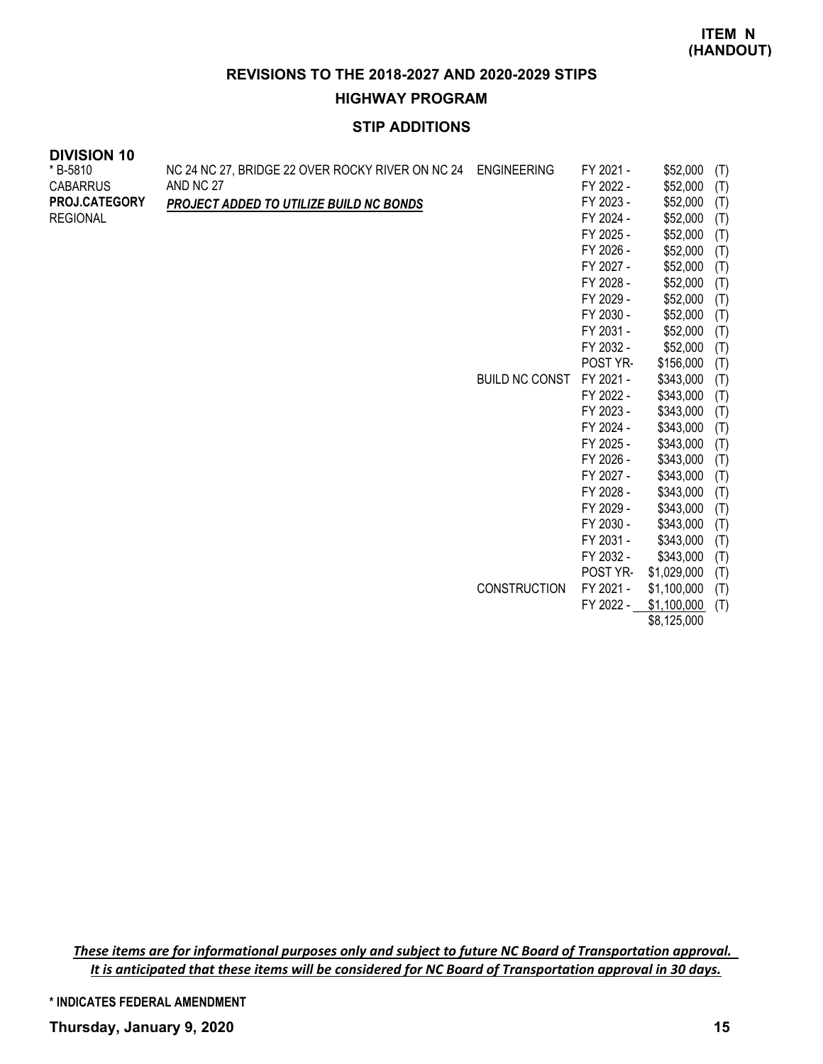**HIGHWAY PROGRAM**

# **STIP ADDITIONS**

| <b>DIVISION 10</b> |                                                  |                       |           |           |     |
|--------------------|--------------------------------------------------|-----------------------|-----------|-----------|-----|
| * B-5810           | NC 24 NC 27, BRIDGE 22 OVER ROCKY RIVER ON NC 24 | <b>ENGINEERING</b>    | FY 2021 - | \$52,000  | (T) |
| <b>CABARRUS</b>    | AND NC 27                                        |                       | FY 2022 - | \$52,000  | (T) |
| PROJ.CATEGORY      | PROJECT ADDED TO UTILIZE BUILD NC BONDS          |                       | FY 2023 - | \$52,000  | (T) |
| <b>REGIONAL</b>    |                                                  |                       | FY 2024 - | \$52,000  | (T) |
|                    |                                                  |                       | FY 2025 - | \$52,000  | (T) |
|                    |                                                  |                       | FY 2026 - | \$52,000  | (T) |
|                    |                                                  |                       | FY 2027 - | \$52,000  | (T) |
|                    |                                                  |                       | FY 2028 - | \$52,000  | (T) |
|                    |                                                  |                       | FY 2029 - | \$52,000  | (T) |
|                    |                                                  |                       | FY 2030 - | \$52,000  | (T) |
|                    |                                                  |                       | FY 2031 - | \$52,000  | (T) |
|                    |                                                  |                       | FY 2032 - | \$52,000  | (T) |
|                    |                                                  |                       | POST YR-  | \$156,000 | (T) |
|                    |                                                  | <b>BUILD NC CONST</b> | FY 2021 - | \$343,000 | (T) |
|                    |                                                  |                       | FY 2022 - | \$343,000 | (T) |
|                    |                                                  |                       | FY 2023 - | \$343,000 | (T) |
|                    |                                                  |                       | FY 2024 - | \$343,000 | (T) |
|                    |                                                  |                       | FY 2025 - | \$343,000 | (T) |
|                    |                                                  |                       | FY 2026 - | \$343,000 | (T) |
|                    |                                                  |                       | FY 2027 - | \$343,000 | (T) |
|                    |                                                  |                       | FY 2028 - | \$343,000 | (T) |
|                    |                                                  |                       | FY 2029 - | \$343,000 | (T) |
|                    |                                                  |                       | FY 2030 - | \$343,000 | (T) |
|                    |                                                  |                       | FY 2031 - | \$343,000 | (T) |

FY 2032 - \$343,000 (T) POST YR- \$1,029,000 (T) CONSTRUCTION FY 2021 - \$1,100,000 (T) FY 2022 - \$1,100,000 (T)

\$8,125,000

*These items are for informational purposes only and subject to future NC Board of Transportation approval. It is anticipated that these items will be considered for NC Board of Transportation approval in 30 days.*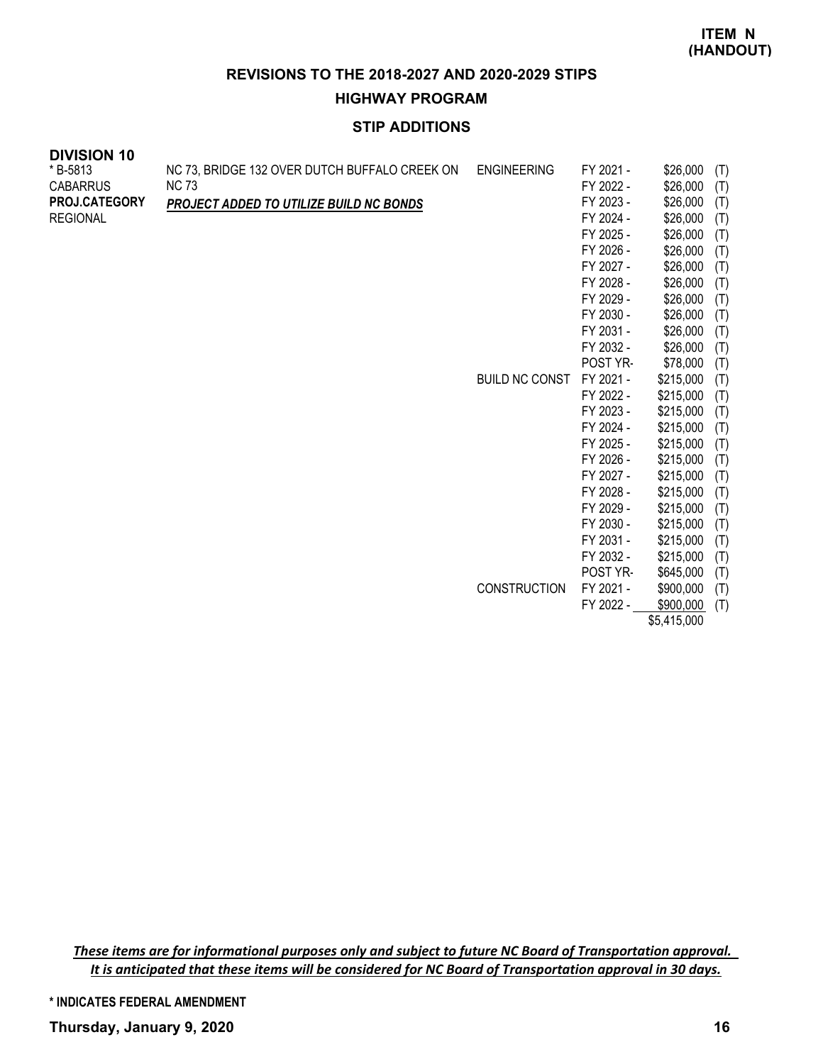**HIGHWAY PROGRAM**

# **STIP ADDITIONS**

| <b>DIVISION 10</b> |                                               |                       |           |           |     |
|--------------------|-----------------------------------------------|-----------------------|-----------|-----------|-----|
| * B-5813           | NC 73, BRIDGE 132 OVER DUTCH BUFFALO CREEK ON | <b>ENGINEERING</b>    | FY 2021 - | \$26,000  | (T) |
| <b>CABARRUS</b>    | <b>NC 73</b>                                  |                       | FY 2022 - | \$26,000  | (T) |
| PROJ.CATEGORY      | PROJECT ADDED TO UTILIZE BUILD NC BONDS       |                       | FY 2023 - | \$26,000  | (T) |
| <b>REGIONAL</b>    |                                               |                       | FY 2024 - | \$26,000  | (T) |
|                    |                                               |                       | FY 2025 - | \$26,000  | (T) |
|                    |                                               |                       | FY 2026 - | \$26,000  | (T) |
|                    |                                               |                       | FY 2027 - | \$26,000  | (T) |
|                    |                                               |                       | FY 2028 - | \$26,000  | (T) |
|                    |                                               |                       | FY 2029 - | \$26,000  | (T) |
|                    |                                               |                       | FY 2030 - | \$26,000  | (T) |
|                    |                                               |                       | FY 2031 - | \$26,000  | (T) |
|                    |                                               |                       | FY 2032 - | \$26,000  | (T) |
|                    |                                               |                       | POST YR-  | \$78,000  | (T) |
|                    |                                               | <b>BUILD NC CONST</b> | FY 2021 - | \$215,000 | (T) |
|                    |                                               |                       | FY 2022 - | \$215,000 | (T) |
|                    |                                               |                       | FY 2023 - | \$215,000 | (T) |
|                    |                                               |                       | FY 2024 - | \$215,000 | (T) |
|                    |                                               |                       | FY 2025 - | \$215,000 | (T) |
|                    |                                               |                       | FY 2026 - | \$215,000 | (T) |
|                    |                                               |                       | FY 2027 - | \$215,000 | (T) |
|                    |                                               |                       | FY 2028 - | \$215,000 | (T) |
|                    |                                               |                       | FY 2029 - | \$215,000 | (T) |
|                    |                                               |                       | FY 2030 - | \$215,000 | (T) |
|                    |                                               |                       | FY 2031 - | \$215,000 | (T) |
|                    |                                               |                       | FY 2032 - | \$215,000 | (T) |
|                    |                                               |                       | POST YR-  | \$645,000 | (T) |
|                    |                                               | <b>CONSTRUCTION</b>   | FY 2021 - | \$900,000 | (T) |
|                    |                                               |                       | FY 2022 - | \$900,000 | (T) |

\$5,415,000

*These items are for informational purposes only and subject to future NC Board of Transportation approval. It is anticipated that these items will be considered for NC Board of Transportation approval in 30 days.*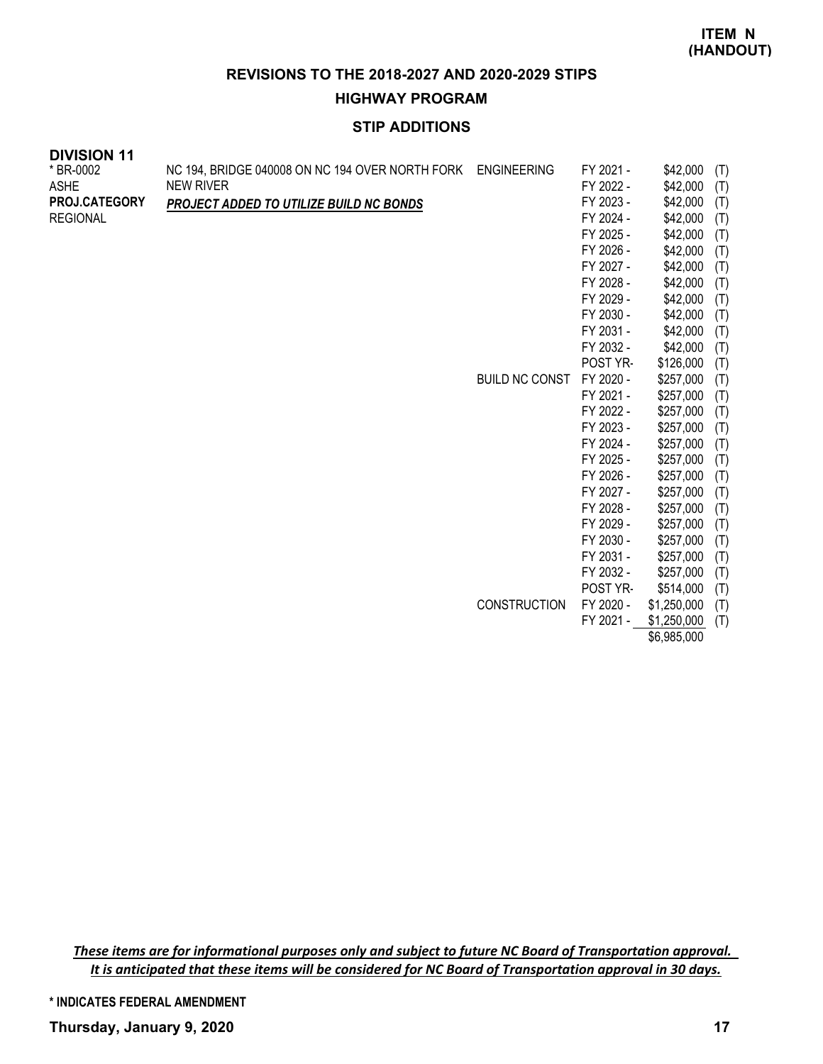**HIGHWAY PROGRAM**

# **STIP ADDITIONS**

| <b>DIVISION 11</b> |                                                 |                       |           |                  |
|--------------------|-------------------------------------------------|-----------------------|-----------|------------------|
| * BR-0002          | NC 194, BRIDGE 040008 ON NC 194 OVER NORTH FORK | <b>ENGINEERING</b>    | FY 2021 - | \$42,000<br>(T)  |
| <b>ASHE</b>        | <b>NEW RIVER</b>                                |                       | FY 2022 - | \$42,000<br>(T)  |
| PROJ.CATEGORY      | PROJECT ADDED TO UTILIZE BUILD NC BONDS         |                       | FY 2023 - | \$42,000<br>(T)  |
| <b>REGIONAL</b>    |                                                 |                       | FY 2024 - | \$42,000<br>(T)  |
|                    |                                                 |                       | FY 2025 - | \$42,000<br>(T)  |
|                    |                                                 |                       | FY 2026 - | \$42,000<br>(T)  |
|                    |                                                 |                       | FY 2027 - | \$42,000<br>(T)  |
|                    |                                                 |                       | FY 2028 - | \$42,000<br>(T)  |
|                    |                                                 |                       | FY 2029 - | \$42,000<br>(T)  |
|                    |                                                 |                       | FY 2030 - | \$42,000<br>(T)  |
|                    |                                                 |                       | FY 2031 - | \$42,000<br>(T)  |
|                    |                                                 |                       | FY 2032 - | \$42,000<br>(T)  |
|                    |                                                 |                       | POST YR-  | \$126,000<br>(T) |
|                    |                                                 | <b>BUILD NC CONST</b> | FY 2020 - | \$257,000<br>(T) |
|                    |                                                 |                       | FY 2021 - | \$257,000<br>(T) |
|                    |                                                 |                       | FY 2022 - | \$257,000<br>(T) |
|                    |                                                 |                       | FY 2023 - | \$257,000<br>(T) |
|                    |                                                 |                       | FY 2024 - | \$257,000<br>(T) |
|                    |                                                 |                       | FY 2025 - | \$257,000<br>(T) |
|                    |                                                 |                       | FY 2026 - | \$257,000<br>(T) |
|                    |                                                 |                       | FY 2027 - | \$257,000<br>(T) |
|                    |                                                 |                       | FY 2028 - | \$257,000<br>(T) |
|                    |                                                 |                       | FY 2029 - | \$257,000<br>(T) |
|                    |                                                 |                       | FY 2030 - | \$257,000<br>(T) |
|                    |                                                 |                       | FY 2031 - | \$257,000<br>(T) |
|                    |                                                 |                       | FY 2032 - | \$257,000<br>(T) |

POST YR- \$514,000 (T) CONSTRUCTION FY 2020 - \$1,250,000 (T) FY 2021 - \$1,250,000 (T)

\$6,985,000

*These items are for informational purposes only and subject to future NC Board of Transportation approval. It is anticipated that these items will be considered for NC Board of Transportation approval in 30 days.*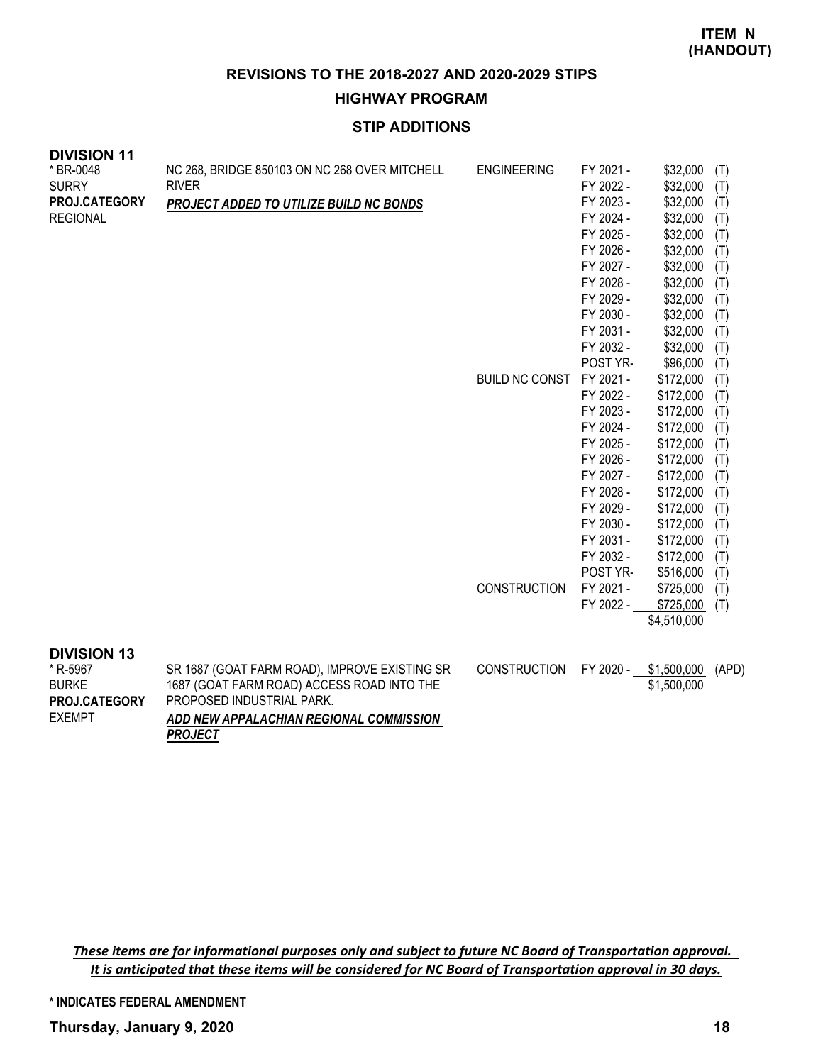**HIGHWAY PROGRAM**

# **STIP ADDITIONS**

| <b>DIVISION 11</b><br>* BR-0048 | NC 268, BRIDGE 850103 ON NC 268 OVER MITCHELL             | <b>ENGINEERING</b>    | FY 2021 - | \$32,000              | (T)   |
|---------------------------------|-----------------------------------------------------------|-----------------------|-----------|-----------------------|-------|
| <b>SURRY</b>                    | <b>RIVER</b>                                              |                       | FY 2022 - | \$32,000              | (T)   |
| PROJ.CATEGORY                   | PROJECT ADDED TO UTILIZE BUILD NC BONDS                   |                       | FY 2023 - | \$32,000              | (T)   |
| <b>REGIONAL</b>                 |                                                           |                       | FY 2024 - | \$32,000              | (T)   |
|                                 |                                                           |                       | FY 2025 - | \$32,000              | (T)   |
|                                 |                                                           |                       | FY 2026 - | \$32,000              | (T)   |
|                                 |                                                           |                       | FY 2027 - | \$32,000              | (T)   |
|                                 |                                                           |                       | FY 2028 - | \$32,000              | (T)   |
|                                 |                                                           |                       | FY 2029 - | \$32,000              | (T)   |
|                                 |                                                           |                       | FY 2030 - | \$32,000              | (T)   |
|                                 |                                                           |                       | FY 2031 - | \$32,000              | (T)   |
|                                 |                                                           |                       | FY 2032 - | \$32,000              | (T)   |
|                                 |                                                           |                       | POST YR-  | \$96,000              | (T)   |
|                                 |                                                           | <b>BUILD NC CONST</b> | FY 2021 - | \$172,000             | (T)   |
|                                 |                                                           |                       | FY 2022 - | \$172,000             | (T)   |
|                                 |                                                           |                       | FY 2023 - | \$172,000             | (T)   |
|                                 |                                                           |                       | FY 2024 - | \$172,000             | (T)   |
|                                 |                                                           |                       | FY 2025 - | \$172,000             | (T)   |
|                                 |                                                           |                       | FY 2026 - | \$172,000             | (T)   |
|                                 |                                                           |                       | FY 2027 - | \$172,000             | (T)   |
|                                 |                                                           |                       | FY 2028 - | \$172,000             | (T)   |
|                                 |                                                           |                       | FY 2029 - | \$172,000             | (T)   |
|                                 |                                                           |                       | FY 2030 - | \$172,000             | (T)   |
|                                 |                                                           |                       | FY 2031 - | \$172,000             | (T)   |
|                                 |                                                           |                       | FY 2032 - | \$172,000             | (T)   |
|                                 |                                                           |                       | POST YR-  | \$516,000             | (T)   |
|                                 |                                                           | <b>CONSTRUCTION</b>   | FY 2021 - | \$725,000             | (T)   |
|                                 |                                                           |                       | FY 2022 - | \$725,000             | (T)   |
|                                 |                                                           |                       |           | \$4,510,000           |       |
| <b>DIVISION 13</b>              |                                                           |                       |           |                       |       |
| * R-5967                        | SR 1687 (GOAT FARM ROAD), IMPROVE EXISTING SR             | <b>CONSTRUCTION</b>   |           | FY 2020 - \$1,500,000 | (APD) |
| <b>BURKE</b>                    | 1687 (GOAT FARM ROAD) ACCESS ROAD INTO THE                |                       |           | \$1,500,000           |       |
| PROJ.CATEGORY                   | PROPOSED INDUSTRIAL PARK.                                 |                       |           |                       |       |
| <b>EXEMPT</b>                   | ADD NEW APPALACHIAN REGIONAL COMMISSION<br><b>PROJECT</b> |                       |           |                       |       |

*These items are for informational purposes only and subject to future NC Board of Transportation approval. It is anticipated that these items will be considered for NC Board of Transportation approval in 30 days.*

**\* INDICATES FEDERAL AMENDMENT**

**Thursday, January 9, 2020 18**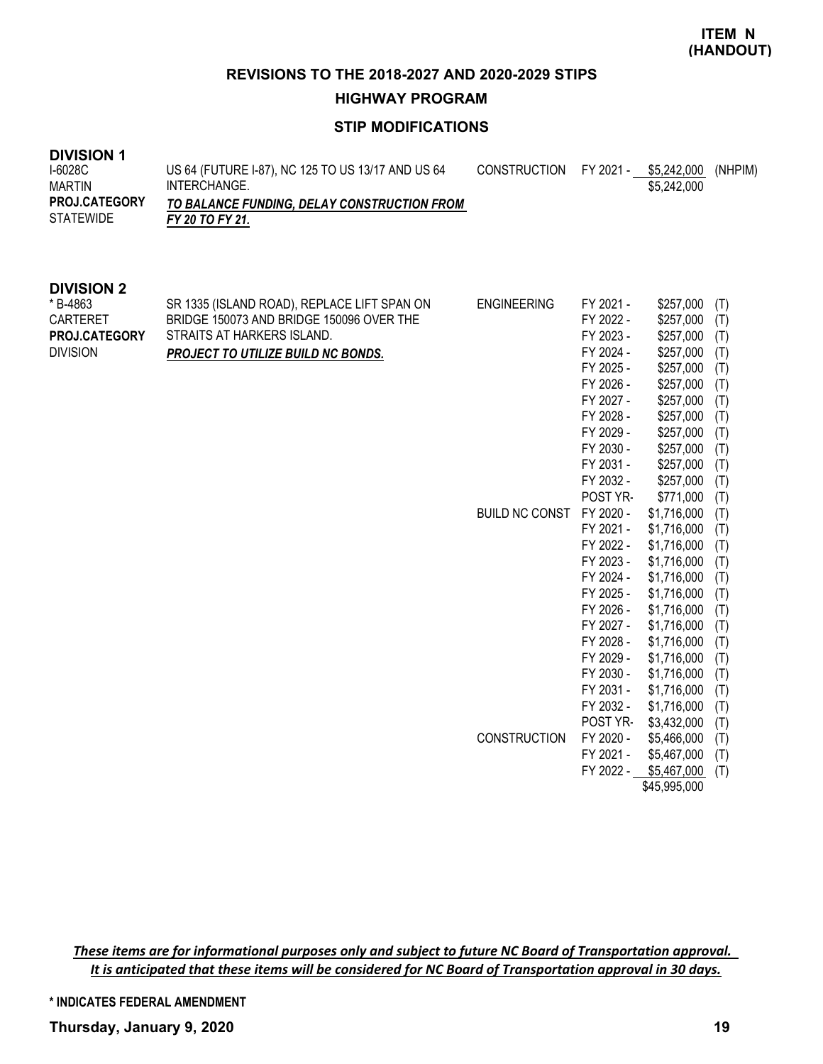**HIGHWAY PROGRAM**

# **STIP MODIFICATIONS**

| <b>DIVISION 1</b><br>I-6028C<br><b>MARTIN</b><br>PROJ.CATEGORY<br><b>STATEWIDE</b> | US 64 (FUTURE I-87), NC 125 TO US 13/17 AND US 64<br>INTERCHANGE.<br>TO BALANCE FUNDING, DELAY CONSTRUCTION FROM<br>FY 20 TO FY 21.                                | <b>CONSTRUCTION</b>                         | FY 2021 -                                                                                                                                                                                                                                                                                                                                     | \$5,242,000<br>\$5,242,000                                                                                                                                                                                                                                                                                                                                               | (NHPIM)                                                                                                                                                                            |
|------------------------------------------------------------------------------------|--------------------------------------------------------------------------------------------------------------------------------------------------------------------|---------------------------------------------|-----------------------------------------------------------------------------------------------------------------------------------------------------------------------------------------------------------------------------------------------------------------------------------------------------------------------------------------------|--------------------------------------------------------------------------------------------------------------------------------------------------------------------------------------------------------------------------------------------------------------------------------------------------------------------------------------------------------------------------|------------------------------------------------------------------------------------------------------------------------------------------------------------------------------------|
| <b>DIVISION 2</b><br>* B-4863<br>CARTERET<br>PROJ.CATEGORY<br><b>DIVISION</b>      | SR 1335 (ISLAND ROAD), REPLACE LIFT SPAN ON<br>BRIDGE 150073 AND BRIDGE 150096 OVER THE<br>STRAITS AT HARKERS ISLAND.<br><b>PROJECT TO UTILIZE BUILD NC BONDS.</b> | <b>ENGINEERING</b><br><b>BUILD NC CONST</b> | FY 2021 -<br>FY 2022 -<br>FY 2023 -<br>FY 2024 -<br>FY 2025 -<br>FY 2026 -<br>FY 2027 -<br>FY 2028 -<br>FY 2029 -<br>FY 2030 -<br>FY 2031 -<br>FY 2032 -<br>POST YR-<br>FY 2020 -<br>FY 2021 -<br>FY 2022 -<br>FY 2023 -<br>FY 2024 -<br>FY 2025 -<br>FY 2026 -<br>FY 2027 -<br>FY 2028 -<br>FY 2029 -<br>FY 2030 -<br>FY 2031 -<br>FY 2032 - | \$257,000<br>\$257,000<br>\$257,000<br>\$257,000<br>\$257,000<br>\$257,000<br>\$257,000<br>\$257,000<br>\$257,000<br>\$257,000<br>\$257,000<br>\$257,000<br>\$771,000<br>\$1,716,000<br>\$1,716,000<br>\$1,716,000<br>\$1,716,000<br>\$1,716,000<br>\$1,716,000<br>\$1,716,000<br>\$1,716,000<br>\$1,716,000<br>\$1,716,000<br>\$1,716,000<br>\$1,716,000<br>\$1,716,000 | (T)<br>(T)<br>(T)<br>(T)<br>(T)<br>(T)<br>(T)<br>(T)<br>(T)<br>(T)<br>(T)<br>(T)<br>(T)<br>(T)<br>(T)<br>(T)<br>(T)<br>(T)<br>(T)<br>(T)<br>(T)<br>(T)<br>(T)<br>(T)<br>(T)<br>(T) |
|                                                                                    |                                                                                                                                                                    | CONSTRUCTION                                | POST YR-<br>FY 2020 -<br>FY 2021 -<br>FY 2022 -                                                                                                                                                                                                                                                                                               | \$3,432,000<br>\$5,466,000<br>\$5,467,000<br>\$5,467,000<br>\$45,995,000                                                                                                                                                                                                                                                                                                 | (T)<br>(T)<br>(T)<br>(T)                                                                                                                                                           |

*These items are for informational purposes only and subject to future NC Board of Transportation approval. It is anticipated that these items will be considered for NC Board of Transportation approval in 30 days.*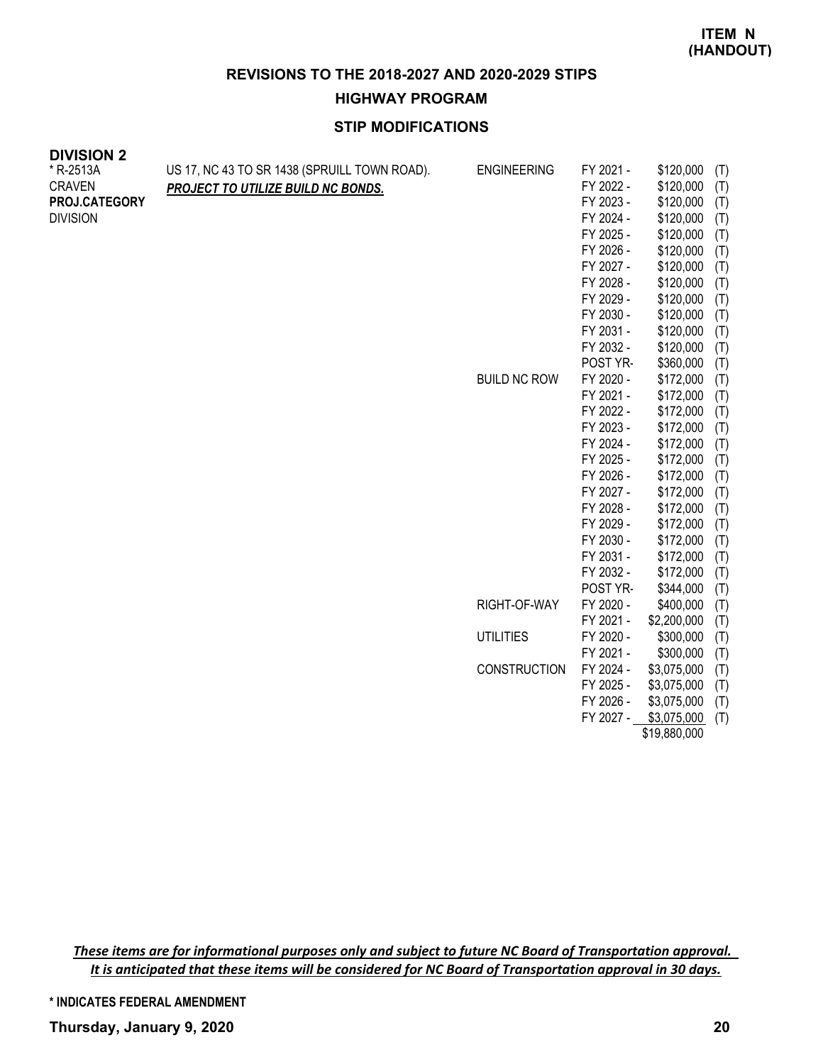### **HIGHWAY PROGRAM**

# **STIP MODIFICATIONS**

| <b>DIVISIUN Z</b><br>* R-2513A<br><b>CRAVEN</b><br>PROJ.CATEGORY<br><b>DIVISION</b> | US 17, NC 43 TO SR 1438 (SPRUILL TOWN ROAD).<br>PROJECT TO UTILIZE BUILD NC BONDS. | <b>ENGINEERING</b><br><b>BUILD NC ROW</b> | FY 2021 -<br>FY 2022 -<br>FY 2023 -<br>FY 2024 -<br>FY 2025 -<br>FY 2026 -<br>FY 2027 -<br>FY 2028 -<br>FY 2029 -<br>FY 2030 -<br>FY 2031 -<br>FY 2032 -<br>POST YR-<br>FY 2020 -<br>FY 2021 -<br>FY 2022 -<br>FY 2023 -<br>FY 2024 -<br>FY 2025 -<br>FY 2026 -<br>FY 2027 -<br>FY 2028 -<br>FY 2029 -<br>FY 2030 -<br>FY 2031 -<br>FY 2032 - | \$120,000<br>\$120,000<br>\$120,000<br>\$120,000<br>\$120,000<br>\$120,000<br>\$120,000<br>\$120,000<br>\$120,000<br>\$120,000<br>\$120,000<br>\$120,000<br>\$360,000<br>\$172,000<br>\$172,000<br>\$172,000<br>\$172,000<br>\$172,000<br>\$172,000<br>\$172,000<br>\$172,000<br>\$172,000<br>\$172,000<br>\$172,000<br>\$172,000<br>\$172,000 | (T)<br>(T)<br>(T)<br>(T)<br>(T)<br>(T)<br>(T)<br>(T)<br>(T)<br>(T)<br>(T)<br>(T)<br>(T)<br>(T)<br>(T)<br>(T)<br>(T)<br>(T)<br>(T)<br>(T)<br>(T)<br>(T)<br>(T)<br>(T)<br>(T)<br>(T) |
|-------------------------------------------------------------------------------------|------------------------------------------------------------------------------------|-------------------------------------------|-----------------------------------------------------------------------------------------------------------------------------------------------------------------------------------------------------------------------------------------------------------------------------------------------------------------------------------------------|------------------------------------------------------------------------------------------------------------------------------------------------------------------------------------------------------------------------------------------------------------------------------------------------------------------------------------------------|------------------------------------------------------------------------------------------------------------------------------------------------------------------------------------|
|                                                                                     |                                                                                    | RIGHT-OF-WAY                              | POST YR-<br>FY 2020 -                                                                                                                                                                                                                                                                                                                         | \$344,000<br>\$400,000                                                                                                                                                                                                                                                                                                                         | (T)<br>(T)                                                                                                                                                                         |
|                                                                                     |                                                                                    |                                           | FY 2021 -                                                                                                                                                                                                                                                                                                                                     | \$2,200,000                                                                                                                                                                                                                                                                                                                                    | (T)                                                                                                                                                                                |
|                                                                                     |                                                                                    | <b>UTILITIES</b>                          | FY 2020 -                                                                                                                                                                                                                                                                                                                                     | \$300,000                                                                                                                                                                                                                                                                                                                                      | (T)                                                                                                                                                                                |
|                                                                                     |                                                                                    |                                           | FY 2021 -                                                                                                                                                                                                                                                                                                                                     | \$300,000                                                                                                                                                                                                                                                                                                                                      | (T)                                                                                                                                                                                |
|                                                                                     |                                                                                    | <b>CONSTRUCTION</b>                       | FY 2024 -<br>FY 2025 -                                                                                                                                                                                                                                                                                                                        | \$3,075,000<br>\$3,075,000                                                                                                                                                                                                                                                                                                                     | (T)<br>(T)                                                                                                                                                                         |

FY 2026 - \$3,075,000 (T) FY 2027 - \$3,075,000 (T) \$19,880,000

*These items are for informational purposes only and subject to future NC Board of Transportation approval. It is anticipated that these items will be considered for NC Board of Transportation approval in 30 days.*

**DIVICION 2**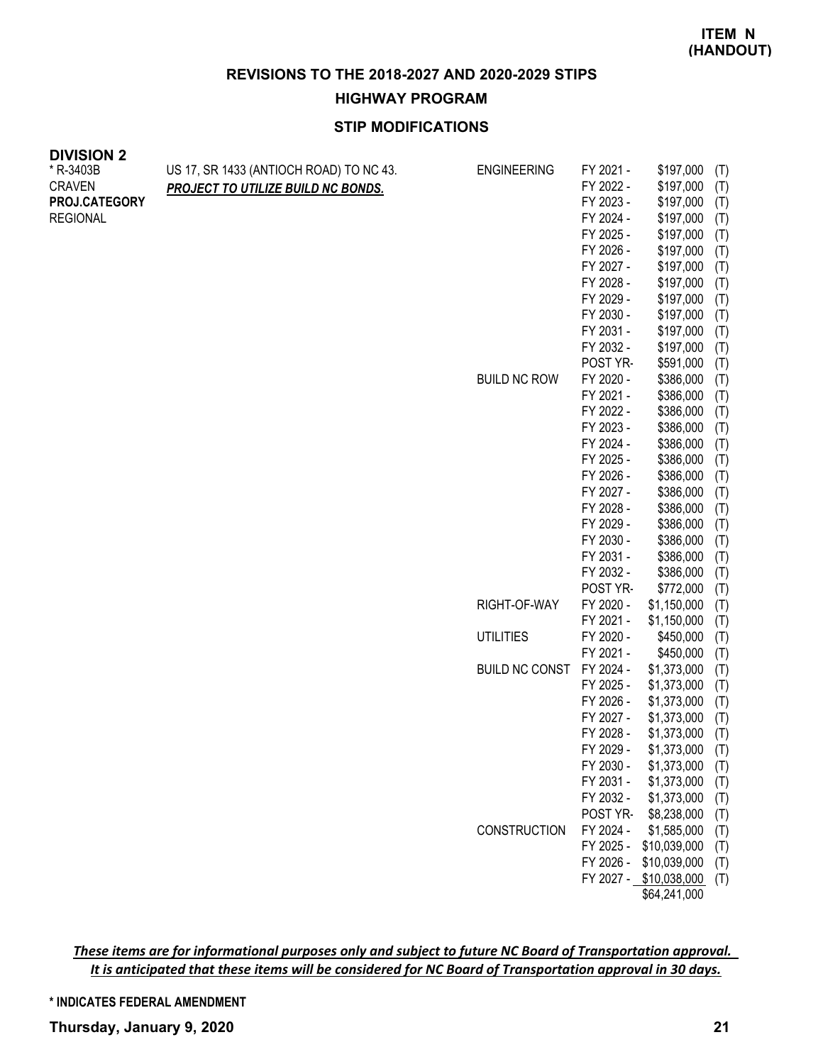### **HIGHWAY PROGRAM**

# **STIP MODIFICATIONS**

| <b>DIVISION 2</b> |                                         |                       |                        |                            |            |
|-------------------|-----------------------------------------|-----------------------|------------------------|----------------------------|------------|
| * R-3403B         | US 17, SR 1433 (ANTIOCH ROAD) TO NC 43. | <b>ENGINEERING</b>    | FY 2021 -              | \$197,000                  | (T)        |
| <b>CRAVEN</b>     | PROJECT TO UTILIZE BUILD NC BONDS.      |                       | FY 2022 -              | \$197,000                  | (T)        |
| PROJ.CATEGORY     |                                         |                       | FY 2023 -              | \$197,000                  | (T)        |
| <b>REGIONAL</b>   |                                         |                       | FY 2024 -              | \$197,000                  | (T)        |
|                   |                                         |                       | FY 2025 -              | \$197,000                  | (T)        |
|                   |                                         |                       | FY 2026 -              | \$197,000                  | (T)        |
|                   |                                         |                       | FY 2027 -              | \$197,000                  | (T)        |
|                   |                                         |                       | FY 2028 -              | \$197,000                  | (T)        |
|                   |                                         |                       | FY 2029 -              | \$197,000                  | (T)        |
|                   |                                         |                       | FY 2030 -              | \$197,000                  | (T)        |
|                   |                                         |                       | FY 2031 -              | \$197,000                  | (T)        |
|                   |                                         |                       | FY 2032 -              | \$197,000                  | (T)        |
|                   |                                         |                       | POST YR-               | \$591,000                  | (T)        |
|                   |                                         | <b>BUILD NC ROW</b>   | FY 2020 -              | \$386,000                  | (T)        |
|                   |                                         |                       | FY 2021 -              | \$386,000                  | (T)        |
|                   |                                         |                       | FY 2022 -              | \$386,000                  | (T)        |
|                   |                                         |                       | FY 2023 -              | \$386,000                  | (T)        |
|                   |                                         |                       | FY 2024 -              | \$386,000                  | (T)        |
|                   |                                         |                       | FY 2025 -              | \$386,000                  | (T)        |
|                   |                                         |                       | FY 2026 -              | \$386,000                  | (T)        |
|                   |                                         |                       | FY 2027 -              | \$386,000                  | (T)        |
|                   |                                         |                       | FY 2028 -              | \$386,000                  | (T)        |
|                   |                                         |                       | FY 2029 -              | \$386,000                  | (T)        |
|                   |                                         |                       | FY 2030 -              | \$386,000                  | (T)        |
|                   |                                         |                       | FY 2031 -              | \$386,000                  | (T)        |
|                   |                                         |                       | FY 2032 -              | \$386,000                  | (T)        |
|                   |                                         |                       | POST YR-               | \$772,000                  | (T)        |
|                   |                                         | RIGHT-OF-WAY          | FY 2020 -              | \$1,150,000                | (T)        |
|                   |                                         |                       | FY 2021 -              | \$1,150,000                | (T)        |
|                   |                                         | <b>UTILITIES</b>      | FY 2020 -              | \$450,000                  | (T)        |
|                   |                                         |                       | FY 2021 -              | \$450,000                  | (T)        |
|                   |                                         | <b>BUILD NC CONST</b> | FY 2024 -              | \$1,373,000                | (T)        |
|                   |                                         |                       | FY 2025 -              | \$1,373,000                | (T)        |
|                   |                                         |                       | FY 2026 -<br>FY 2027 - | \$1,373,000<br>\$1,373,000 | (T)        |
|                   |                                         |                       | FY 2028 -              | \$1,373,000                | (T)        |
|                   |                                         |                       | FY 2029 -              | $$1,373,000$ (T)           | (T)        |
|                   |                                         |                       | FY 2030 -              | \$1,373,000                |            |
|                   |                                         |                       | FY 2031 -              | \$1,373,000                | (T)<br>(T) |
|                   |                                         |                       | FY 2032 -              | \$1,373,000                | (T)        |
|                   |                                         |                       | POST YR-               | \$8,238,000                | (T)        |
|                   |                                         | CONSTRUCTION          | FY 2024 -              | \$1,585,000                | (T)        |
|                   |                                         |                       | FY 2025 -              | \$10,039,000               | (T)        |
|                   |                                         |                       | FY 2026 -              | \$10,039,000               | (T)        |
|                   |                                         |                       |                        | FY 2027 - \$10,038,000     | (T)        |
|                   |                                         |                       |                        | \$64,241,000               |            |
|                   |                                         |                       |                        |                            |            |

*These items are for informational purposes only and subject to future NC Board of Transportation approval. It is anticipated that these items will be considered for NC Board of Transportation approval in 30 days.*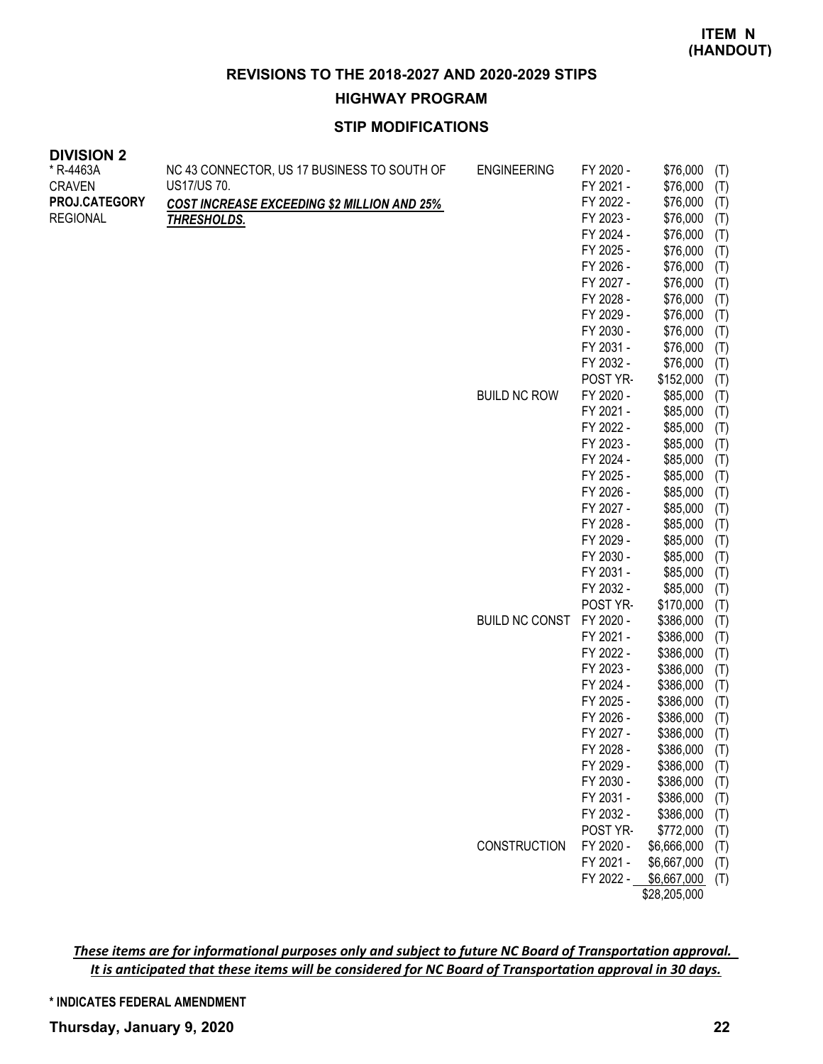**HIGHWAY PROGRAM**

# **STIP MODIFICATIONS**

| * R-4463A       | NC 43 CONNECTOR, US 17 BUSINESS TO SOUTH OF        | <b>ENGINEERING</b>    | FY 2020 - | \$76,000     | (T) |
|-----------------|----------------------------------------------------|-----------------------|-----------|--------------|-----|
| <b>CRAVEN</b>   | US17/US 70.                                        |                       | FY 2021 - | \$76,000     | (T) |
| PROJ.CATEGORY   | <b>COST INCREASE EXCEEDING \$2 MILLION AND 25%</b> |                       | FY 2022 - | \$76,000     | (T) |
| <b>REGIONAL</b> | <b>THRESHOLDS.</b>                                 |                       | FY 2023 - | \$76,000     | (T) |
|                 |                                                    |                       | FY 2024 - | \$76,000     | (T) |
|                 |                                                    |                       | FY 2025 - | \$76,000     | (T) |
|                 |                                                    |                       | FY 2026 - | \$76,000     | (T) |
|                 |                                                    |                       | FY 2027 - | \$76,000     | (T) |
|                 |                                                    |                       | FY 2028 - | \$76,000     | (T) |
|                 |                                                    |                       | FY 2029 - | \$76,000     | (T) |
|                 |                                                    |                       | FY 2030 - | \$76,000     | (T) |
|                 |                                                    |                       | FY 2031 - | \$76,000     | (T) |
|                 |                                                    |                       | FY 2032 - | \$76,000     | (T) |
|                 |                                                    |                       | POST YR-  | \$152,000    | (T) |
|                 |                                                    | <b>BUILD NC ROW</b>   | FY 2020 - | \$85,000     | (T) |
|                 |                                                    |                       | FY 2021 - | \$85,000     | (T) |
|                 |                                                    |                       | FY 2022 - | \$85,000     | (T) |
|                 |                                                    |                       | FY 2023 - | \$85,000     | (T) |
|                 |                                                    |                       | FY 2024 - | \$85,000     | (T) |
|                 |                                                    |                       | FY 2025 - | \$85,000     | (T) |
|                 |                                                    |                       | FY 2026 - | \$85,000     | (T) |
|                 |                                                    |                       | FY 2027 - | \$85,000     | (T) |
|                 |                                                    |                       | FY 2028 - | \$85,000     | (T) |
|                 |                                                    |                       | FY 2029 - | \$85,000     | (T) |
|                 |                                                    |                       | FY 2030 - | \$85,000     | (T) |
|                 |                                                    |                       | FY 2031 - | \$85,000     | (T) |
|                 |                                                    |                       | FY 2032 - | \$85,000     | (T) |
|                 |                                                    |                       | POST YR-  | \$170,000    | (T) |
|                 |                                                    | <b>BUILD NC CONST</b> | FY 2020 - | \$386,000    | (T) |
|                 |                                                    |                       | FY 2021 - | \$386,000    | (T) |
|                 |                                                    |                       | FY 2022 - | \$386,000    | (T) |
|                 |                                                    |                       | FY 2023 - | \$386,000    | (T) |
|                 |                                                    |                       | FY 2024 - | \$386,000    | (T) |
|                 |                                                    |                       | FY 2025 - | \$386,000    | (T) |
|                 |                                                    |                       | FY 2026 - | \$386,000    | (T) |
|                 |                                                    |                       | FY 2027 - | \$386,000    | (T) |
|                 |                                                    |                       | FY 2028 - | \$386,000    | (T) |
|                 |                                                    |                       | FY 2029 - | \$386,000    | (T) |
|                 |                                                    |                       | FY 2030 - | \$386,000    | (T) |
|                 |                                                    |                       | FY 2031 - | \$386,000    | (T) |
|                 |                                                    |                       | FY 2032 - | \$386,000    | (T) |
|                 |                                                    |                       | POST YR-  | \$772,000    | (T) |
|                 |                                                    | <b>CONSTRUCTION</b>   | FY 2020 - | \$6,666,000  | (T) |
|                 |                                                    |                       | FY 2021 - | \$6,667,000  | (T) |
|                 |                                                    |                       | FY 2022 - | \$6,667,000  | (T) |
|                 |                                                    |                       |           | \$28,205,000 |     |

*These items are for informational purposes only and subject to future NC Board of Transportation approval. It is anticipated that these items will be considered for NC Board of Transportation approval in 30 days.*

**\* INDICATES FEDERAL AMENDMENT**

**DIVISION 2**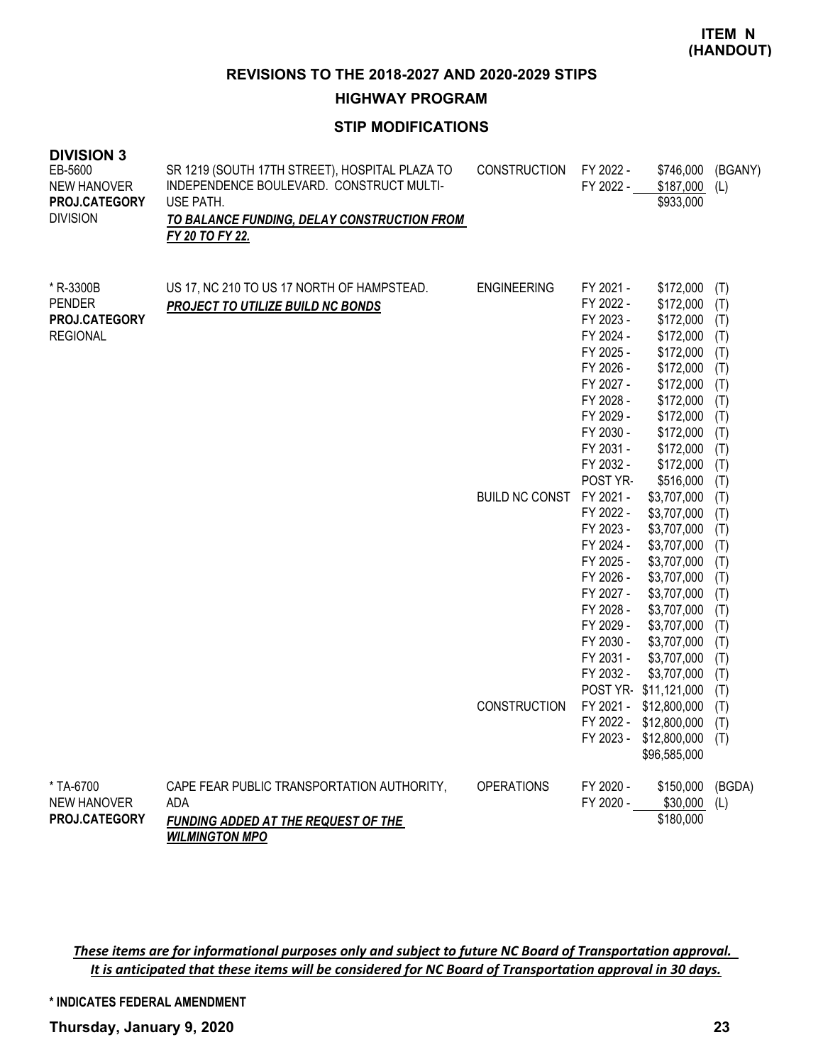**HIGHWAY PROGRAM**

# **STIP MODIFICATIONS**

| <b>DIVISION 3</b><br>EB-5600<br><b>NEW HANOVER</b><br>PROJ.CATEGORY<br><b>DIVISION</b> | SR 1219 (SOUTH 17TH STREET), HOSPITAL PLAZA TO<br>INDEPENDENCE BOULEVARD. CONSTRUCT MULTI-<br>USE PATH.<br>TO BALANCE FUNDING, DELAY CONSTRUCTION FROM<br>FY 20 TO FY 22. | <b>CONSTRUCTION</b>                         | FY 2022 -<br>FY 2022 -                                                                                                                                                                                      | \$746,000<br>\$187,000<br>\$933,000                                                                                                                                                                                                                       | (BGANY)<br>(L)                                                                                               |
|----------------------------------------------------------------------------------------|---------------------------------------------------------------------------------------------------------------------------------------------------------------------------|---------------------------------------------|-------------------------------------------------------------------------------------------------------------------------------------------------------------------------------------------------------------|-----------------------------------------------------------------------------------------------------------------------------------------------------------------------------------------------------------------------------------------------------------|--------------------------------------------------------------------------------------------------------------|
| * R-3300B<br><b>PENDER</b><br>PROJ.CATEGORY<br><b>REGIONAL</b>                         | US 17, NC 210 TO US 17 NORTH OF HAMPSTEAD.<br><b>PROJECT TO UTILIZE BUILD NC BONDS</b>                                                                                    | <b>ENGINEERING</b><br><b>BUILD NC CONST</b> | FY 2021 -<br>FY 2022 -<br>FY 2023 -<br>FY 2024 -<br>FY 2025 -<br>FY 2026 -<br>FY 2027 -<br>FY 2028 -<br>FY 2029 -<br>FY 2030 -<br>FY 2031 -<br>FY 2032 -<br>POST YR-<br>FY 2021 -<br>FY 2022 -<br>FY 2023 - | \$172,000<br>\$172,000<br>\$172,000<br>\$172,000<br>\$172,000<br>\$172,000<br>\$172,000<br>\$172,000<br>\$172,000<br>\$172,000<br>\$172,000<br>\$172,000<br>\$516,000<br>\$3,707,000<br>\$3,707,000<br>\$3,707,000                                        | (T)<br>(T)<br>(T)<br>(T)<br>(T)<br>(T)<br>(T)<br>(T)<br>(T)<br>(T)<br>(T)<br>(T)<br>(T)<br>(T)<br>(T)<br>(T) |
|                                                                                        |                                                                                                                                                                           | <b>CONSTRUCTION</b>                         | FY 2024 -<br>FY 2025 -<br>FY 2026 -<br>FY 2027 -<br>FY 2028 -<br>FY 2029 -<br>FY 2030 -<br>FY 2031 -<br>FY 2032 -                                                                                           | \$3,707,000<br>\$3,707,000<br>\$3,707,000<br>\$3,707,000<br>\$3,707,000<br>\$3,707,000<br>\$3,707,000<br>\$3,707,000<br>\$3,707,000<br>POST YR-\$11,121,000<br>FY 2021 - \$12,800,000<br>FY 2022 - \$12,800,000<br>FY 2023 - \$12,800,000<br>\$96,585,000 | (T)<br>(T)<br>(T)<br>(T)<br>(T)<br>(T)<br>(T)<br>(T)<br>(T)<br>(T)<br>(T)<br>(T)<br>(T)                      |
| * TA-6700<br><b>NEW HANOVER</b><br>PROJ.CATEGORY                                       | CAPE FEAR PUBLIC TRANSPORTATION AUTHORITY,<br><b>ADA</b><br>FUNDING ADDED AT THE REQUEST OF THE<br><b>WILMINGTON MPO</b>                                                  | <b>OPERATIONS</b>                           | FY 2020 -<br>FY 2020 -                                                                                                                                                                                      | \$150,000<br>\$30,000<br>\$180,000                                                                                                                                                                                                                        | (BGDA)<br>(L)                                                                                                |

*These items are for informational purposes only and subject to future NC Board of Transportation approval. It is anticipated that these items will be considered for NC Board of Transportation approval in 30 days.*

**\* INDICATES FEDERAL AMENDMENT**

**Thursday, January 9, 2020 23**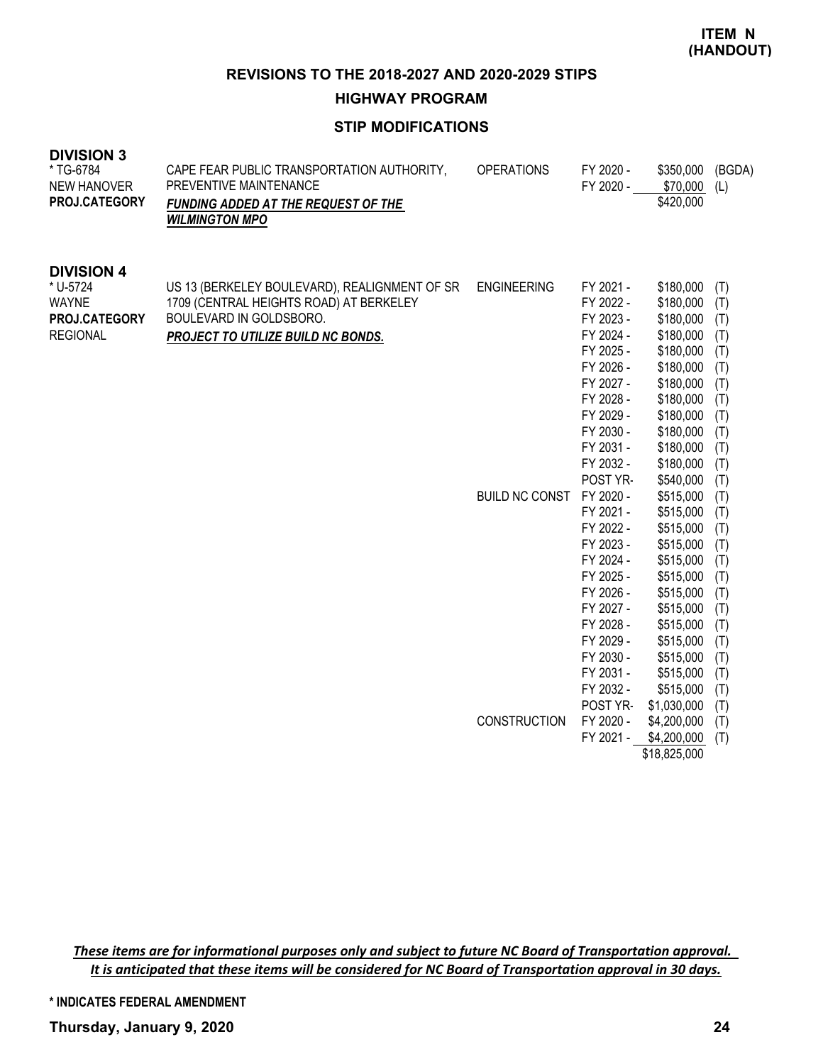**HIGHWAY PROGRAM**

# **STIP MODIFICATIONS**

| <b>DIVISION 3</b><br>* TG-6784<br><b>NEW HANOVER</b><br>PROJ.CATEGORY             | CAPE FEAR PUBLIC TRANSPORTATION AUTHORITY,<br>PREVENTIVE MAINTENANCE<br>FUNDING ADDED AT THE REQUEST OF THE<br><b>WILMINGTON MPO</b>                      | <b>OPERATIONS</b>                           | FY 2020 -<br>FY 2020 -                                                                                                                                                                                                                                                                                                                                    | \$350,000<br>\$70,000<br>\$420,000                                                                                                                                                                                                                                                                                                                            | (BGDA)<br>(L)                                                                                                                                                                             |
|-----------------------------------------------------------------------------------|-----------------------------------------------------------------------------------------------------------------------------------------------------------|---------------------------------------------|-----------------------------------------------------------------------------------------------------------------------------------------------------------------------------------------------------------------------------------------------------------------------------------------------------------------------------------------------------------|---------------------------------------------------------------------------------------------------------------------------------------------------------------------------------------------------------------------------------------------------------------------------------------------------------------------------------------------------------------|-------------------------------------------------------------------------------------------------------------------------------------------------------------------------------------------|
| <b>DIVISION 4</b><br>* U-5724<br><b>WAYNE</b><br>PROJ.CATEGORY<br><b>REGIONAL</b> | US 13 (BERKELEY BOULEVARD), REALIGNMENT OF SR<br>1709 (CENTRAL HEIGHTS ROAD) AT BERKELEY<br>BOULEVARD IN GOLDSBORO.<br>PROJECT TO UTILIZE BUILD NC BONDS. | <b>ENGINEERING</b><br><b>BUILD NC CONST</b> | FY 2021 -<br>FY 2022 -<br>FY 2023 -<br>FY 2024 -<br>FY 2025 -<br>FY 2026 -<br>FY 2027 -<br>FY 2028 -<br>FY 2029 -<br>FY 2030 -<br>FY 2031 -<br>FY 2032 -<br>POST YR-<br>FY 2020 -<br>FY 2021 -<br>FY 2022 -<br>FY 2023 -<br>FY 2024 -<br>FY 2025 -<br>FY 2026 -<br>FY 2027 -<br>FY 2028 -<br>FY 2029 -<br>FY 2030 -<br>FY 2031 -<br>FY 2032 -<br>POST YR- | \$180,000<br>\$180,000<br>\$180,000<br>\$180,000<br>\$180,000<br>\$180,000<br>\$180,000<br>\$180,000<br>\$180,000<br>\$180,000<br>\$180,000<br>\$180,000<br>\$540,000<br>\$515,000<br>\$515,000<br>\$515,000<br>\$515,000<br>\$515,000<br>\$515,000<br>\$515,000<br>\$515,000<br>\$515,000<br>\$515,000<br>\$515,000<br>\$515,000<br>\$515,000<br>\$1,030,000 | (T)<br>(T)<br>(T)<br>(T)<br>(T)<br>(T)<br>(T)<br>(T)<br>(T)<br>(T)<br>(T)<br>(T)<br>(T)<br>(T)<br>(T)<br>(T)<br>(T)<br>(T)<br>(T)<br>(T)<br>(T)<br>(T)<br>(T)<br>(T)<br>(T)<br>(T)<br>(T) |
|                                                                                   |                                                                                                                                                           | <b>CONSTRUCTION</b>                         | FY 2020 -<br>FY 2021 -                                                                                                                                                                                                                                                                                                                                    | \$4,200,000<br>\$4,200,000<br>\$18,825,000                                                                                                                                                                                                                                                                                                                    | (T)<br>(T)                                                                                                                                                                                |

*These items are for informational purposes only and subject to future NC Board of Transportation approval. It is anticipated that these items will be considered for NC Board of Transportation approval in 30 days.*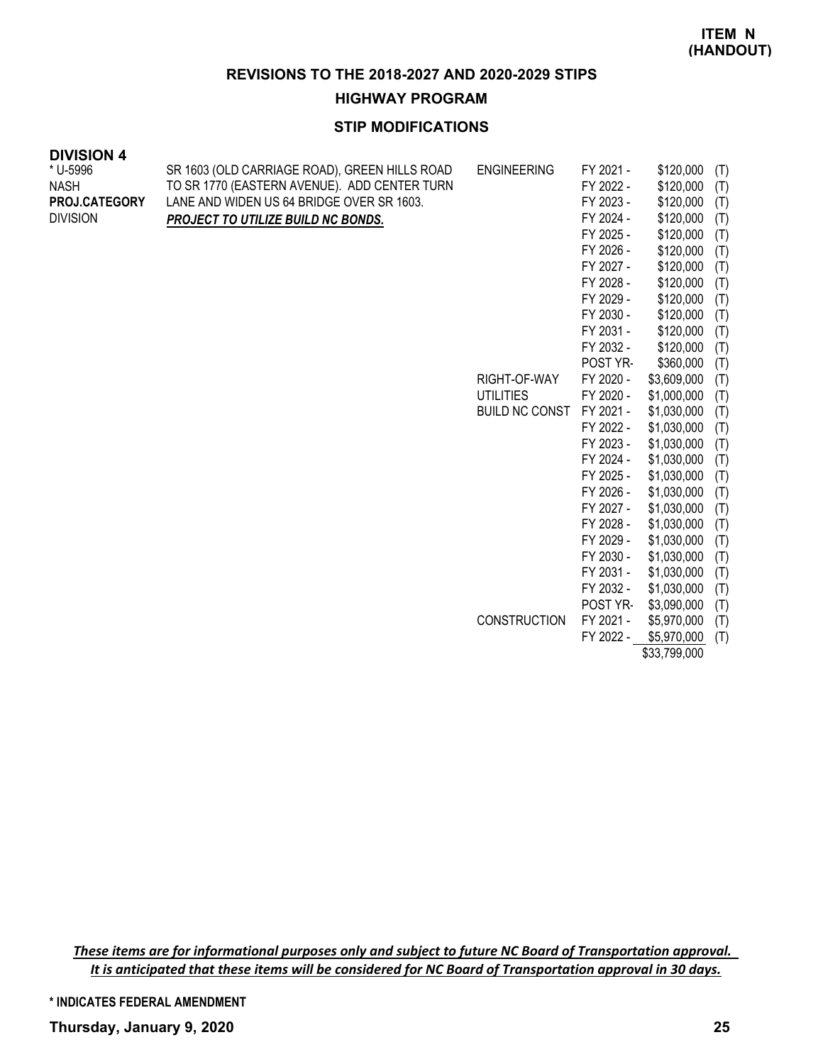**HIGHWAY PROGRAM**

# **STIP MODIFICATIONS**

| <b>DIVISION 4</b> |                                               |                       |           |             |     |
|-------------------|-----------------------------------------------|-----------------------|-----------|-------------|-----|
| * U-5996          | SR 1603 (OLD CARRIAGE ROAD), GREEN HILLS ROAD | <b>ENGINEERING</b>    | FY 2021 - | \$120,000   | (T) |
| <b>NASH</b>       | TO SR 1770 (EASTERN AVENUE). ADD CENTER TURN  |                       | FY 2022 - | \$120,000   | (T) |
| PROJ.CATEGORY     | LANE AND WIDEN US 64 BRIDGE OVER SR 1603.     |                       | FY 2023 - | \$120,000   | (T) |
| <b>DIVISION</b>   | PROJECT TO UTILIZE BUILD NC BONDS.            |                       | FY 2024 - | \$120,000   | (T) |
|                   |                                               |                       | FY 2025 - | \$120,000   | (T) |
|                   |                                               |                       | FY 2026 - | \$120,000   | (T) |
|                   |                                               |                       | FY 2027 - | \$120,000   | (T) |
|                   |                                               |                       | FY 2028 - | \$120,000   | (T) |
|                   |                                               |                       | FY 2029 - | \$120,000   | (T) |
|                   |                                               |                       | FY 2030 - | \$120,000   | (T) |
|                   |                                               |                       | FY 2031 - | \$120,000   | (T) |
|                   |                                               |                       | FY 2032 - | \$120,000   | (T) |
|                   |                                               |                       | POST YR-  | \$360,000   | (T) |
|                   |                                               | RIGHT-OF-WAY          | FY 2020 - | \$3,609,000 | (T) |
|                   |                                               | <b>UTILITIES</b>      | FY 2020 - | \$1,000,000 | (T) |
|                   |                                               | <b>BUILD NC CONST</b> | FY 2021 - | \$1,030,000 | (T) |
|                   |                                               |                       | FY 2022 - | \$1,030,000 | (T) |
|                   |                                               |                       | FY 2023 - | \$1,030,000 | (T) |
|                   |                                               |                       | FY 2024 - | \$1,030,000 | (T) |
|                   |                                               |                       | FY 2025 - | \$1,030,000 | (T) |
|                   |                                               |                       | FY 2026 - | \$1,030,000 | (T) |
|                   |                                               |                       | FY 2027 - | \$1,030,000 | (T) |
|                   |                                               |                       | FY 2028 - | \$1,030,000 | (T) |
|                   |                                               |                       | FY 2029 - | \$1,030,000 | (T) |
|                   |                                               |                       | FY 2030 - | \$1,030,000 | (T) |
|                   |                                               |                       | FY 2031 - | \$1,030,000 | (T) |
|                   |                                               |                       | FY 2032 - | \$1,030,000 | (T) |
|                   |                                               |                       | POST YR-  | \$3,090,000 | (T) |
|                   |                                               | <b>CONSTRUCTION</b>   | FY 2021 - | \$5,970,000 | (T) |
|                   |                                               |                       | FY 2022 - | \$5,970,000 | (T) |

\$33,799,000

*These items are for informational purposes only and subject to future NC Board of Transportation approval. It is anticipated that these items will be considered for NC Board of Transportation approval in 30 days.*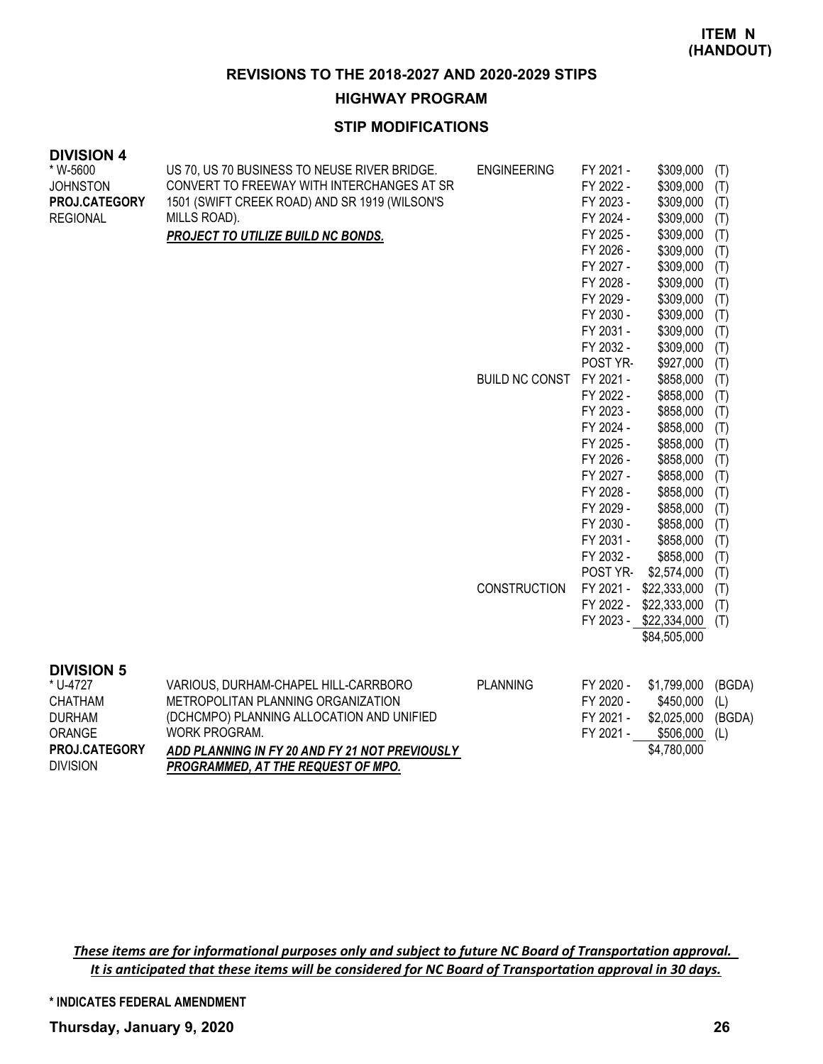**HIGHWAY PROGRAM**

# **STIP MODIFICATIONS**

| <b>DIVISION 4</b><br>* W-5600<br><b>JOHNSTON</b><br>PROJ.CATEGORY<br><b>REGIONAL</b>                           | US 70, US 70 BUSINESS TO NEUSE RIVER BRIDGE.<br>CONVERT TO FREEWAY WITH INTERCHANGES AT SR<br>1501 (SWIFT CREEK ROAD) AND SR 1919 (WILSON'S<br>MILLS ROAD).<br><b>PROJECT TO UTILIZE BUILD NC BONDS.</b>                         | <b>ENGINEERING</b><br>BUILD NC CONST | FY 2021 -<br>FY 2022 -<br>FY 2023 -<br>FY 2024 -<br>FY 2025 -<br>FY 2026 -<br>FY 2027 -<br>FY 2028 -<br>FY 2029 -<br>FY 2030 -<br>FY 2031 -<br>FY 2032 -<br>POST YR-<br>FY 2021 -<br>FY 2022 -<br>FY 2023 -<br>FY 2024 -<br>FY 2025 -<br>FY 2026 -<br>FY 2027 -<br>FY 2028 -<br>FY 2029 -<br>FY 2030 - | \$309,000<br>\$309,000<br>\$309,000<br>\$309,000<br>\$309,000<br>\$309,000<br>\$309,000<br>\$309,000<br>\$309,000<br>\$309,000<br>\$309,000<br>\$309,000<br>\$927,000<br>\$858,000<br>\$858,000<br>\$858,000<br>\$858,000<br>\$858,000<br>\$858,000<br>\$858,000<br>\$858,000<br>\$858,000<br>\$858,000 | (T)<br>(T)<br>(T)<br>(T)<br>(T)<br>(T)<br>(T)<br>(T)<br>(T)<br>(T)<br>(T)<br>(T)<br>(T)<br>(T)<br>(T)<br>(T)<br>(T)<br>(T)<br>(T)<br>(T)<br>(T)<br>(T)<br>(T) |
|----------------------------------------------------------------------------------------------------------------|----------------------------------------------------------------------------------------------------------------------------------------------------------------------------------------------------------------------------------|--------------------------------------|--------------------------------------------------------------------------------------------------------------------------------------------------------------------------------------------------------------------------------------------------------------------------------------------------------|---------------------------------------------------------------------------------------------------------------------------------------------------------------------------------------------------------------------------------------------------------------------------------------------------------|---------------------------------------------------------------------------------------------------------------------------------------------------------------|
|                                                                                                                |                                                                                                                                                                                                                                  | <b>CONSTRUCTION</b>                  | FY 2031 -<br>FY 2032 -<br>POST YR-<br>FY 2021 -<br>FY 2022 -                                                                                                                                                                                                                                           | \$858,000<br>\$858,000<br>\$2,574,000<br>\$22,333,000<br>\$22,333,000<br>FY 2023 - \$22,334,000<br>\$84,505,000                                                                                                                                                                                         | (T)<br>(T)<br>(T)<br>(T)<br>(T)<br>(T)                                                                                                                        |
| <b>DIVISION 5</b><br>* U-4727<br><b>CHATHAM</b><br><b>DURHAM</b><br>ORANGE<br>PROJ.CATEGORY<br><b>DIVISION</b> | VARIOUS, DURHAM-CHAPEL HILL-CARRBORO<br>METROPOLITAN PLANNING ORGANIZATION<br>(DCHCMPO) PLANNING ALLOCATION AND UNIFIED<br>WORK PROGRAM.<br>ADD PLANNING IN FY 20 AND FY 21 NOT PREVIOUSLY<br>PROGRAMMED, AT THE REQUEST OF MPO. | <b>PLANNING</b>                      | FY 2020 -<br>FY 2020 -<br>FY 2021 -<br>FY 2021 -                                                                                                                                                                                                                                                       | \$1,799,000<br>\$450,000<br>\$2,025,000<br>\$506,000<br>\$4,780,000                                                                                                                                                                                                                                     | (BGDA)<br>(L)<br>(BGDA)<br>(L)                                                                                                                                |

*These items are for informational purposes only and subject to future NC Board of Transportation approval. It is anticipated that these items will be considered for NC Board of Transportation approval in 30 days.*

**\* INDICATES FEDERAL AMENDMENT**

**Thursday, January 9, 2020 26**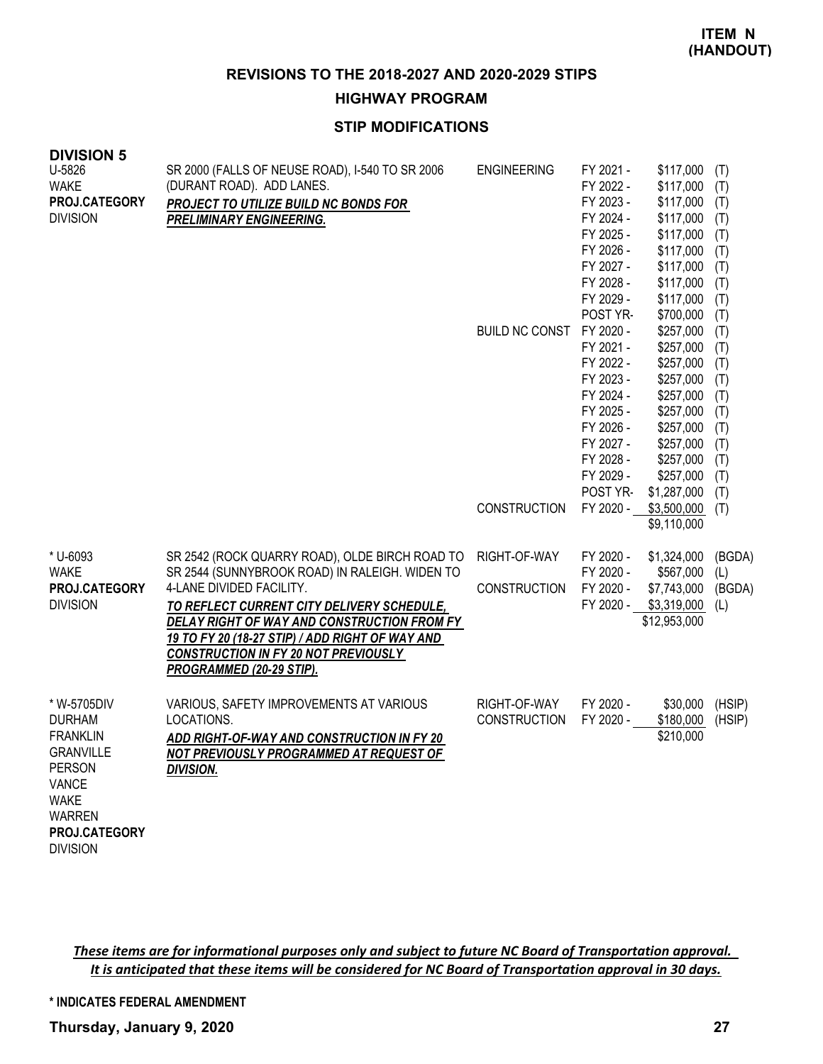**HIGHWAY PROGRAM**

# **STIP MODIFICATIONS**

| <b>DIVISION 5</b><br>U-5826<br><b>WAKE</b><br>PROJ.CATEGORY<br><b>DIVISION</b>                                                                                    | SR 2000 (FALLS OF NEUSE ROAD), I-540 TO SR 2006<br>(DURANT ROAD). ADD LANES.<br>PROJECT TO UTILIZE BUILD NC BONDS FOR<br><b>PRELIMINARY ENGINEERING.</b>                                                                                                                                                                                                | <b>ENGINEERING</b><br><b>BUILD NC CONST</b><br><b>CONSTRUCTION</b> | FY 2021 -<br>FY 2022 -<br>FY 2023 -<br>FY 2024 -<br>FY 2025 -<br>FY 2026 -<br>FY 2027 -<br>FY 2028 -<br>FY 2029 -<br>POST YR-<br>FY 2020 -<br>FY 2021 -<br>FY 2022 -<br>FY 2023 -<br>FY 2024 -<br>FY 2025 -<br>FY 2026 -<br>FY 2027 -<br>FY 2028 -<br>FY 2029 -<br>POST YR-<br>FY 2020 - | \$117,000<br>\$117,000<br>\$117,000<br>\$117,000<br>\$117,000<br>\$117,000<br>\$117,000<br>\$117,000<br>\$117,000<br>\$700,000<br>\$257,000<br>\$257,000<br>\$257,000<br>\$257,000<br>\$257,000<br>\$257,000<br>\$257,000<br>\$257,000<br>\$257,000<br>\$257,000<br>\$1,287,000<br>\$3,500,000 | (T)<br>(T)<br>(T)<br>(T)<br>(T)<br>(T)<br>(T)<br>(T)<br>(T)<br>(T)<br>(T)<br>(T)<br>(T)<br>(T)<br>(T)<br>(T)<br>(T)<br>(T)<br>(T)<br>(T)<br>(T)<br>(T) |
|-------------------------------------------------------------------------------------------------------------------------------------------------------------------|---------------------------------------------------------------------------------------------------------------------------------------------------------------------------------------------------------------------------------------------------------------------------------------------------------------------------------------------------------|--------------------------------------------------------------------|------------------------------------------------------------------------------------------------------------------------------------------------------------------------------------------------------------------------------------------------------------------------------------------|------------------------------------------------------------------------------------------------------------------------------------------------------------------------------------------------------------------------------------------------------------------------------------------------|--------------------------------------------------------------------------------------------------------------------------------------------------------|
| * U-6093<br><b>WAKE</b><br>PROJ.CATEGORY<br><b>DIVISION</b>                                                                                                       | SR 2542 (ROCK QUARRY ROAD), OLDE BIRCH ROAD TO<br>SR 2544 (SUNNYBROOK ROAD) IN RALEIGH. WIDEN TO<br>4-LANE DIVIDED FACILITY.<br>TO REFLECT CURRENT CITY DELIVERY SCHEDULE,<br>DELAY RIGHT OF WAY AND CONSTRUCTION FROM FY<br>19 TO FY 20 (18-27 STIP) / ADD RIGHT OF WAY AND<br><b>CONSTRUCTION IN FY 20 NOT PREVIOUSLY</b><br>PROGRAMMED (20-29 STIP). | RIGHT-OF-WAY<br><b>CONSTRUCTION</b>                                | FY 2020 -<br>FY 2020 -<br>FY 2020 -<br>FY 2020 -                                                                                                                                                                                                                                         | \$9,110,000<br>\$1,324,000<br>\$567,000<br>\$7,743,000<br>\$3,319,000<br>\$12,953,000                                                                                                                                                                                                          | (BGDA)<br>(L)<br>(BGDA)<br>(L)                                                                                                                         |
| * W-5705DIV<br><b>DURHAM</b><br><b>FRANKLIN</b><br><b>GRANVILLE</b><br><b>PERSON</b><br><b>VANCE</b><br><b>WAKE</b><br>WARREN<br>PROJ.CATEGORY<br><b>DIVISION</b> | VARIOUS, SAFETY IMPROVEMENTS AT VARIOUS<br>LOCATIONS.<br>ADD RIGHT-OF-WAY AND CONSTRUCTION IN FY 20<br>NOT PREVIOUSLY PROGRAMMED AT REQUEST OF<br><b>DIVISION.</b>                                                                                                                                                                                      | RIGHT-OF-WAY<br><b>CONSTRUCTION</b>                                | FY 2020 -<br>FY 2020 -                                                                                                                                                                                                                                                                   | \$30,000<br>\$180,000<br>\$210,000                                                                                                                                                                                                                                                             | (HSIP)<br>(HSIP)                                                                                                                                       |

*These items are for informational purposes only and subject to future NC Board of Transportation approval. It is anticipated that these items will be considered for NC Board of Transportation approval in 30 days.*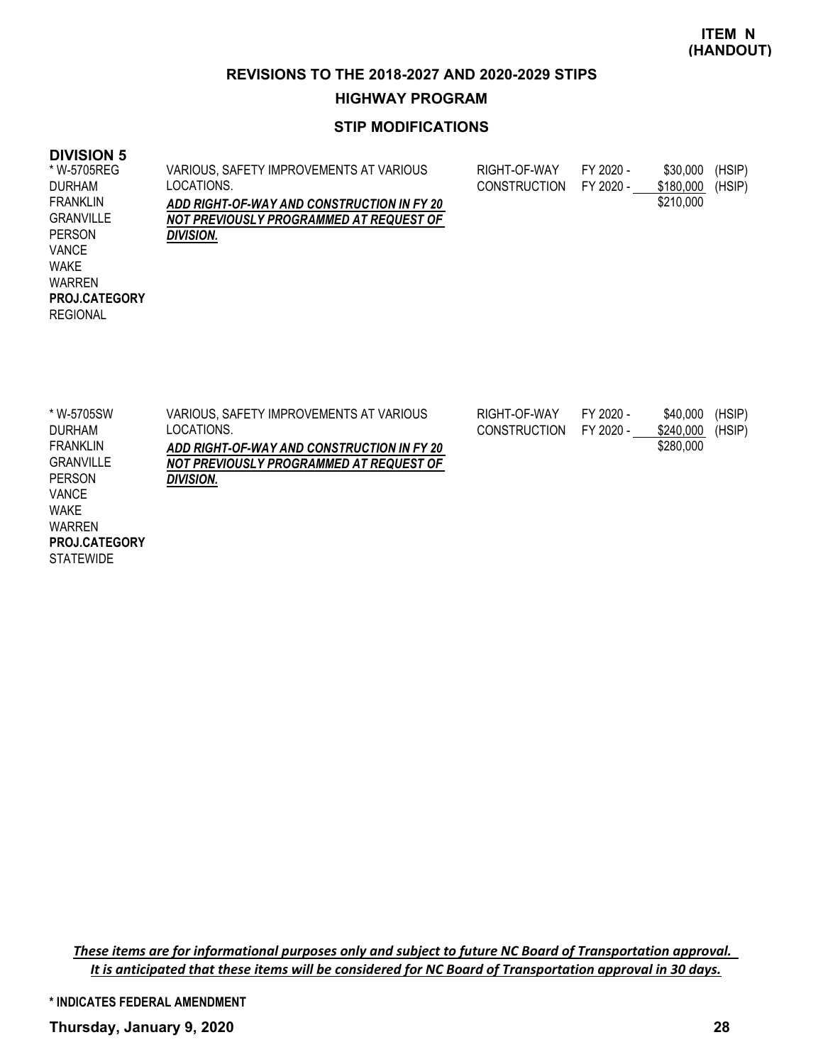### **HIGHWAY PROGRAM**

# **STIP MODIFICATIONS**

# **DIVISION 5**

| * W-5705REG          | VARIOUS, SAFETY IMPROVEMENTS AT VARIOUS    | RIGHT-OF-WAY        | FY 2020 - | \$30,000  | (HSIP) |
|----------------------|--------------------------------------------|---------------------|-----------|-----------|--------|
| <b>DURHAM</b>        | LOCATIONS.                                 | <b>CONSTRUCTION</b> | FY 2020 - | \$180,000 | (HSIP) |
| <b>FRANKLIN</b>      | ADD RIGHT-OF-WAY AND CONSTRUCTION IN FY 20 |                     |           | \$210,000 |        |
| <b>GRANVILLE</b>     | NOT PREVIOUSLY PROGRAMMED AT REQUEST OF    |                     |           |           |        |
| <b>PERSON</b>        | DIVISION.                                  |                     |           |           |        |
| <b>VANCE</b>         |                                            |                     |           |           |        |
| <b>WAKE</b>          |                                            |                     |           |           |        |
| <b>WARREN</b>        |                                            |                     |           |           |        |
| <b>PROJ.CATEGORY</b> |                                            |                     |           |           |        |
| <b>REGIONAL</b>      |                                            |                     |           |           |        |
|                      |                                            |                     |           |           |        |
|                      |                                            |                     |           |           |        |
|                      |                                            |                     |           |           |        |
|                      |                                            |                     |           |           |        |
|                      |                                            |                     |           |           |        |

| * W-5705SW           | VARIOUS, SAFETY IMPROVEMENTS AT VARIOUS    | RIGHT-OF-WAY        | FY 2020 - | \$40,000  | (HSIP) |
|----------------------|--------------------------------------------|---------------------|-----------|-----------|--------|
| DURHAM               | LOCATIONS.                                 | <b>CONSTRUCTION</b> | FY 2020 - | \$240,000 | (HSIP) |
| FRANKLIN             | ADD RIGHT-OF-WAY AND CONSTRUCTION IN FY 20 |                     |           | \$280,000 |        |
| GRANVILLE            | NOT PREVIOUSLY PROGRAMMED AT REQUEST OF    |                     |           |           |        |
| <b>PERSON</b>        | DIVISION.                                  |                     |           |           |        |
| <b>VANCE</b>         |                                            |                     |           |           |        |
| <b>WAKE</b>          |                                            |                     |           |           |        |
| <b>WARREN</b>        |                                            |                     |           |           |        |
| <b>PROJ.CATEGORY</b> |                                            |                     |           |           |        |
| <b>STATEWIDE</b>     |                                            |                     |           |           |        |

*These items are for informational purposes only and subject to future NC Board of Transportation approval. It is anticipated that these items will be considered for NC Board of Transportation approval in 30 days.*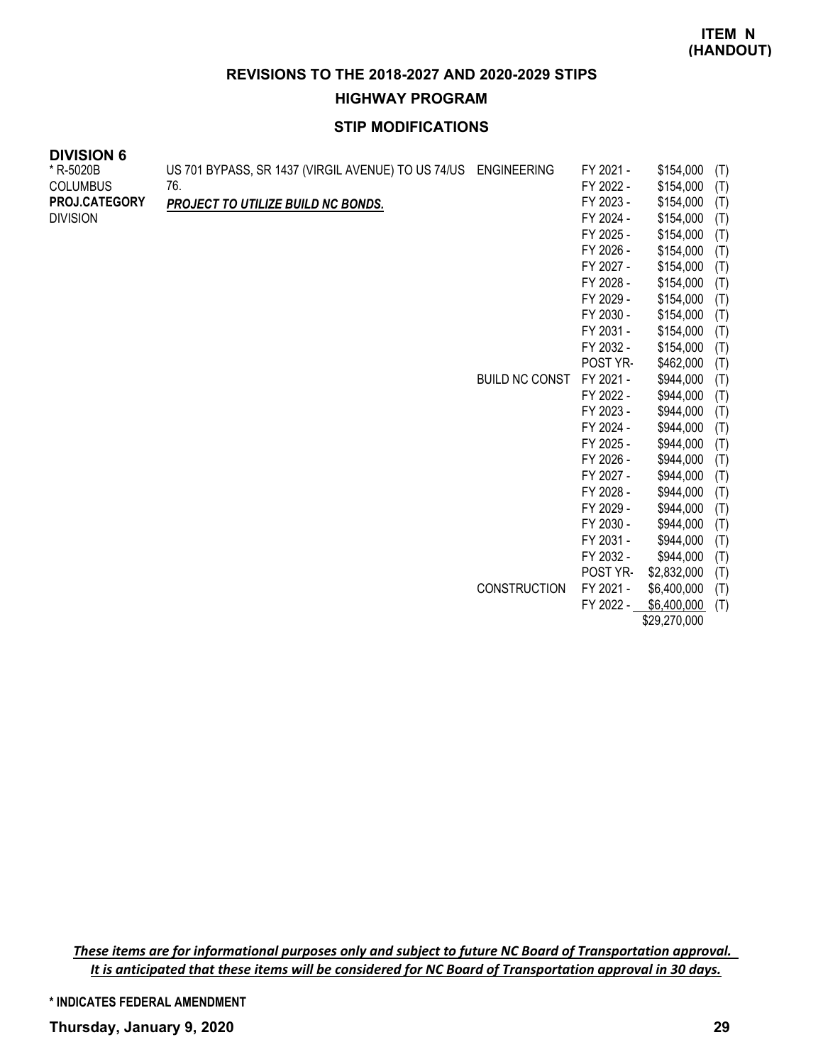# **HIGHWAY PROGRAM**

# **STIP MODIFICATIONS**

| <b>UIVIJIUN 0</b> |                                                                |                       |           |           |     |
|-------------------|----------------------------------------------------------------|-----------------------|-----------|-----------|-----|
| * R-5020B         | US 701 BYPASS, SR 1437 (VIRGIL AVENUE) TO US 74/US ENGINEERING |                       | FY 2021 - | \$154,000 | (T) |
| <b>COLUMBUS</b>   | 76.                                                            |                       | FY 2022 - | \$154,000 | (T) |
| PROJ.CATEGORY     | PROJECT TO UTILIZE BUILD NC BONDS.                             |                       | FY 2023 - | \$154,000 | (T) |
| <b>DIVISION</b>   |                                                                |                       | FY 2024 - | \$154,000 | (T) |
|                   |                                                                |                       | FY 2025 - | \$154,000 | (T) |
|                   |                                                                |                       | FY 2026 - | \$154,000 | (T) |
|                   |                                                                |                       | FY 2027 - | \$154,000 | (T) |
|                   |                                                                |                       | FY 2028 - | \$154,000 | (T) |
|                   |                                                                |                       | FY 2029 - | \$154,000 | (T) |
|                   |                                                                |                       | FY 2030 - | \$154,000 | (T) |
|                   |                                                                |                       | FY 2031 - | \$154,000 | (T) |
|                   |                                                                |                       | FY 2032 - | \$154,000 | (T) |
|                   |                                                                |                       | POST YR-  | \$462,000 | (T) |
|                   |                                                                | <b>BUILD NC CONST</b> | FY 2021 - | \$944,000 | (T) |
|                   |                                                                |                       | FY 2022 - | \$944,000 | (T) |
|                   |                                                                |                       | FY 2023 - | \$944,000 | (T) |
|                   |                                                                |                       | FY 2024 - | \$944,000 | (T) |
|                   |                                                                |                       | FY 2025 - | \$944,000 | (T) |
|                   |                                                                |                       | FY 2026 - | \$944,000 | (T) |
|                   |                                                                |                       | FY 2027 - | \$944,000 | (T) |
|                   |                                                                |                       | FY 2028 - | \$944,000 | (T) |
|                   |                                                                |                       | FY 2029 - | \$944,000 | (T) |
|                   |                                                                |                       | FY 2030 - | \$944,000 | (T) |
|                   |                                                                |                       | FY 2031 - | \$944,000 | (T) |

FY 2032 - \$944,000 (T) POST YR- \$2,832,000 (T) CONSTRUCTION FY 2021 - \$6,400,000 (T)

FY 2022 - \$6,400,000 (T) \$29,270,000

*These items are for informational purposes only and subject to future NC Board of Transportation approval. It is anticipated that these items will be considered for NC Board of Transportation approval in 30 days.*

**\* INDICATES FEDERAL AMENDMENT**

**DIVISION 6**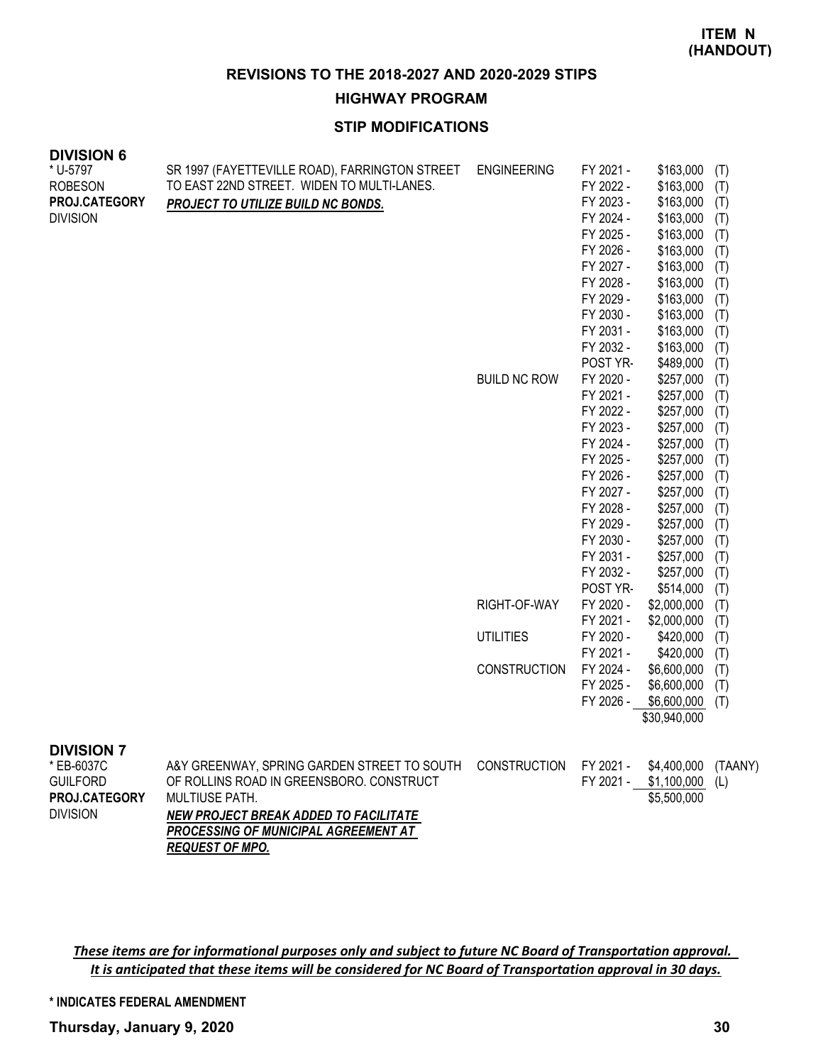**HIGHWAY PROGRAM**

# **STIP MODIFICATIONS**

| SR 1997 (FAYETTEVILLE ROAD), FARRINGTON STREET<br>TO EAST 22ND STREET. WIDEN TO MULTI-LANES.<br>PROJECT TO UTILIZE BUILD NC BONDS.                                                         | <b>ENGINEERING</b><br><b>BUILD NC ROW</b><br>RIGHT-OF-WAY<br><b>UTILITIES</b><br><b>CONSTRUCTION</b> | FY 2021 -<br>FY 2022 -<br>FY 2023 -<br>FY 2024 -<br>FY 2025 -<br>FY 2026 -<br>FY 2027 -<br>FY 2028 -<br>FY 2029 -<br>FY 2030 -<br>FY 2031 -<br>FY 2032 -<br>POST YR-<br>FY 2020 -<br>FY 2021 -<br>FY 2022 -<br>FY 2023 -<br>FY 2024 -<br>FY 2025 -<br>FY 2026 -<br>FY 2027 -<br>FY 2028 -<br>FY 2029 -<br>FY 2030 -<br>FY 2031 -<br>FY 2032 -<br>POST YR-<br>FY 2020 -<br>FY 2021 -<br>FY 2020 -<br>FY 2021 -<br>FY 2024 -<br>FY 2025 - | \$163,000<br>\$163,000<br>\$163,000<br>\$163,000<br>\$163,000<br>\$163,000<br>\$163,000<br>\$163,000<br>\$163,000<br>\$163,000<br>\$163,000<br>\$163,000<br>\$489,000<br>\$257,000<br>\$257,000<br>\$257,000<br>\$257,000<br>\$257,000<br>\$257,000<br>\$257,000<br>\$257,000<br>\$257,000<br>\$257,000<br>\$257,000<br>\$257,000<br>\$257,000<br>\$514,000<br>\$2,000,000<br>\$2,000,000<br>\$420,000<br>\$420,000<br>\$6,600,000<br>\$6,600,000 | (T)<br>(T)<br>(T)<br>(T)<br>(T)<br>(T)<br>(T)<br>(T)<br>(T)<br>(T)<br>(T)<br>(T)<br>(T)<br>(T)<br>(T)<br>(T)<br>(T)<br>(T)<br>(T)<br>(T)<br>(T)<br>(T)<br>(T)<br>(T)<br>(T)<br>(T)<br>(T)<br>(T)<br>(T)<br>(T)<br>(T)<br>(T)<br>(T) |
|--------------------------------------------------------------------------------------------------------------------------------------------------------------------------------------------|------------------------------------------------------------------------------------------------------|-----------------------------------------------------------------------------------------------------------------------------------------------------------------------------------------------------------------------------------------------------------------------------------------------------------------------------------------------------------------------------------------------------------------------------------------|---------------------------------------------------------------------------------------------------------------------------------------------------------------------------------------------------------------------------------------------------------------------------------------------------------------------------------------------------------------------------------------------------------------------------------------------------|-------------------------------------------------------------------------------------------------------------------------------------------------------------------------------------------------------------------------------------|
| A&Y GREENWAY, SPRING GARDEN STREET TO SOUTH<br>OF ROLLINS ROAD IN GREENSBORO. CONSTRUCT<br>MULTIUSE PATH.<br>NEW PROJECT BREAK ADDED TO FACILITATE<br>PROCESSING OF MUNICIPAL AGREEMENT AT | <b>CONSTRUCTION</b>                                                                                  | FY 2021 -                                                                                                                                                                                                                                                                                                                                                                                                                               | $$6,600,000$ (T)<br>\$30,940,000<br>\$4,400,000<br>\$1,100,000<br>\$5,500,000                                                                                                                                                                                                                                                                                                                                                                     | (TAANY)<br>(L)                                                                                                                                                                                                                      |
|                                                                                                                                                                                            | <b>REQUEST OF MPO.</b>                                                                               |                                                                                                                                                                                                                                                                                                                                                                                                                                         |                                                                                                                                                                                                                                                                                                                                                                                                                                                   | FY 2026 -<br>FY 2021 -                                                                                                                                                                                                              |

*These items are for informational purposes only and subject to future NC Board of Transportation approval. It is anticipated that these items will be considered for NC Board of Transportation approval in 30 days.*

**\* INDICATES FEDERAL AMENDMENT**

**Thursday, January 9, 2020 30**

**DIVISION 6**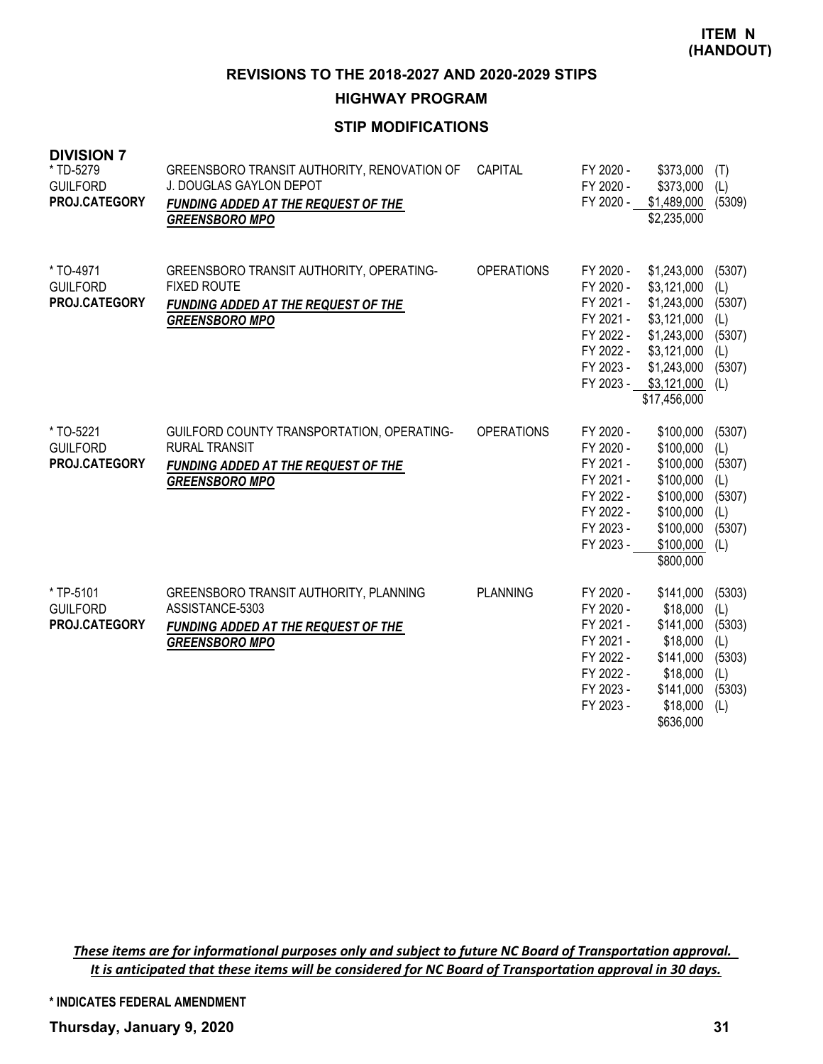**HIGHWAY PROGRAM**

# **STIP MODIFICATIONS**

| <b>DIVISION 7</b><br>* TD-5279<br><b>GUILFORD</b><br>PROJ.CATEGORY | GREENSBORO TRANSIT AUTHORITY, RENOVATION OF<br>J. DOUGLAS GAYLON DEPOT<br>FUNDING ADDED AT THE REQUEST OF THE<br><b>GREENSBORO MPO</b> | CAPITAL           | FY 2020 -<br>FY 2020 -<br>FY 2020 -                                                                  | \$373,000<br>\$373,000<br>\$1,489,000<br>\$2,235,000                                                                                 | (T)<br>(L)<br>(5309)                                             |
|--------------------------------------------------------------------|----------------------------------------------------------------------------------------------------------------------------------------|-------------------|------------------------------------------------------------------------------------------------------|--------------------------------------------------------------------------------------------------------------------------------------|------------------------------------------------------------------|
| * TO-4971<br><b>GUILFORD</b><br>PROJ.CATEGORY                      | GREENSBORO TRANSIT AUTHORITY, OPERATING-<br><b>FIXED ROUTE</b><br><b>FUNDING ADDED AT THE REQUEST OF THE</b><br><b>GREENSBORO MPO</b>  | <b>OPERATIONS</b> | FY 2020 -<br>FY 2020 -<br>FY 2021 -<br>FY 2021 -<br>FY 2022 -<br>FY 2022 -<br>FY 2023 -<br>FY 2023 - | \$1,243,000<br>\$3,121,000<br>\$1,243,000<br>\$3,121,000<br>\$1,243,000<br>\$3,121,000<br>\$1,243,000<br>\$3,121,000<br>\$17,456,000 | (5307)<br>(L)<br>(5307)<br>(L)<br>(5307)<br>(L)<br>(5307)<br>(L) |
| * TO-5221<br><b>GUILFORD</b><br>PROJ.CATEGORY                      | GUILFORD COUNTY TRANSPORTATION, OPERATING-<br><b>RURAL TRANSIT</b><br>FUNDING ADDED AT THE REQUEST OF THE<br><b>GREENSBORO MPO</b>     | <b>OPERATIONS</b> | FY 2020 -<br>FY 2020 -<br>FY 2021 -<br>FY 2021 -<br>FY 2022 -<br>FY 2022 -<br>FY 2023 -<br>FY 2023 - | \$100,000<br>\$100,000<br>\$100,000<br>\$100,000<br>\$100,000<br>\$100,000<br>\$100,000<br>\$100,000<br>\$800,000                    | (5307)<br>(L)<br>(5307)<br>(L)<br>(5307)<br>(L)<br>(5307)<br>(L) |
| * TP-5101<br><b>GUILFORD</b><br>PROJ.CATEGORY                      | GREENSBORO TRANSIT AUTHORITY, PLANNING<br>ASSISTANCE-5303<br><b>FUNDING ADDED AT THE REQUEST OF THE</b><br><b>GREENSBORO MPO</b>       | <b>PLANNING</b>   | FY 2020 -<br>FY 2020 -<br>FY 2021 -<br>FY 2021 -<br>FY 2022 -<br>FY 2022 -<br>FY 2023 -<br>FY 2023 - | \$141,000<br>\$18,000<br>\$141,000<br>\$18,000<br>\$141,000<br>\$18,000<br>\$141,000<br>\$18,000<br>\$636,000                        | (5303)<br>(L)<br>(5303)<br>(L)<br>(5303)<br>(L)<br>(5303)<br>(L) |

*These items are for informational purposes only and subject to future NC Board of Transportation approval. It is anticipated that these items will be considered for NC Board of Transportation approval in 30 days.*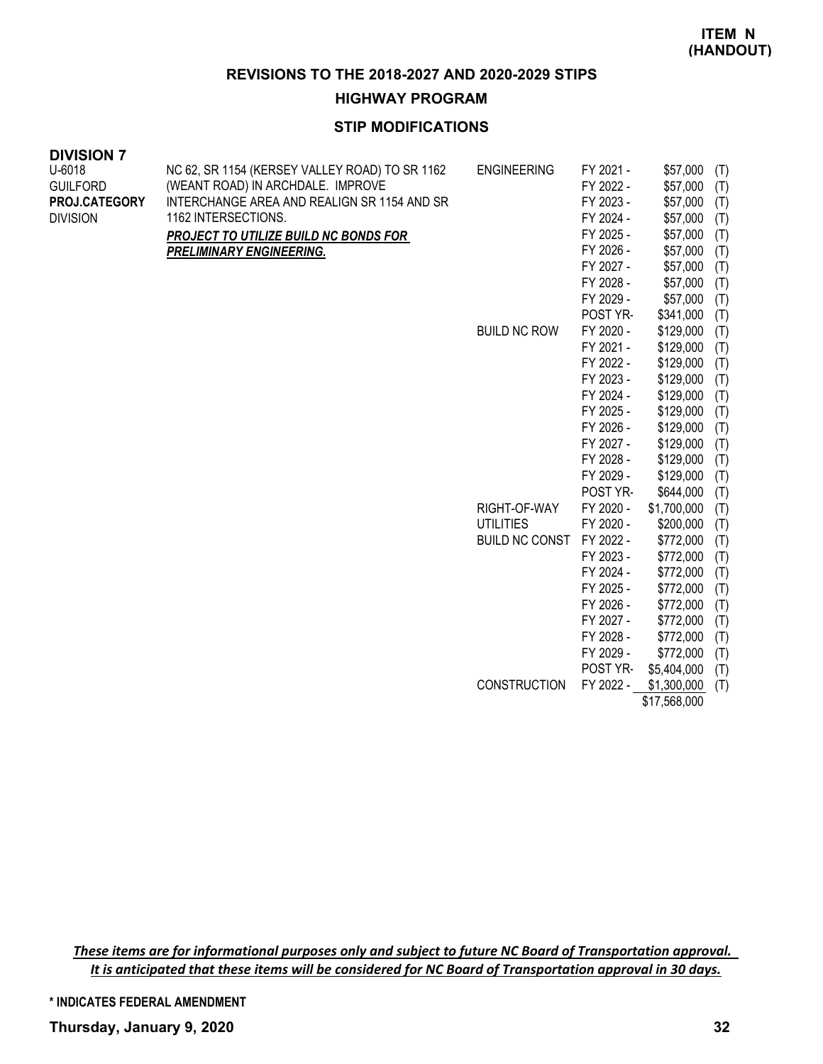**HIGHWAY PROGRAM**

# **STIP MODIFICATIONS**

| <b>DIVISION 7</b> |
|-------------------|
|-------------------|

| U-6018          | NC 62, SR 1154 (KERSEY VALLEY ROAD) TO SR 1162 | <b>ENGINEERING</b>    | FY 2021 - | \$57,000     | (T) |
|-----------------|------------------------------------------------|-----------------------|-----------|--------------|-----|
| <b>GUILFORD</b> | (WEANT ROAD) IN ARCHDALE. IMPROVE              |                       | FY 2022 - | \$57,000     | (T) |
| PROJ.CATEGORY   | INTERCHANGE AREA AND REALIGN SR 1154 AND SR    |                       | FY 2023 - | \$57,000     | (T) |
| <b>DIVISION</b> | 1162 INTERSECTIONS.                            |                       | FY 2024 - | \$57,000     | (T) |
|                 | PROJECT TO UTILIZE BUILD NC BONDS FOR          |                       | FY 2025 - | \$57,000     | (T) |
|                 | <b>PRELIMINARY ENGINEERING.</b>                |                       | FY 2026 - | \$57,000     | (T) |
|                 |                                                |                       | FY 2027 - | \$57,000     | (T) |
|                 |                                                |                       | FY 2028 - | \$57,000     | (T) |
|                 |                                                |                       | FY 2029 - | \$57,000     | (T) |
|                 |                                                |                       | POST YR-  | \$341,000    | (T) |
|                 |                                                | <b>BUILD NC ROW</b>   | FY 2020 - | \$129,000    | (T) |
|                 |                                                |                       | FY 2021 - | \$129,000    | (T) |
|                 |                                                |                       | FY 2022 - | \$129,000    | (T) |
|                 |                                                |                       | FY 2023 - | \$129,000    | (T) |
|                 |                                                |                       | FY 2024 - | \$129,000    | (T) |
|                 |                                                |                       | FY 2025 - | \$129,000    | (T) |
|                 |                                                |                       | FY 2026 - | \$129,000    | (T) |
|                 |                                                |                       | FY 2027 - | \$129,000    | (T) |
|                 |                                                |                       | FY 2028 - | \$129,000    | (T) |
|                 |                                                |                       | FY 2029 - | \$129,000    | (T) |
|                 |                                                |                       | POST YR-  | \$644,000    | (T) |
|                 |                                                | RIGHT-OF-WAY          | FY 2020 - | \$1,700,000  | (T) |
|                 |                                                | <b>UTILITIES</b>      | FY 2020 - | \$200,000    | (T) |
|                 |                                                | <b>BUILD NC CONST</b> | FY 2022 - | \$772,000    | (T) |
|                 |                                                |                       | FY 2023 - | \$772,000    | (T) |
|                 |                                                |                       | FY 2024 - | \$772,000    | (T) |
|                 |                                                |                       | FY 2025 - | \$772,000    | (T) |
|                 |                                                |                       | FY 2026 - | \$772,000    | (T) |
|                 |                                                |                       | FY 2027 - | \$772,000    | (T) |
|                 |                                                |                       | FY 2028 - | \$772,000    | (T) |
|                 |                                                |                       | FY 2029 - | \$772,000    | (T) |
|                 |                                                |                       | POST YR-  | \$5,404,000  | (T) |
|                 |                                                | <b>CONSTRUCTION</b>   | FY 2022 - | \$1,300,000  | (T) |
|                 |                                                |                       |           | \$17,568,000 |     |

*These items are for informational purposes only and subject to future NC Board of Transportation approval. It is anticipated that these items will be considered for NC Board of Transportation approval in 30 days.*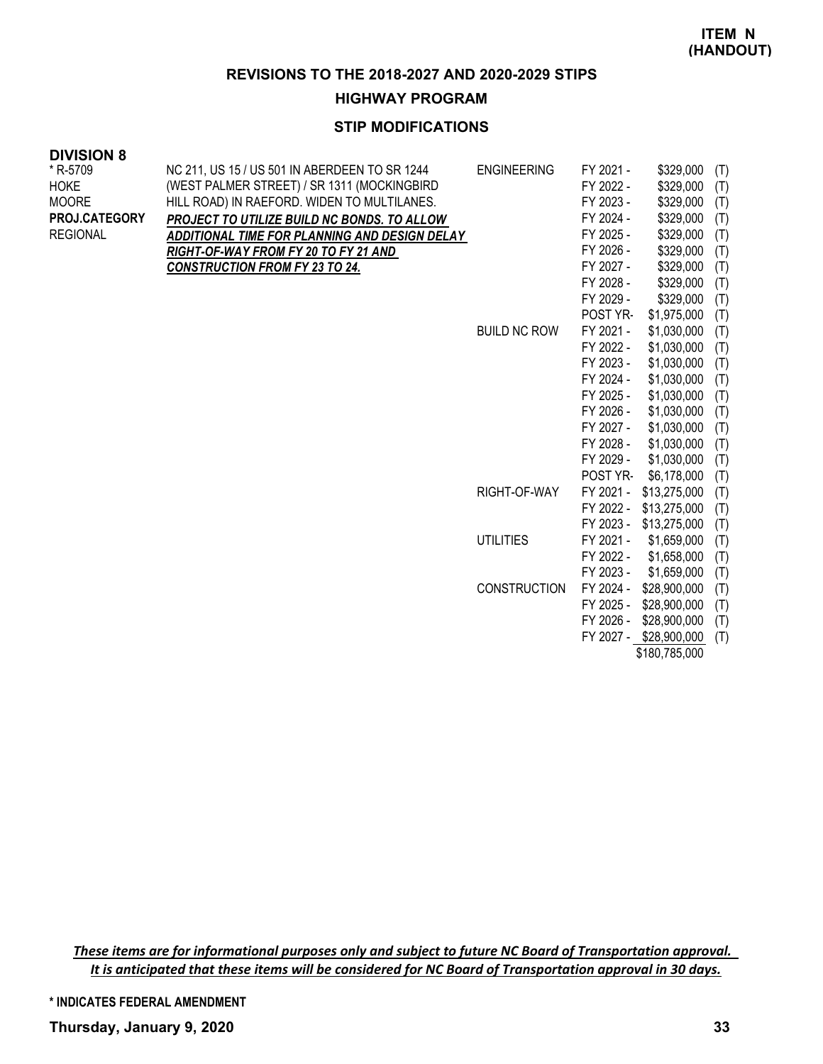#### **HIGHWAY PROGRAM**

### **STIP MODIFICATIONS**

### **DIVISION 8**

| * R-5709        | NC 211, US 15 / US 501 IN ABERDEEN TO SR 1244 | <b>ENGINEERING</b>  | FY 2021 - | \$329,000              | (T) |
|-----------------|-----------------------------------------------|---------------------|-----------|------------------------|-----|
| <b>HOKE</b>     | (WEST PALMER STREET) / SR 1311 (MOCKINGBIRD   |                     | FY 2022 - | \$329,000              | (T) |
| <b>MOORE</b>    | HILL ROAD) IN RAEFORD. WIDEN TO MULTILANES.   |                     | FY 2023 - | \$329,000              | (T) |
| PROJ.CATEGORY   | PROJECT TO UTILIZE BUILD NC BONDS. TO ALLOW   |                     | FY 2024 - | \$329,000              | (T) |
| <b>REGIONAL</b> | ADDITIONAL TIME FOR PLANNING AND DESIGN DELAY |                     | FY 2025 - | \$329,000              | (T) |
|                 | RIGHT-OF-WAY FROM FY 20 TO FY 21 AND          |                     | FY 2026 - | \$329,000              | (T) |
|                 | <b>CONSTRUCTION FROM FY 23 TO 24.</b>         |                     | FY 2027 - | \$329,000              | (T) |
|                 |                                               |                     | FY 2028 - | \$329,000              | (T) |
|                 |                                               |                     | FY 2029 - | \$329,000              | (T) |
|                 |                                               |                     | POST YR-  | \$1,975,000            | (T) |
|                 |                                               | <b>BUILD NC ROW</b> | FY 2021 - | \$1,030,000            | (T) |
|                 |                                               |                     | FY 2022 - | \$1,030,000            | (T) |
|                 |                                               |                     | FY 2023 - | \$1,030,000            | (T) |
|                 |                                               |                     | FY 2024 - | \$1,030,000            | (T) |
|                 |                                               |                     | FY 2025 - | \$1,030,000            | (T) |
|                 |                                               |                     | FY 2026 - | \$1,030,000            | (T) |
|                 |                                               |                     | FY 2027 - | \$1,030,000            | (T) |
|                 |                                               |                     | FY 2028 - | \$1,030,000            | (T) |
|                 |                                               |                     | FY 2029 - | \$1,030,000            | (T) |
|                 |                                               |                     | POST YR-  | \$6,178,000            | (T) |
|                 |                                               | RIGHT-OF-WAY        | FY 2021 - | \$13,275,000           | (T) |
|                 |                                               |                     |           | FY 2022 - \$13,275,000 | (T) |
|                 |                                               |                     |           | FY 2023 - \$13,275,000 | (T) |
|                 |                                               | <b>UTILITIES</b>    | FY 2021 - | \$1,659,000            | (T) |
|                 |                                               |                     | FY 2022 - | \$1,658,000            | (T) |
|                 |                                               |                     | FY 2023 - | \$1,659,000            | (T) |
|                 |                                               | <b>CONSTRUCTION</b> | FY 2024 - | \$28,900,000           | (T) |
|                 |                                               |                     | FY 2025 - | \$28,900,000           | (T) |
|                 |                                               |                     | FY 2026 - | \$28,900,000           | (T) |
|                 |                                               |                     |           | FY 2027 - \$28,900,000 | (T) |
|                 |                                               |                     |           | \$180,785,000          |     |
|                 |                                               |                     |           |                        |     |

*These items are for informational purposes only and subject to future NC Board of Transportation approval. It is anticipated that these items will be considered for NC Board of Transportation approval in 30 days.*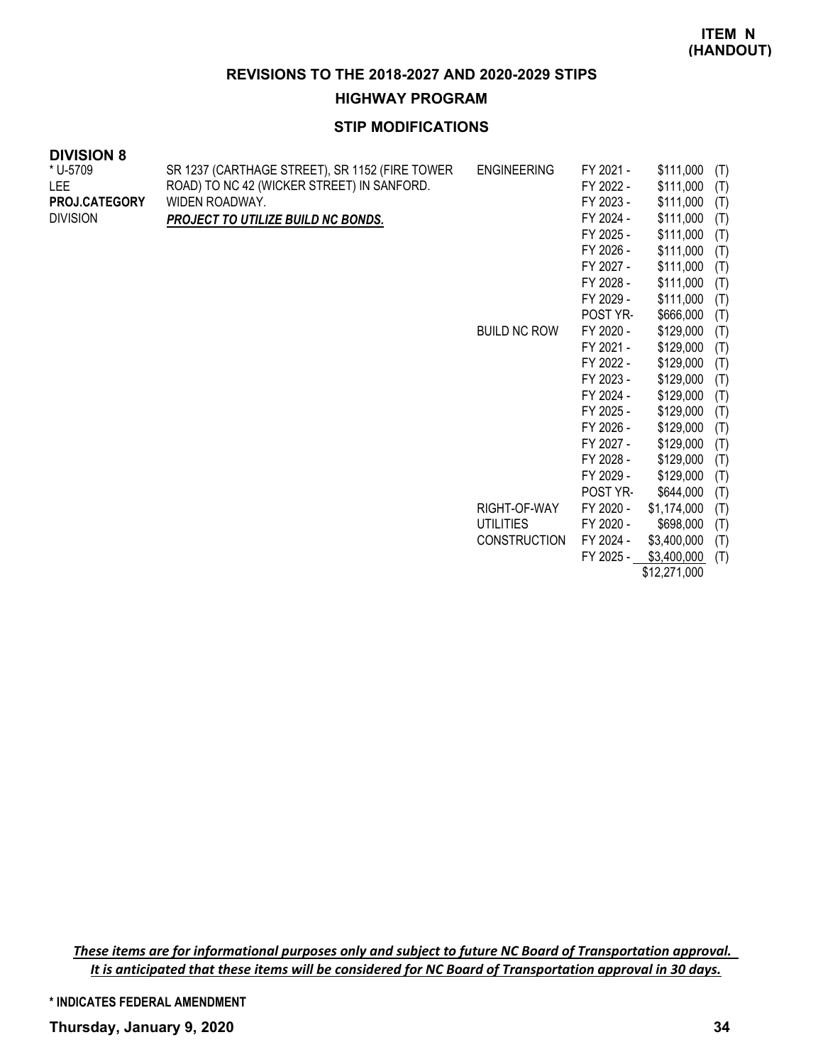#### **HIGHWAY PROGRAM**

# **STIP MODIFICATIONS**

| <b>DIVISION 8</b>    |                                                |                     |           |              |     |
|----------------------|------------------------------------------------|---------------------|-----------|--------------|-----|
| * U-5709             | SR 1237 (CARTHAGE STREET), SR 1152 (FIRE TOWER | <b>ENGINEERING</b>  | FY 2021 - | \$111,000    | (T) |
| <b>LEE</b>           | ROAD) TO NC 42 (WICKER STREET) IN SANFORD.     |                     | FY 2022 - | \$111,000    | (T) |
| <b>PROJ.CATEGORY</b> | WIDEN ROADWAY.                                 |                     | FY 2023 - | \$111,000    | (T) |
| <b>DIVISION</b>      | PROJECT TO UTILIZE BUILD NC BONDS.             |                     | FY 2024 - | \$111,000    | (T) |
|                      |                                                |                     | FY 2025 - | \$111,000    | (T) |
|                      |                                                |                     | FY 2026 - | \$111,000    | (T) |
|                      |                                                |                     | FY 2027 - | \$111,000    | (T) |
|                      |                                                |                     | FY 2028 - | \$111,000    | (T) |
|                      |                                                |                     | FY 2029 - | \$111,000    | (T) |
|                      |                                                |                     | POST YR-  | \$666,000    | (T) |
|                      |                                                | <b>BUILD NC ROW</b> | FY 2020 - | \$129,000    | (T) |
|                      |                                                |                     | FY 2021 - | \$129,000    | (T) |
|                      |                                                |                     | FY 2022 - | \$129,000    | (T) |
|                      |                                                |                     | FY 2023 - | \$129,000    | (T) |
|                      |                                                |                     | FY 2024 - | \$129,000    | (T) |
|                      |                                                |                     | FY 2025 - | \$129,000    | (T) |
|                      |                                                |                     | FY 2026 - | \$129,000    | (T) |
|                      |                                                |                     | FY 2027 - | \$129,000    | (T) |
|                      |                                                |                     | FY 2028 - | \$129,000    | (T) |
|                      |                                                |                     | FY 2029 - | \$129,000    | (T) |
|                      |                                                |                     | POST YR-  | \$644,000    | (T) |
|                      |                                                | RIGHT-OF-WAY        | FY 2020 - | \$1,174,000  | (T) |
|                      |                                                | <b>UTILITIES</b>    | FY 2020 - | \$698,000    | (T) |
|                      |                                                | <b>CONSTRUCTION</b> | FY 2024 - | \$3,400,000  | (T) |
|                      |                                                |                     | FY 2025 - | \$3,400,000  | (T) |
|                      |                                                |                     |           | \$12,271,000 |     |

*These items are for informational purposes only and subject to future NC Board of Transportation approval. It is anticipated that these items will be considered for NC Board of Transportation approval in 30 days.*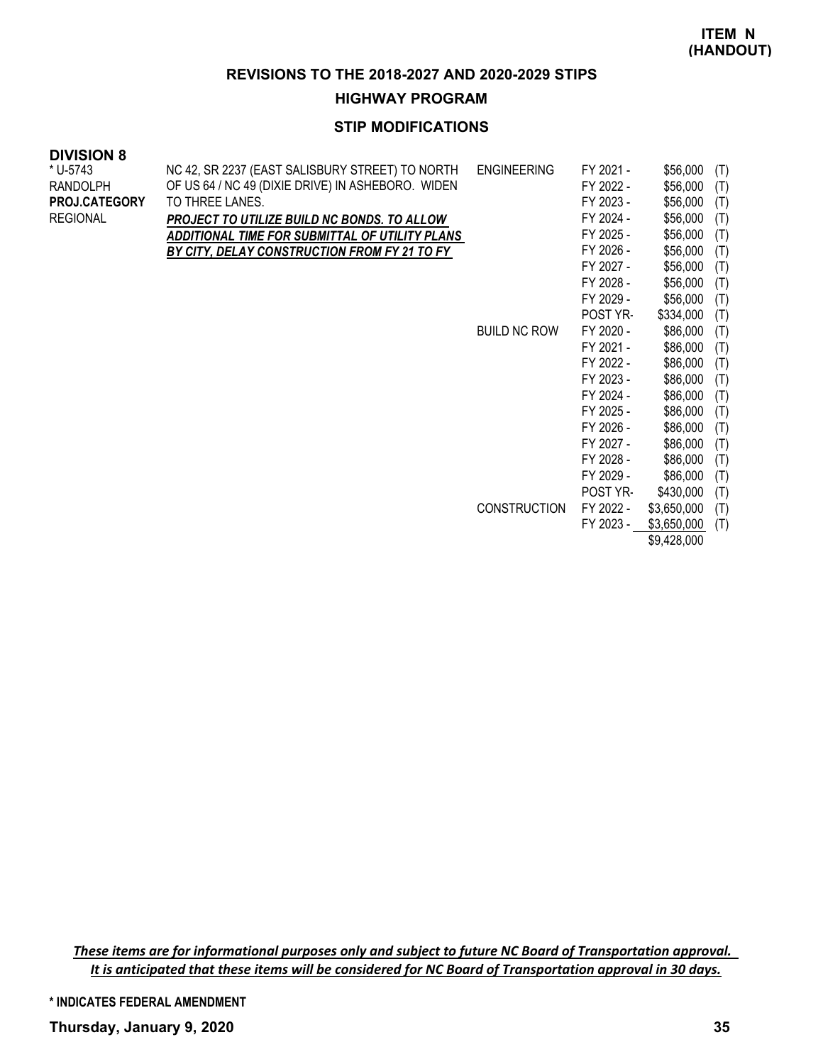#### **HIGHWAY PROGRAM**

### **STIP MODIFICATIONS**

#### **DIVISION 8**

| * U-5743             | NC 42, SR 2237 (EAST SALISBURY STREET) TO NORTH   | <b>ENGINEERING</b>  | FY 2021 -       | \$56,000    | (T) |
|----------------------|---------------------------------------------------|---------------------|-----------------|-------------|-----|
| RANDOLPH             | OF US 64 / NC 49 (DIXIE DRIVE) IN ASHEBORO. WIDEN |                     | FY 2022 -       | \$56,000    | (T) |
| <b>PROJ.CATEGORY</b> | TO THREE LANES.                                   |                     | FY 2023 -       | \$56,000    | (T) |
| REGIONAL             | PROJECT TO UTILIZE BUILD NC BONDS. TO ALLOW       |                     | FY 2024 -       | \$56,000    | (T) |
|                      | ADDITIONAL TIME FOR SUBMITTAL OF UTILITY PLANS    |                     | FY 2025 -       | \$56,000    | (T) |
|                      | BY CITY, DELAY CONSTRUCTION FROM FY 21 TO FY      |                     | FY 2026 -       | \$56,000    | (T) |
|                      |                                                   |                     | FY 2027 -       | \$56,000    | (T) |
|                      |                                                   |                     | FY 2028 -       | \$56,000    | (T) |
|                      |                                                   |                     | FY 2029 -       | \$56,000    | (T) |
|                      |                                                   |                     | <b>POST YR-</b> | \$334,000   | (T) |
|                      |                                                   | <b>BUILD NC ROW</b> | FY 2020 -       | \$86,000    | (T) |
|                      |                                                   |                     | FY 2021 -       | \$86,000    | (T) |
|                      |                                                   |                     | FY 2022 -       | \$86,000    | (T) |
|                      |                                                   |                     | FY 2023 -       | \$86,000    | (T) |
|                      |                                                   |                     | FY 2024 -       | \$86,000    | (T) |
|                      |                                                   |                     | FY 2025 -       | \$86,000    | (T) |
|                      |                                                   |                     | FY 2026 -       | \$86,000    | (T) |
|                      |                                                   |                     | FY 2027 -       | \$86,000    | (T) |
|                      |                                                   |                     | FY 2028 -       | \$86,000    | (T) |
|                      |                                                   |                     | FY 2029 -       | \$86,000    | (T) |
|                      |                                                   |                     | POST YR-        | \$430,000   | (T) |
|                      |                                                   | <b>CONSTRUCTION</b> | FY 2022 -       | \$3,650,000 | (T) |
|                      |                                                   |                     | FY 2023 -       | \$3,650,000 | (T) |
|                      |                                                   |                     |                 | \$9,428,000 |     |

*These items are for informational purposes only and subject to future NC Board of Transportation approval. It is anticipated that these items will be considered for NC Board of Transportation approval in 30 days.*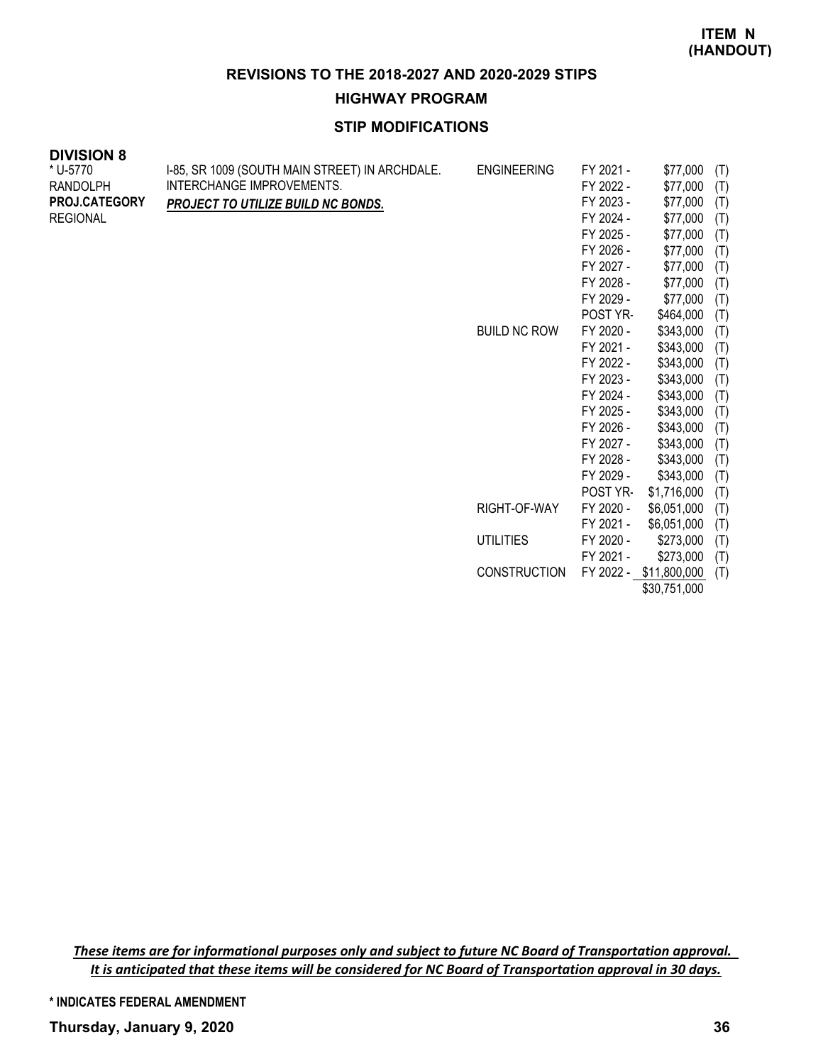**HIGHWAY PROGRAM**

# **STIP MODIFICATIONS**

| <b>DIVISION 8</b> |                                                |                     |           |             |     |
|-------------------|------------------------------------------------|---------------------|-----------|-------------|-----|
| * U-5770          | I-85, SR 1009 (SOUTH MAIN STREET) IN ARCHDALE. | <b>ENGINEERING</b>  | FY 2021 - | \$77,000    | (T) |
| <b>RANDOLPH</b>   | INTERCHANGE IMPROVEMENTS.                      |                     | FY 2022 - | \$77,000    | (T) |
| PROJ.CATEGORY     | PROJECT TO UTILIZE BUILD NC BONDS.             |                     | FY 2023 - | \$77,000    | (T) |
| <b>REGIONAL</b>   |                                                |                     | FY 2024 - | \$77,000    | (T) |
|                   |                                                |                     | FY 2025 - | \$77,000    | (T) |
|                   |                                                |                     | FY 2026 - | \$77,000    | (T) |
|                   |                                                |                     | FY 2027 - | \$77,000    | (T) |
|                   |                                                |                     | FY 2028 - | \$77,000    | (T) |
|                   |                                                |                     | FY 2029 - | \$77,000    | (T) |
|                   |                                                |                     | POST YR-  | \$464,000   | (T) |
|                   |                                                | <b>BUILD NC ROW</b> | FY 2020 - | \$343,000   | (T) |
|                   |                                                |                     | FY 2021 - | \$343,000   | (T) |
|                   |                                                |                     | FY 2022 - | \$343,000   | (T) |
|                   |                                                |                     | FY 2023 - | \$343,000   | (T) |
|                   |                                                |                     | FY 2024 - | \$343,000   | (T) |
|                   |                                                |                     | FY 2025 - | \$343,000   | (T) |
|                   |                                                |                     | FY 2026 - | \$343,000   | (T) |
|                   |                                                |                     | FY 2027 - | \$343,000   | (T) |
|                   |                                                |                     | FY 2028 - | \$343,000   | (T) |
|                   |                                                |                     | FY 2029 - | \$343,000   | (T) |
|                   |                                                |                     | POST YR-  | \$1,716,000 | (T) |
|                   |                                                | RIGHT-OF-WAY        | FY 2020 - | \$6,051,000 | (T) |
|                   |                                                |                     | FY 2021 - | \$6,051,000 | (T) |
|                   |                                                | <b>UTILITIES</b>    | FY 2020 - | \$273,000   | (T) |
|                   |                                                |                     | FY 2021 - | \$273,000   | (T) |

CONSTRUCTION FY 2022 - \$11,800,000 (T) \$30,751,000

*These items are for informational purposes only and subject to future NC Board of Transportation approval. It is anticipated that these items will be considered for NC Board of Transportation approval in 30 days.*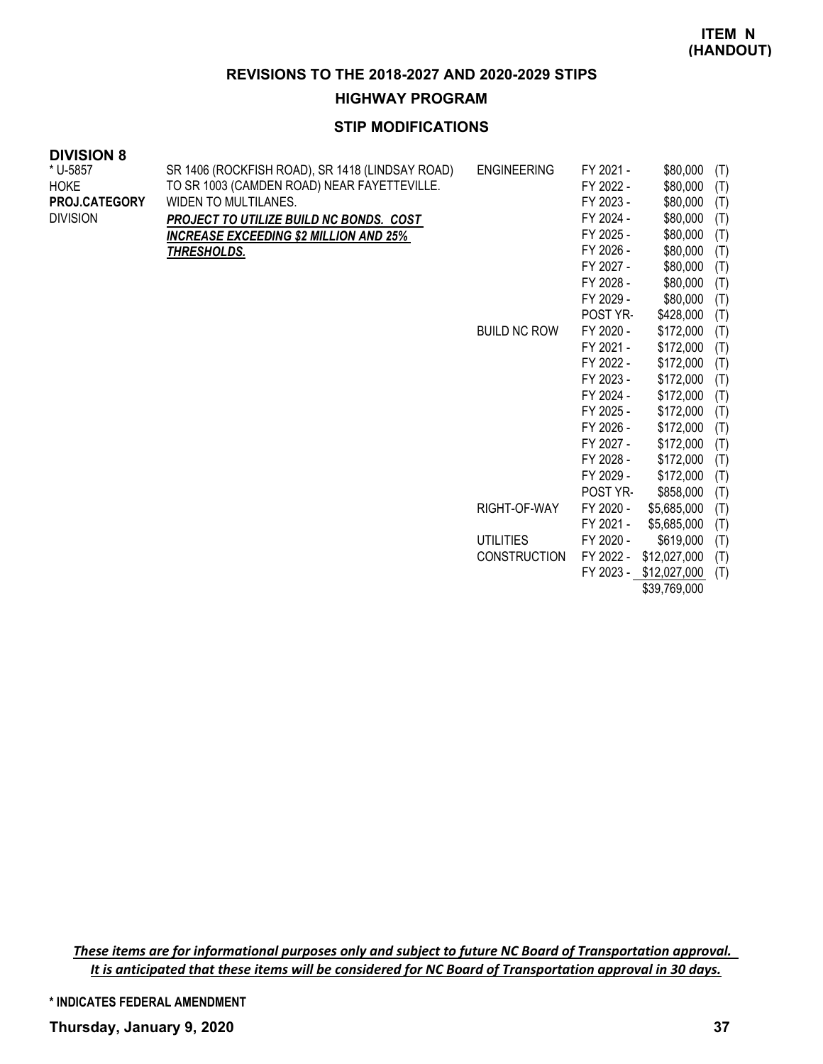**HIGHWAY PROGRAM**

# **STIP MODIFICATIONS**

| <b>DIVISION 8</b> |  |
|-------------------|--|
|-------------------|--|

| ט ווטוטוע<br>* U-5857<br>HOKE<br>PROJ.CATEGORY<br><b>DIVISION</b> | SR 1406 (ROCKFISH ROAD), SR 1418 (LINDSAY ROAD)<br>TO SR 1003 (CAMDEN ROAD) NEAR FAYETTEVILLE.<br>WIDEN TO MULTILANES.<br>PROJECT TO UTILIZE BUILD NC BONDS. COST<br><b>INCREASE EXCEEDING \$2 MILLION AND 25%</b><br><u>THRESHOLDS.</u> | <b>ENGINEERING</b>  | FY 2021 -<br>FY 2022 -<br>FY 2023 -<br>FY 2024 -<br>FY 2025 -<br>FY 2026 -<br>FY 2027 - | \$80,000<br>\$80,000<br>\$80,000<br>\$80,000<br>\$80,000<br>\$80,000<br>\$80,000 | (T)<br>(T)<br>(T)<br>(T)<br>(T)<br>(T)<br>(T) |
|-------------------------------------------------------------------|------------------------------------------------------------------------------------------------------------------------------------------------------------------------------------------------------------------------------------------|---------------------|-----------------------------------------------------------------------------------------|----------------------------------------------------------------------------------|-----------------------------------------------|
|                                                                   |                                                                                                                                                                                                                                          |                     | FY 2028 -                                                                               | \$80,000                                                                         | (T)                                           |
|                                                                   |                                                                                                                                                                                                                                          |                     | FY 2029 -                                                                               | \$80,000                                                                         | (T)                                           |
|                                                                   |                                                                                                                                                                                                                                          |                     | POST YR-                                                                                | \$428,000                                                                        | (T)                                           |
|                                                                   |                                                                                                                                                                                                                                          | <b>BUILD NC ROW</b> | FY 2020 -                                                                               | \$172,000                                                                        | (T)                                           |
|                                                                   |                                                                                                                                                                                                                                          |                     | FY 2021 -                                                                               | \$172,000                                                                        | (T)                                           |
|                                                                   |                                                                                                                                                                                                                                          |                     | FY 2022 -                                                                               | \$172,000                                                                        | (T)                                           |
|                                                                   |                                                                                                                                                                                                                                          |                     | FY 2023 -                                                                               | \$172,000                                                                        | (T)                                           |
|                                                                   |                                                                                                                                                                                                                                          |                     | FY 2024 -                                                                               | \$172,000                                                                        | (T)                                           |
|                                                                   |                                                                                                                                                                                                                                          |                     | FY 2025 -                                                                               | \$172,000                                                                        | (T)                                           |
|                                                                   |                                                                                                                                                                                                                                          |                     | FY 2026 -                                                                               | \$172,000                                                                        | (T)                                           |
|                                                                   |                                                                                                                                                                                                                                          |                     | FY 2027 -                                                                               | \$172,000                                                                        | (T)                                           |
|                                                                   |                                                                                                                                                                                                                                          |                     | FY 2028 -                                                                               | \$172,000                                                                        | (T)                                           |
|                                                                   |                                                                                                                                                                                                                                          |                     | FY 2029 -                                                                               | \$172,000                                                                        | (T)                                           |
|                                                                   |                                                                                                                                                                                                                                          |                     | POST YR-                                                                                | \$858,000                                                                        | (T)                                           |
|                                                                   |                                                                                                                                                                                                                                          | RIGHT-OF-WAY        | FY 2020 -                                                                               | \$5,685,000                                                                      | (T)                                           |
|                                                                   |                                                                                                                                                                                                                                          |                     | FY 2021 -                                                                               | \$5,685,000                                                                      | (T)                                           |
|                                                                   |                                                                                                                                                                                                                                          | <b>UTILITIES</b>    | FY 2020 -                                                                               | \$619,000                                                                        | (T)                                           |
|                                                                   |                                                                                                                                                                                                                                          | <b>CONSTRUCTION</b> | FY 2022 -                                                                               | \$12,027,000                                                                     | (T)                                           |
|                                                                   |                                                                                                                                                                                                                                          |                     | FY 2023 -                                                                               | \$12,027,000                                                                     | (T)                                           |

\$39,769,000

*These items are for informational purposes only and subject to future NC Board of Transportation approval. It is anticipated that these items will be considered for NC Board of Transportation approval in 30 days.*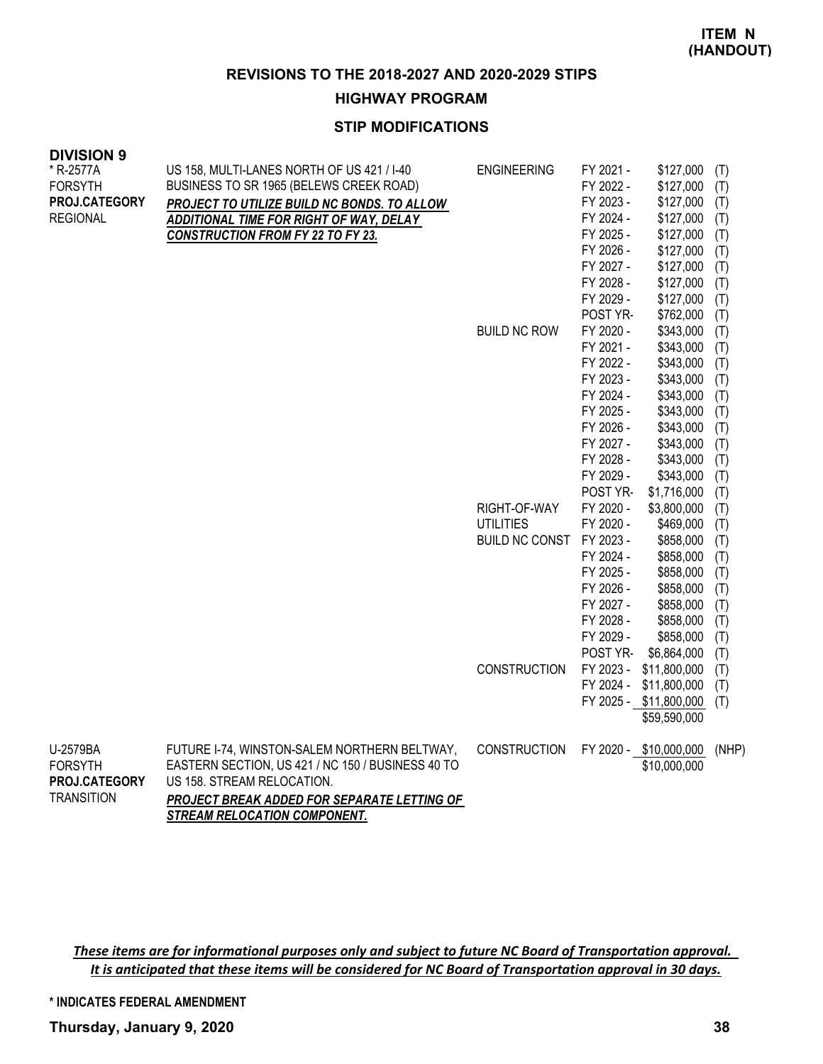**HIGHWAY PROGRAM**

# **STIP MODIFICATIONS**

| <b>DIVISION 9</b> |                                                   |                          |           |                        |       |
|-------------------|---------------------------------------------------|--------------------------|-----------|------------------------|-------|
| * R-2577A         | US 158, MULTI-LANES NORTH OF US 421 / I-40        | <b>ENGINEERING</b>       | FY 2021 - | \$127,000              | (T)   |
| <b>FORSYTH</b>    | BUSINESS TO SR 1965 (BELEWS CREEK ROAD)           |                          | FY 2022 - | \$127,000              | (T)   |
| PROJ.CATEGORY     | PROJECT TO UTILIZE BUILD NC BONDS. TO ALLOW       |                          | FY 2023 - | \$127,000              | (T)   |
| <b>REGIONAL</b>   | <b>ADDITIONAL TIME FOR RIGHT OF WAY, DELAY</b>    |                          | FY 2024 - | \$127,000              | (T)   |
|                   | <b>CONSTRUCTION FROM FY 22 TO FY 23.</b>          |                          | FY 2025 - | \$127,000              | (T)   |
|                   |                                                   |                          | FY 2026 - | \$127,000              | (T)   |
|                   |                                                   |                          | FY 2027 - | \$127,000              | (T)   |
|                   |                                                   |                          | FY 2028 - | \$127,000              | (T)   |
|                   |                                                   |                          | FY 2029 - | \$127,000              | (T)   |
|                   |                                                   |                          | POST YR-  | \$762,000              | (T)   |
|                   |                                                   | <b>BUILD NC ROW</b>      | FY 2020 - | \$343,000              | (T)   |
|                   |                                                   |                          | FY 2021 - | \$343,000              | (T)   |
|                   |                                                   |                          | FY 2022 - | \$343,000              | (T)   |
|                   |                                                   |                          | FY 2023 - | \$343,000              | (T)   |
|                   |                                                   |                          | FY 2024 - | \$343,000              | (T)   |
|                   |                                                   |                          | FY 2025 - | \$343,000              | (T)   |
|                   |                                                   |                          | FY 2026 - | \$343,000              | (T)   |
|                   |                                                   |                          | FY 2027 - | \$343,000              | (T)   |
|                   |                                                   |                          | FY 2028 - | \$343,000              | (T)   |
|                   |                                                   |                          | FY 2029 - | \$343,000              | (T)   |
|                   |                                                   |                          | POST YR-  | \$1,716,000            | (T)   |
|                   |                                                   | RIGHT-OF-WAY             | FY 2020 - | \$3,800,000            | (T)   |
|                   |                                                   | <b>UTILITIES</b>         | FY 2020 - | \$469,000              | (T)   |
|                   |                                                   | BUILD NC CONST FY 2023 - |           | \$858,000              | (T)   |
|                   |                                                   |                          | FY 2024 - | \$858,000              | (T)   |
|                   |                                                   |                          | FY 2025 - | \$858,000              | (T)   |
|                   |                                                   |                          | FY 2026 - | \$858,000              | (T)   |
|                   |                                                   |                          | FY 2027 - | \$858,000              | (T)   |
|                   |                                                   |                          | FY 2028 - | \$858,000              | (T)   |
|                   |                                                   |                          | FY 2029 - | \$858,000              | (T)   |
|                   |                                                   |                          | POST YR-  | \$6,864,000            | (T)   |
|                   |                                                   | CONSTRUCTION             | FY 2023 - | \$11,800,000           | (T)   |
|                   |                                                   |                          | FY 2024 - | \$11,800,000           | (T)   |
|                   |                                                   |                          |           | FY 2025 - \$11,800,000 | (T)   |
|                   |                                                   |                          |           | \$59,590,000           |       |
| U-2579BA          | FUTURE I-74, WINSTON-SALEM NORTHERN BELTWAY,      | <b>CONSTRUCTION</b>      |           | FY 2020 - \$10,000,000 | (NHP) |
| <b>FORSYTH</b>    | EASTERN SECTION, US 421 / NC 150 / BUSINESS 40 TO |                          |           | \$10,000,000           |       |
| PROJ.CATEGORY     | US 158. STREAM RELOCATION.                        |                          |           |                        |       |
| <b>TRANSITION</b> | PROJECT BREAK ADDED FOR SEPARATE LETTING OF       |                          |           |                        |       |
|                   | <b>STREAM RELOCATION COMPONENT.</b>               |                          |           |                        |       |

*These items are for informational purposes only and subject to future NC Board of Transportation approval. It is anticipated that these items will be considered for NC Board of Transportation approval in 30 days.*

**\* INDICATES FEDERAL AMENDMENT**

**Thursday, January 9, 2020 38**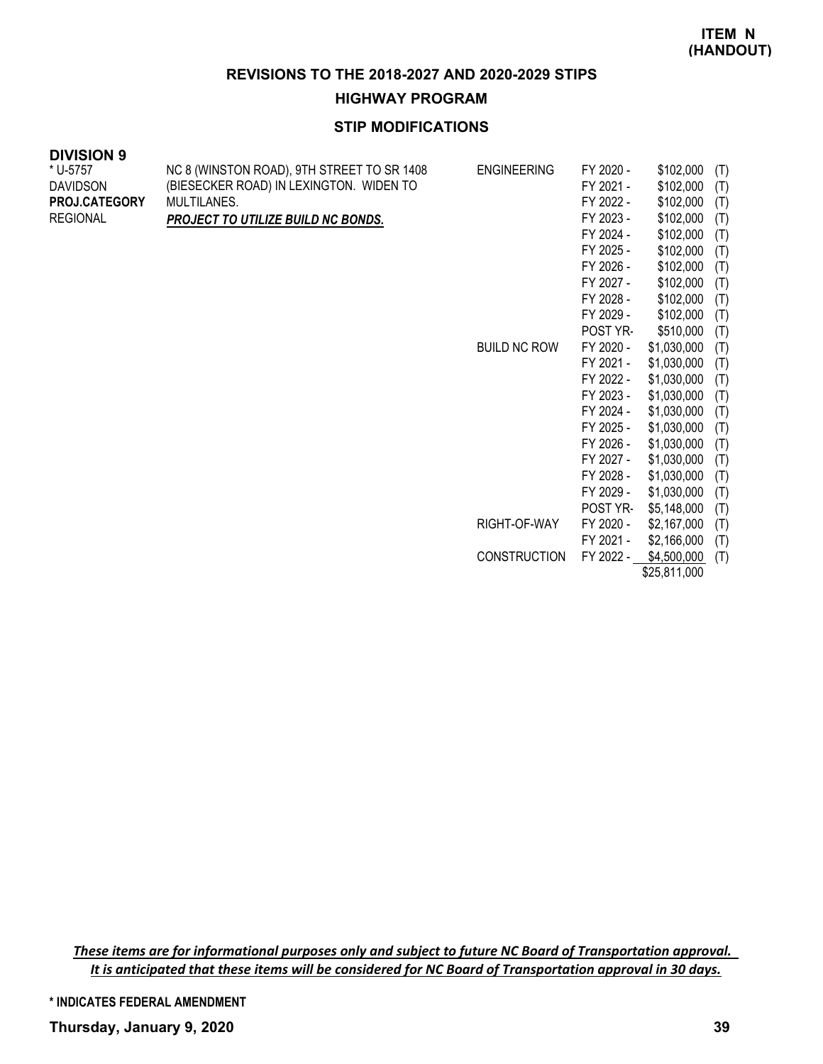#### **HIGHWAY PROGRAM**

# **STIP MODIFICATIONS**

| <b>DIVISION 9</b> |                                            |                     |           |              |     |
|-------------------|--------------------------------------------|---------------------|-----------|--------------|-----|
| * U-5757          | NC 8 (WINSTON ROAD), 9TH STREET TO SR 1408 | <b>ENGINEERING</b>  | FY 2020 - | \$102,000    | (T) |
| <b>DAVIDSON</b>   | (BIESECKER ROAD) IN LEXINGTON. WIDEN TO    |                     | FY 2021 - | \$102,000    | (T) |
| PROJ.CATEGORY     | MULTILANES.                                |                     | FY 2022 - | \$102,000    | (T) |
| <b>REGIONAL</b>   | PROJECT TO UTILIZE BUILD NC BONDS.         |                     | FY 2023 - | \$102,000    | (T) |
|                   |                                            |                     | FY 2024 - | \$102,000    | (T) |
|                   |                                            |                     | FY 2025 - | \$102,000    | (T) |
|                   |                                            |                     | FY 2026 - | \$102,000    | (T) |
|                   |                                            |                     | FY 2027 - | \$102,000    | (T) |
|                   |                                            |                     | FY 2028 - | \$102,000    | (T) |
|                   |                                            |                     | FY 2029 - | \$102,000    | (T) |
|                   |                                            |                     | POST YR-  | \$510,000    | (T) |
|                   |                                            | <b>BUILD NC ROW</b> | FY 2020 - | \$1,030,000  | (T) |
|                   |                                            |                     | FY 2021 - | \$1,030,000  | (T) |
|                   |                                            |                     | FY 2022 - | \$1,030,000  | (T) |
|                   |                                            |                     | FY 2023 - | \$1,030,000  | (T) |
|                   |                                            |                     | FY 2024 - | \$1,030,000  | (T) |
|                   |                                            |                     | FY 2025 - | \$1,030,000  | (T) |
|                   |                                            |                     | FY 2026 - | \$1,030,000  | (T) |
|                   |                                            |                     | FY 2027 - | \$1,030,000  | (T) |
|                   |                                            |                     | FY 2028 - | \$1,030,000  | (T) |
|                   |                                            |                     | FY 2029 - | \$1,030,000  | (T) |
|                   |                                            |                     | POST YR-  | \$5,148,000  | (T) |
|                   |                                            | RIGHT-OF-WAY        | FY 2020 - | \$2,167,000  | (T) |
|                   |                                            |                     | FY 2021 - | \$2,166,000  | (T) |
|                   |                                            | <b>CONSTRUCTION</b> | FY 2022 - | \$4,500,000  | (T) |
|                   |                                            |                     |           | \$25,811,000 |     |

*These items are for informational purposes only and subject to future NC Board of Transportation approval. It is anticipated that these items will be considered for NC Board of Transportation approval in 30 days.*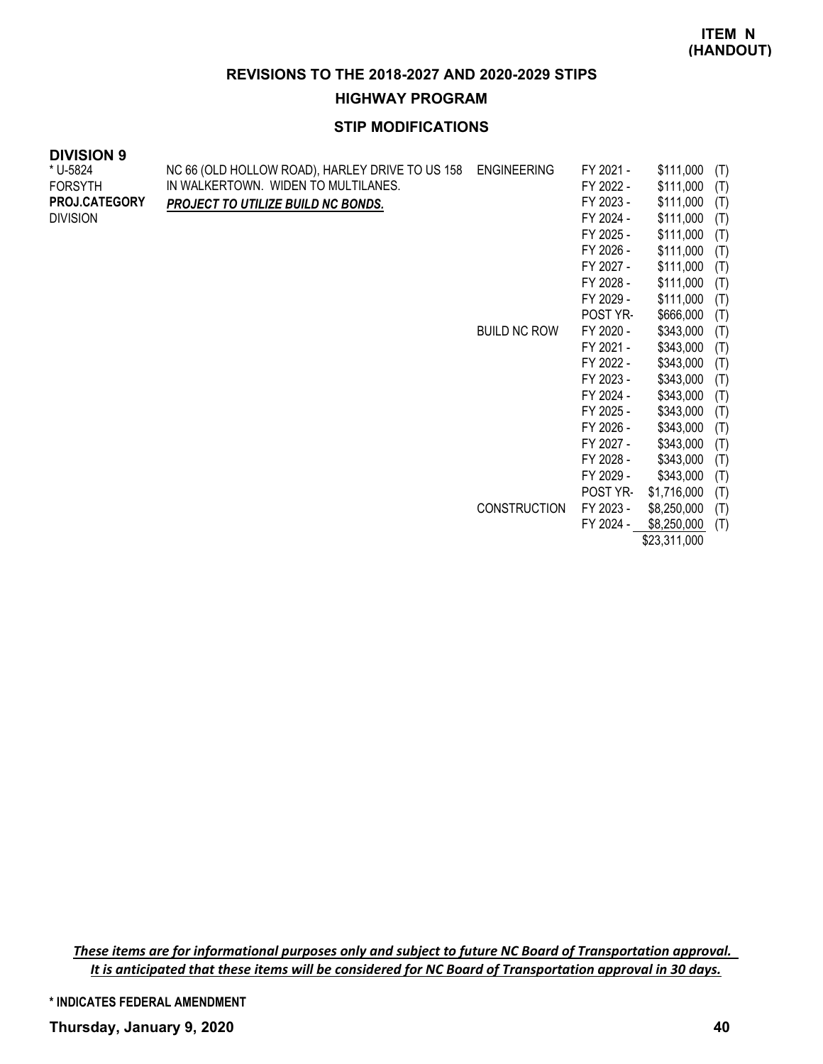**HIGHWAY PROGRAM**

# **STIP MODIFICATIONS**

#### **DIVISION 9**

| * U-5824             | NC 66 (OLD HOLLOW ROAD), HARLEY DRIVE TO US 158 | <b>ENGINEERING</b>  | FY 2021 - | \$111,000    | (T) |
|----------------------|-------------------------------------------------|---------------------|-----------|--------------|-----|
| <b>FORSYTH</b>       | IN WALKERTOWN. WIDEN TO MULTILANES.             |                     | FY 2022 - | \$111,000    | (T) |
| <b>PROJ.CATEGORY</b> | PROJECT TO UTILIZE BUILD NC BONDS.              |                     | FY 2023 - | \$111,000    | (T) |
| <b>DIVISION</b>      |                                                 |                     | FY 2024 - | \$111,000    | (T) |
|                      |                                                 |                     | FY 2025 - | \$111,000    | (T) |
|                      |                                                 |                     | FY 2026 - | \$111,000    | (T) |
|                      |                                                 |                     | FY 2027 - | \$111,000    | (T) |
|                      |                                                 |                     | FY 2028 - | \$111,000    | (T) |
|                      |                                                 |                     | FY 2029 - | \$111,000    | (T) |
|                      |                                                 |                     | POST YR-  | \$666,000    | (T) |
|                      |                                                 | <b>BUILD NC ROW</b> | FY 2020 - | \$343,000    | (T) |
|                      |                                                 |                     | FY 2021 - | \$343,000    | (T) |
|                      |                                                 |                     | FY 2022 - | \$343,000    | (T) |
|                      |                                                 |                     | FY 2023 - | \$343,000    | (T) |
|                      |                                                 |                     | FY 2024 - | \$343,000    | (T) |
|                      |                                                 |                     | FY 2025 - | \$343,000    | (T) |
|                      |                                                 |                     | FY 2026 - | \$343,000    | (T) |
|                      |                                                 |                     | FY 2027 - | \$343,000    | (T) |
|                      |                                                 |                     | FY 2028 - | \$343,000    | (T) |
|                      |                                                 |                     | FY 2029 - | \$343,000    | (T) |
|                      |                                                 |                     | POST YR-  | \$1,716,000  | (T) |
|                      |                                                 | <b>CONSTRUCTION</b> | FY 2023 - | \$8,250,000  | (T) |
|                      |                                                 |                     | FY 2024 - | \$8,250,000  | (T) |
|                      |                                                 |                     |           | \$23,311,000 |     |

*These items are for informational purposes only and subject to future NC Board of Transportation approval. It is anticipated that these items will be considered for NC Board of Transportation approval in 30 days.*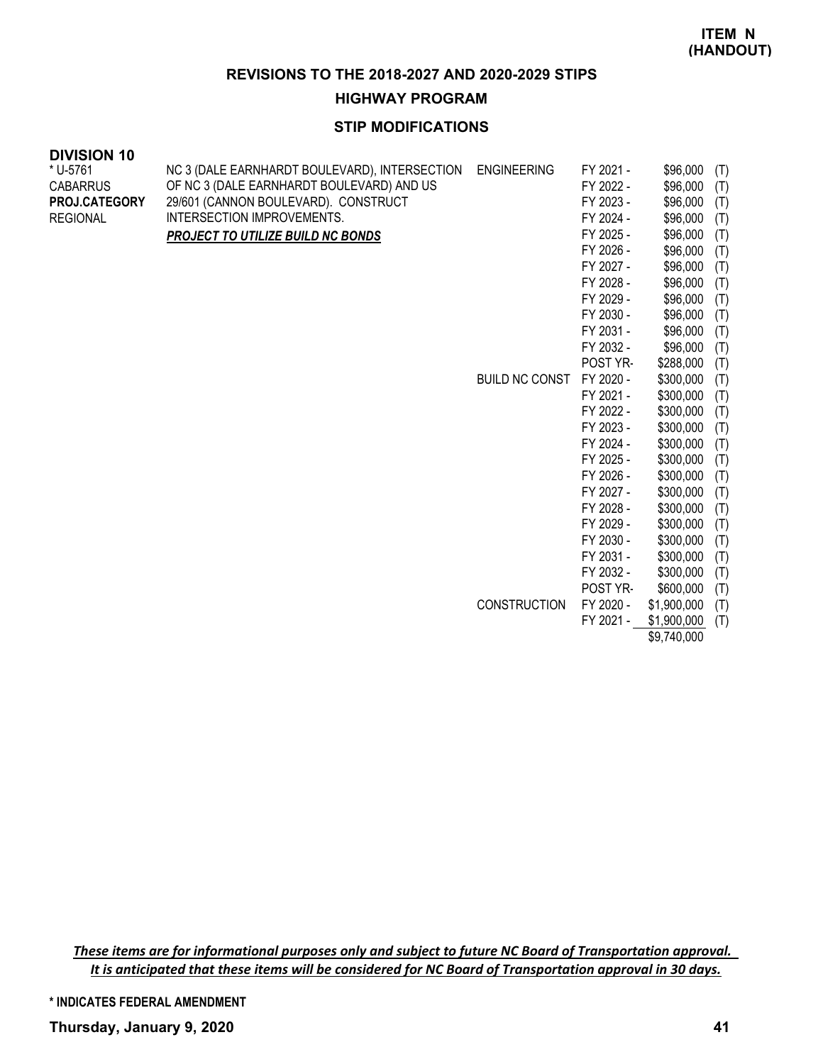**HIGHWAY PROGRAM**

# **STIP MODIFICATIONS**

#### **DIVISION 10** \* U-5761

| * U-5761        | NC 3 (DALE EARNHARDT BOULEVARD), INTERSECTION | <b>ENGINEERING</b>    | FY 2021 - | \$96,000    | (T) |
|-----------------|-----------------------------------------------|-----------------------|-----------|-------------|-----|
| <b>CABARRUS</b> | OF NC 3 (DALE EARNHARDT BOULEVARD) AND US     |                       | FY 2022 - | \$96,000    | (T) |
| PROJ.CATEGORY   | 29/601 (CANNON BOULEVARD). CONSTRUCT          |                       | FY 2023 - | \$96,000    | (T) |
| <b>REGIONAL</b> | INTERSECTION IMPROVEMENTS.                    |                       | FY 2024 - | \$96,000    | (T) |
|                 | <b>PROJECT TO UTILIZE BUILD NC BONDS</b>      |                       | FY 2025 - | \$96,000    | (T) |
|                 |                                               |                       | FY 2026 - | \$96,000    | (T) |
|                 |                                               |                       | FY 2027 - | \$96,000    | (T) |
|                 |                                               |                       | FY 2028 - | \$96,000    | (T) |
|                 |                                               |                       | FY 2029 - | \$96,000    | (T) |
|                 |                                               |                       | FY 2030 - | \$96,000    | (T) |
|                 |                                               |                       | FY 2031 - | \$96,000    | (T) |
|                 |                                               |                       | FY 2032 - | \$96,000    | (T) |
|                 |                                               |                       | POST YR-  | \$288,000   | (T) |
|                 |                                               | <b>BUILD NC CONST</b> | FY 2020 - | \$300,000   | (T) |
|                 |                                               |                       | FY 2021 - | \$300,000   | (T) |
|                 |                                               |                       | FY 2022 - | \$300,000   | (T) |
|                 |                                               |                       | FY 2023 - | \$300,000   | (T) |
|                 |                                               |                       | FY 2024 - | \$300,000   | (T) |
|                 |                                               |                       | FY 2025 - | \$300,000   | (T) |
|                 |                                               |                       | FY 2026 - | \$300,000   | (T) |
|                 |                                               |                       | FY 2027 - | \$300,000   | (T) |
|                 |                                               |                       | FY 2028 - | \$300,000   | (T) |
|                 |                                               |                       | FY 2029 - | \$300,000   | (T) |
|                 |                                               |                       | FY 2030 - | \$300,000   | (T) |
|                 |                                               |                       | FY 2031 - | \$300,000   | (T) |
|                 |                                               |                       | FY 2032 - | \$300,000   | (T) |
|                 |                                               |                       | POST YR-  | \$600,000   | (T) |
|                 |                                               | <b>CONSTRUCTION</b>   | FY 2020 - | \$1,900,000 | (T) |
|                 |                                               |                       | FY 2021 - | \$1,900,000 | (T) |

\$9,740,000

*These items are for informational purposes only and subject to future NC Board of Transportation approval. It is anticipated that these items will be considered for NC Board of Transportation approval in 30 days.*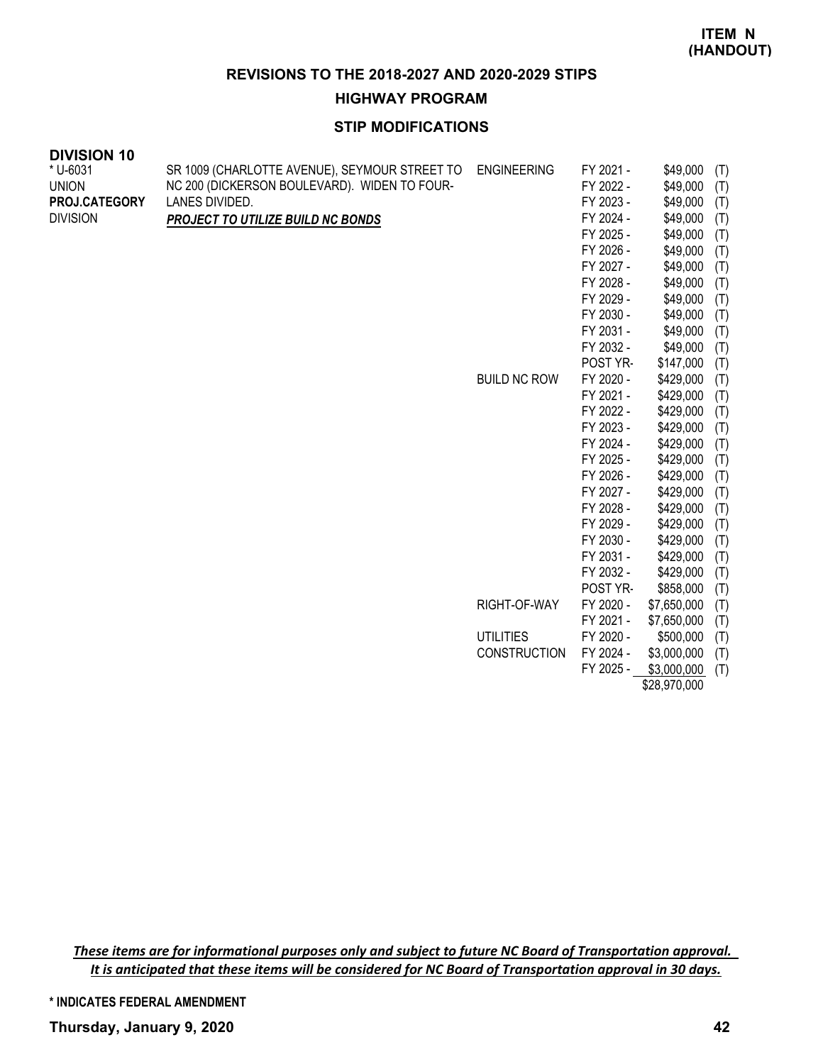**HIGHWAY PROGRAM**

# **STIP MODIFICATIONS**

| <b>DIVISION 10</b> |                                               |                     |                        |                        |            |
|--------------------|-----------------------------------------------|---------------------|------------------------|------------------------|------------|
| * U-6031           | SR 1009 (CHARLOTTE AVENUE), SEYMOUR STREET TO | <b>ENGINEERING</b>  | FY 2021 -              | \$49,000               | (T)        |
| <b>UNION</b>       | NC 200 (DICKERSON BOULEVARD). WIDEN TO FOUR-  |                     | FY 2022 -              | \$49,000               | (T)        |
| PROJ.CATEGORY      | LANES DIVIDED.                                |                     | FY 2023 -              | \$49,000               | (T)        |
| <b>DIVISION</b>    | PROJECT TO UTILIZE BUILD NC BONDS             |                     | FY 2024 -              | \$49,000               | (T)        |
|                    |                                               |                     | FY 2025 -              | \$49,000               | (T)        |
|                    |                                               |                     | FY 2026 -              | \$49,000               | (T)        |
|                    |                                               |                     | FY 2027 -              | \$49,000               | (T)        |
|                    |                                               |                     | FY 2028 -              | \$49,000               | (T)        |
|                    |                                               |                     | FY 2029 -              | \$49,000               | (T)        |
|                    |                                               |                     | FY 2030 -              | \$49,000               | (T)        |
|                    |                                               |                     | FY 2031 -              | \$49,000               | (T)        |
|                    |                                               |                     | FY 2032 -              | \$49,000               | (T)        |
|                    |                                               |                     | POST YR-               | \$147,000              | (T)        |
|                    |                                               | <b>BUILD NC ROW</b> | FY 2020 -              | \$429,000              | (T)        |
|                    |                                               |                     | FY 2021 -              | \$429,000              | (T)        |
|                    |                                               |                     | FY 2022 -              | \$429,000              | (T)        |
|                    |                                               |                     | FY 2023 -              | \$429,000              | (T)        |
|                    |                                               |                     | FY 2024 -              | \$429,000              | (T)        |
|                    |                                               |                     | FY 2025 -              | \$429,000              | (T)        |
|                    |                                               |                     | FY 2026 -              | \$429,000              | (T)        |
|                    |                                               |                     | FY 2027 -              | \$429,000              | (T)        |
|                    |                                               |                     | FY 2028 -              | \$429,000              | (T)        |
|                    |                                               |                     | FY 2029 -<br>FY 2030 - | \$429,000<br>\$429,000 | (T)        |
|                    |                                               |                     | FY 2031 -              | \$429,000              | (T)        |
|                    |                                               |                     | FY 2032 -              | \$429,000              | (T)<br>(T) |
|                    |                                               |                     | POST YR-               | \$858,000              | (T)        |
|                    |                                               | RIGHT-OF-WAY        | FY 2020 -              | \$7,650,000            | (T)        |
|                    |                                               |                     | FY 2021 -              | \$7,650,000            | (T)        |
|                    |                                               | <b>UTILITIES</b>    | FY 2020 -              | \$500,000              | (T)        |
|                    |                                               | <b>CONSTRUCTION</b> | FY 2024 -              | \$3,000,000            | (T)        |
|                    |                                               |                     | FY 2025 -              | \$3,000,000            | (T)        |

\$28,970,000

*These items are for informational purposes only and subject to future NC Board of Transportation approval. It is anticipated that these items will be considered for NC Board of Transportation approval in 30 days.*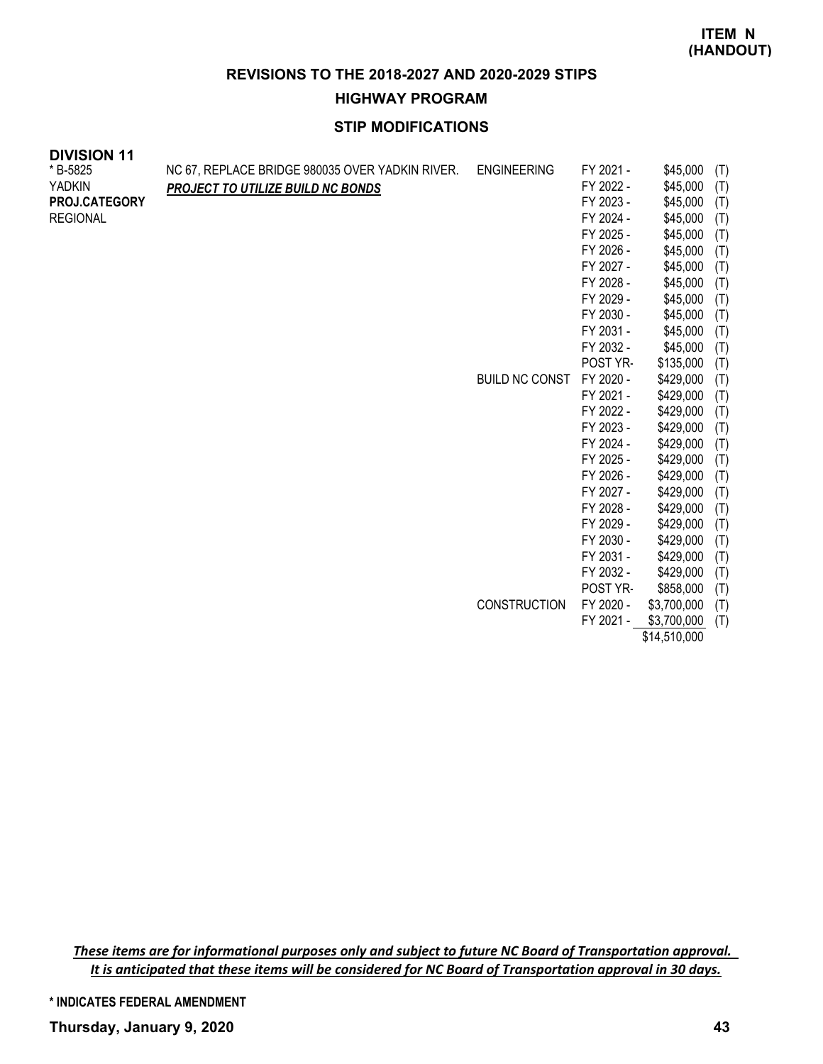### **HIGHWAY PROGRAM**

# **STIP MODIFICATIONS**

| <b>DIVISION 11</b> |                                                 |                       |           |           |     |
|--------------------|-------------------------------------------------|-----------------------|-----------|-----------|-----|
| * B-5825           | NC 67, REPLACE BRIDGE 980035 OVER YADKIN RIVER. | <b>ENGINEERING</b>    | FY 2021 - | \$45,000  | (T) |
| <b>YADKIN</b>      | PROJECT TO UTILIZE BUILD NC BONDS               |                       | FY 2022 - | \$45,000  | (T) |
| PROJ.CATEGORY      |                                                 |                       | FY 2023 - | \$45,000  | (T) |
| <b>REGIONAL</b>    |                                                 |                       | FY 2024 - | \$45,000  | (T) |
|                    |                                                 |                       | FY 2025 - | \$45,000  | (T) |
|                    |                                                 |                       | FY 2026 - | \$45,000  | (T) |
|                    |                                                 |                       | FY 2027 - | \$45,000  | (T) |
|                    |                                                 |                       | FY 2028 - | \$45,000  | (T) |
|                    |                                                 |                       | FY 2029 - | \$45,000  | (T) |
|                    |                                                 |                       | FY 2030 - | \$45,000  | (T) |
|                    |                                                 |                       | FY 2031 - | \$45,000  | (T) |
|                    |                                                 |                       | FY 2032 - | \$45,000  | (T) |
|                    |                                                 |                       | POST YR-  | \$135,000 | (T) |
|                    |                                                 | <b>BUILD NC CONST</b> | FY 2020 - | \$429,000 | (T) |
|                    |                                                 |                       | FY 2021 - | \$429,000 | (T) |
|                    |                                                 |                       | FY 2022 - | \$429,000 | (T) |
|                    |                                                 |                       | FY 2023 - | \$429,000 | (T) |
|                    |                                                 |                       | FY 2024 - | \$429,000 | (T) |
|                    |                                                 |                       | FY 2025 - | \$429,000 | (T) |
|                    |                                                 |                       | FY 2026 - | \$429,000 | (T) |
|                    |                                                 |                       | FY 2027 - | \$429,000 | (T) |
|                    |                                                 |                       | FY 2028 - | \$429,000 | (T) |
|                    |                                                 |                       | FY 2029 - | \$429,000 | (T) |
|                    |                                                 |                       | FY 2030 - | \$429,000 | (T) |
|                    |                                                 |                       | FY 2031 - | \$429,000 | (T) |
|                    |                                                 |                       | FY 2032 - | \$429,000 | (T) |
|                    |                                                 |                       | POST YR-  | \$858,000 | (T) |

CONSTRUCTION FY 2020 - \$3,700,000 (T) FY 2021 - \$3,700,000 (T)

\$14,510,000

*These items are for informational purposes only and subject to future NC Board of Transportation approval. It is anticipated that these items will be considered for NC Board of Transportation approval in 30 days.*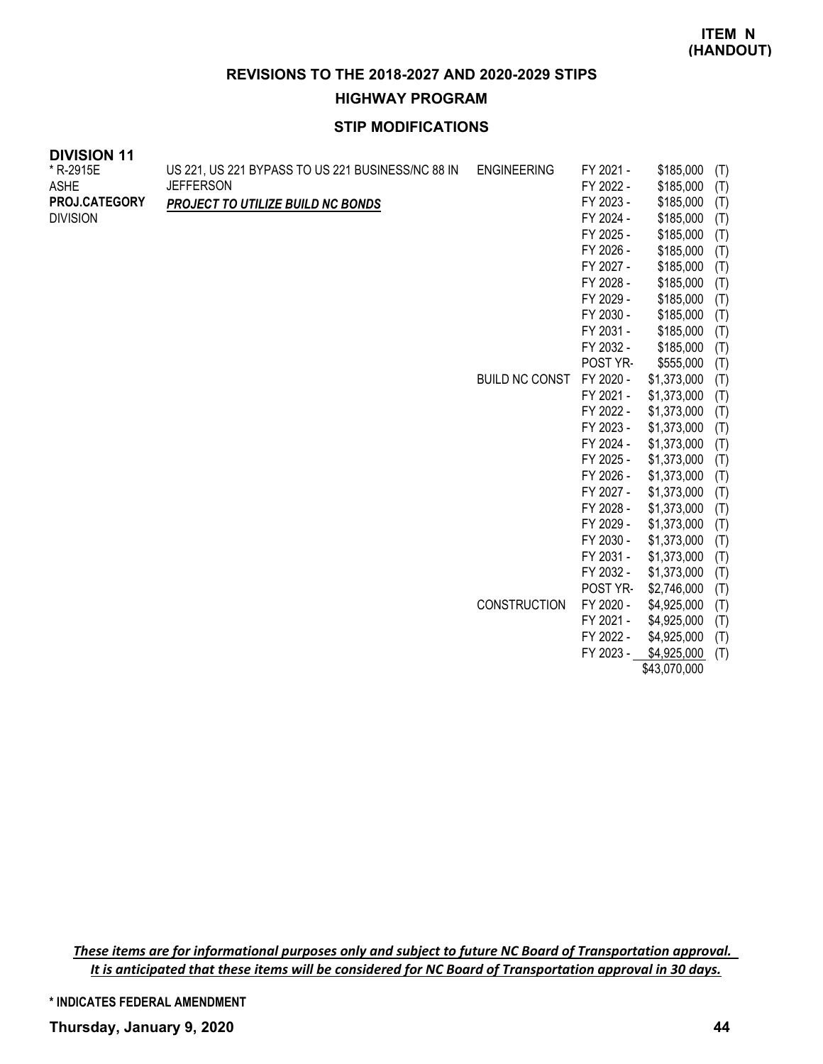# **HIGHWAY PROGRAM**

# **STIP MODIFICATIONS**

| <b>DIVISION 11</b> |                                                   |                       |           |             |     |
|--------------------|---------------------------------------------------|-----------------------|-----------|-------------|-----|
| * R-2915E          | US 221, US 221 BYPASS TO US 221 BUSINESS/NC 88 IN | <b>ENGINEERING</b>    | FY 2021 - | \$185,000   | (T) |
| <b>ASHE</b>        | <b>JEFFERSON</b>                                  |                       | FY 2022 - | \$185,000   | (T) |
| PROJ.CATEGORY      | <b>PROJECT TO UTILIZE BUILD NC BONDS</b>          |                       | FY 2023 - | \$185,000   | (T) |
| <b>DIVISION</b>    |                                                   |                       | FY 2024 - | \$185,000   | (T) |
|                    |                                                   |                       | FY 2025 - | \$185,000   | (T) |
|                    |                                                   |                       | FY 2026 - | \$185,000   | (T) |
|                    |                                                   |                       | FY 2027 - | \$185,000   | (T) |
|                    |                                                   |                       | FY 2028 - | \$185,000   | (T) |
|                    |                                                   |                       | FY 2029 - | \$185,000   | (T) |
|                    |                                                   |                       | FY 2030 - | \$185,000   | (T) |
|                    |                                                   |                       | FY 2031 - | \$185,000   | (T) |
|                    |                                                   |                       | FY 2032 - | \$185,000   | (T) |
|                    |                                                   |                       | POST YR-  | \$555,000   | (T) |
|                    |                                                   | <b>BUILD NC CONST</b> | FY 2020 - | \$1,373,000 | (T) |
|                    |                                                   |                       | FY 2021 - | \$1,373,000 | (T) |
|                    |                                                   |                       | FY 2022 - | \$1,373,000 | (T) |
|                    |                                                   |                       | FY 2023 - | \$1,373,000 | (T) |
|                    |                                                   |                       | FY 2024 - | \$1,373,000 | (T) |
|                    |                                                   |                       | FY 2025 - | \$1,373,000 | (T) |
|                    |                                                   |                       | FY 2026 - | \$1,373,000 | (T) |
|                    |                                                   |                       | FY 2027 - | \$1,373,000 | (T) |
|                    |                                                   |                       | FY 2028 - | \$1,373,000 | (T) |
|                    |                                                   |                       | FY 2029 - | \$1,373,000 | (T) |
|                    |                                                   |                       | FY 2030 - | \$1,373,000 | (T) |
|                    |                                                   |                       | FY 2031 - | \$1,373,000 | (T) |
|                    |                                                   |                       | FY 2032 - | \$1,373,000 | (T) |

POST YR- \$2,746,000 (T) CONSTRUCTION FY 2020 - \$4,925,000 (T) FY 2021 - \$4,925,000 (T)

FY 2022 - \$4,925,000 (T) FY 2023 -  $$4,925,000$  (T) \$43,070,000

*These items are for informational purposes only and subject to future NC Board of Transportation approval. It is anticipated that these items will be considered for NC Board of Transportation approval in 30 days.*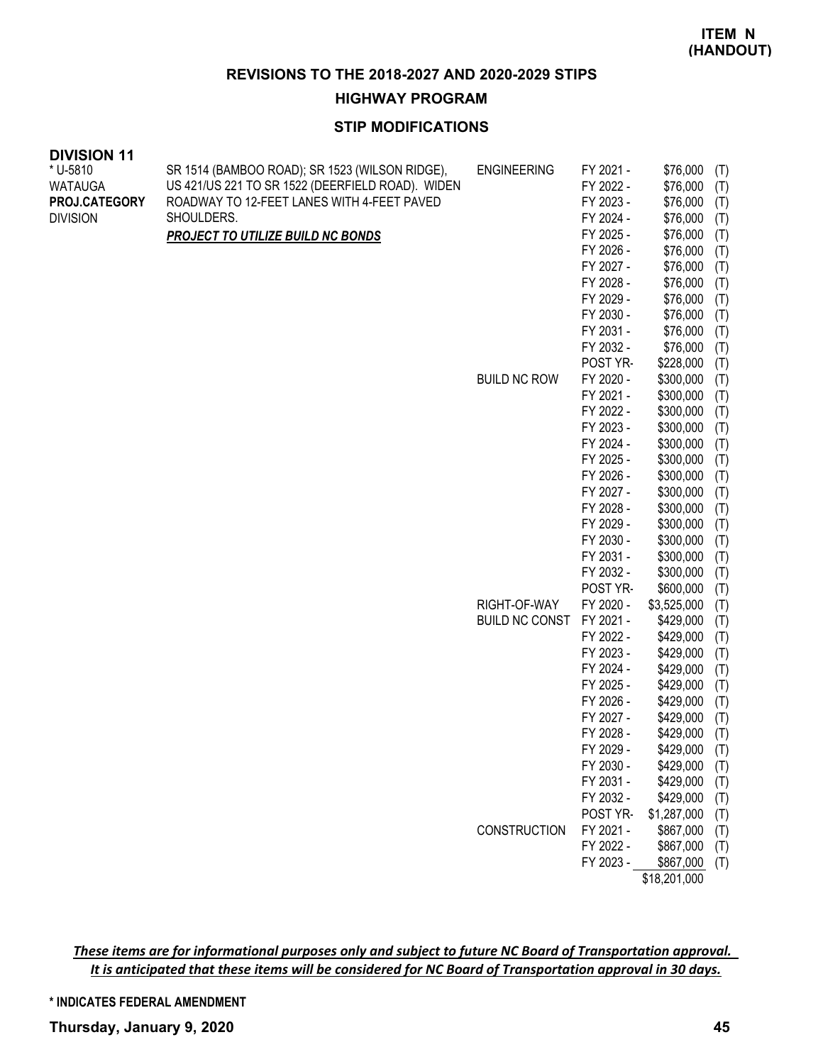**HIGHWAY PROGRAM**

# **STIP MODIFICATIONS**

| <b>DIVISION 11</b>       |                                                                                                    |                       |                        |                      |            |
|--------------------------|----------------------------------------------------------------------------------------------------|-----------------------|------------------------|----------------------|------------|
| * U-5810                 | SR 1514 (BAMBOO ROAD); SR 1523 (WILSON RIDGE),<br>US 421/US 221 TO SR 1522 (DEERFIELD ROAD). WIDEN | <b>ENGINEERING</b>    | FY 2021 -<br>FY 2022 - | \$76,000             | (T)        |
| WATAUGA<br>PROJ.CATEGORY | ROADWAY TO 12-FEET LANES WITH 4-FEET PAVED                                                         |                       | FY 2023 -              | \$76,000<br>\$76,000 | (T)        |
| <b>DIVISION</b>          | SHOULDERS.                                                                                         |                       | FY 2024 -              | \$76,000             | (T)        |
|                          |                                                                                                    |                       | FY 2025 -              | \$76,000             | (T)        |
|                          | <b>PROJECT TO UTILIZE BUILD NC BONDS</b>                                                           |                       | FY 2026 -              | \$76,000             | (T)<br>(T) |
|                          |                                                                                                    |                       | FY 2027 -              | \$76,000             | (T)        |
|                          |                                                                                                    |                       | FY 2028 -              | \$76,000             | (T)        |
|                          |                                                                                                    |                       | FY 2029 -              | \$76,000             | (T)        |
|                          |                                                                                                    |                       | FY 2030 -              | \$76,000             | (T)        |
|                          |                                                                                                    |                       | FY 2031 -              | \$76,000             | (T)        |
|                          |                                                                                                    |                       | FY 2032 -              | \$76,000             | (T)        |
|                          |                                                                                                    |                       | POST YR-               | \$228,000            | (T)        |
|                          |                                                                                                    | <b>BUILD NC ROW</b>   | FY 2020 -              | \$300,000            | (T)        |
|                          |                                                                                                    |                       | FY 2021 -              | \$300,000            | (T)        |
|                          |                                                                                                    |                       | FY 2022 -              | \$300,000            | (T)        |
|                          |                                                                                                    |                       | FY 2023 -              | \$300,000            | (T)        |
|                          |                                                                                                    |                       | FY 2024 -              | \$300,000            | (T)        |
|                          |                                                                                                    |                       | FY 2025 -              | \$300,000            | (T)        |
|                          |                                                                                                    |                       | FY 2026 -              | \$300,000            | (T)        |
|                          |                                                                                                    |                       | FY 2027 -              | \$300,000            | (T)        |
|                          |                                                                                                    |                       | FY 2028 -              | \$300,000            | (T)        |
|                          |                                                                                                    |                       | FY 2029 -              | \$300,000            | (T)        |
|                          |                                                                                                    |                       | FY 2030 -              | \$300,000            | (T)        |
|                          |                                                                                                    |                       | FY 2031 -              | \$300,000            | (T)        |
|                          |                                                                                                    |                       | FY 2032 -              | \$300,000            | (T)        |
|                          |                                                                                                    |                       | POST YR-               | \$600,000            | (T)        |
|                          |                                                                                                    | RIGHT-OF-WAY          | FY 2020 -              | \$3,525,000          | (T)        |
|                          |                                                                                                    | <b>BUILD NC CONST</b> | FY 2021 -              | \$429,000            | (T)        |
|                          |                                                                                                    |                       | FY 2022 -              | \$429,000            | (T)        |
|                          |                                                                                                    |                       | FY 2023 -              | \$429,000            | (T)        |
|                          |                                                                                                    |                       | FY 2024 -              | \$429,000            | (T)        |
|                          |                                                                                                    |                       | FY 2025 -              | \$429,000            | (T)        |
|                          |                                                                                                    |                       | FY 2026 -              | \$429,000            | (T)        |
|                          |                                                                                                    |                       | FY 2027 -              | \$429,000            | (T)        |
|                          |                                                                                                    |                       | FY 2028 -              | \$429,000            | (T)        |
|                          |                                                                                                    |                       | FY 2029 -              | \$429,000            | (T)        |
|                          |                                                                                                    |                       | FY 2030 -              | \$429,000            | (T)        |
|                          |                                                                                                    |                       | FY 2031 -              | \$429,000            | (T)        |
|                          |                                                                                                    |                       | FY 2032 -              | \$429,000            | (T)        |
|                          |                                                                                                    |                       | POST YR-               | \$1,287,000          | (T)        |
|                          |                                                                                                    | CONSTRUCTION          | FY 2021 -              | \$867,000            | (T)        |
|                          |                                                                                                    |                       | FY 2022 -              | \$867,000            | (T)        |
|                          |                                                                                                    |                       | FY 2023 -              | \$867,000            | (T)        |

\$18,201,000

*These items are for informational purposes only and subject to future NC Board of Transportation approval. It is anticipated that these items will be considered for NC Board of Transportation approval in 30 days.*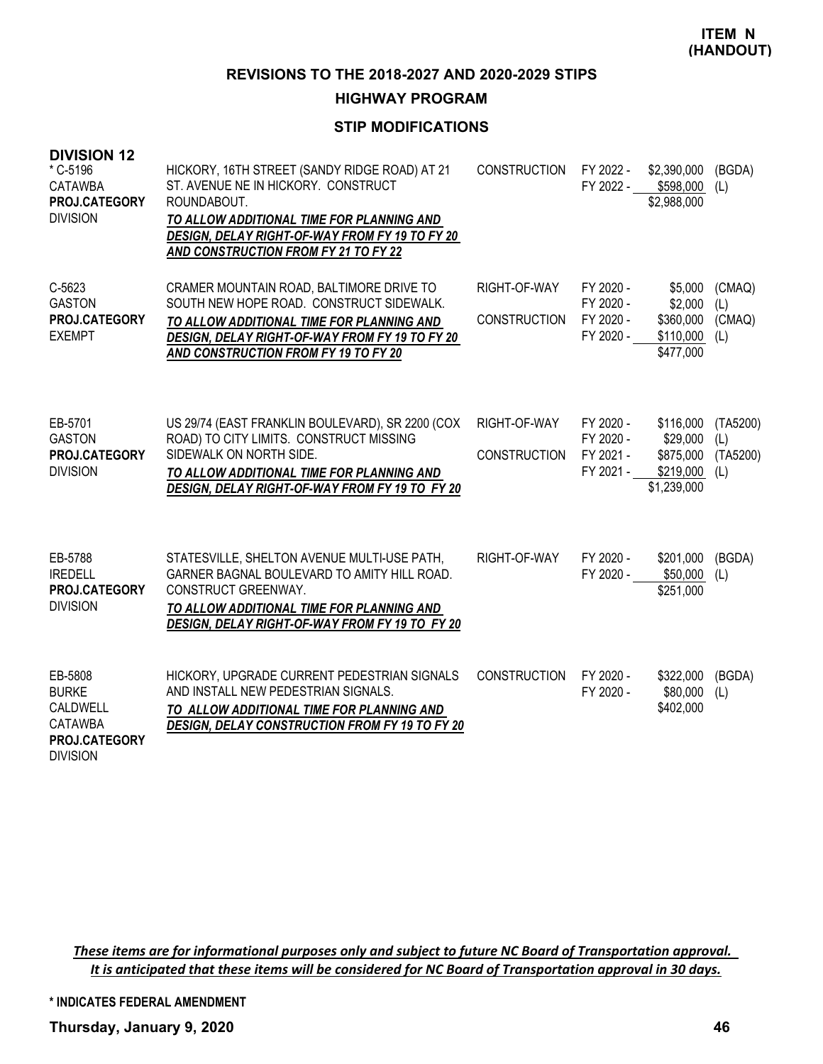#### **HIGHWAY PROGRAM**

# **STIP MODIFICATIONS**

| <b>DIVISION 12</b><br>* C-5196<br><b>CATAWBA</b><br>PROJ.CATEGORY<br><b>DIVISION</b>      | HICKORY, 16TH STREET (SANDY RIDGE ROAD) AT 21<br>ST. AVENUE NE IN HICKORY. CONSTRUCT<br>ROUNDABOUT.<br>TO ALLOW ADDITIONAL TIME FOR PLANNING AND<br>DESIGN, DELAY RIGHT-OF-WAY FROM FY 19 TO FY 20<br>AND CONSTRUCTION FROM FY 21 TO FY 22 | <b>CONSTRUCTION</b>                 | FY 2022 -<br>FY 2022 -                           | \$2,390,000<br>\$598,000<br>\$2,988,000                        | (BGDA)<br>(L)                      |
|-------------------------------------------------------------------------------------------|--------------------------------------------------------------------------------------------------------------------------------------------------------------------------------------------------------------------------------------------|-------------------------------------|--------------------------------------------------|----------------------------------------------------------------|------------------------------------|
| C-5623<br><b>GASTON</b><br>PROJ.CATEGORY<br><b>EXEMPT</b>                                 | CRAMER MOUNTAIN ROAD, BALTIMORE DRIVE TO<br>SOUTH NEW HOPE ROAD. CONSTRUCT SIDEWALK.<br>TO ALLOW ADDITIONAL TIME FOR PLANNING AND<br>DESIGN, DELAY RIGHT-OF-WAY FROM FY 19 TO FY 20<br><b>AND CONSTRUCTION FROM FY 19 TO FY 20</b>         | RIGHT-OF-WAY<br><b>CONSTRUCTION</b> | FY 2020 -<br>FY 2020 -<br>FY 2020 -<br>FY 2020 - | \$5,000<br>\$2,000<br>\$360,000<br>\$110,000<br>\$477,000      | (CMAQ)<br>(L)<br>(CMAQ)<br>(L)     |
| EB-5701<br><b>GASTON</b><br>PROJ.CATEGORY<br><b>DIVISION</b>                              | US 29/74 (EAST FRANKLIN BOULEVARD), SR 2200 (COX<br>ROAD) TO CITY LIMITS. CONSTRUCT MISSING<br>SIDEWALK ON NORTH SIDE.<br>TO ALLOW ADDITIONAL TIME FOR PLANNING AND<br>DESIGN, DELAY RIGHT-OF-WAY FROM FY 19 TO FY 20                      | RIGHT-OF-WAY<br><b>CONSTRUCTION</b> | FY 2020 -<br>FY 2020 -<br>FY 2021 -<br>FY 2021 - | \$116,000<br>\$29,000<br>\$875,000<br>\$219,000<br>\$1,239,000 | (TA5200)<br>(L)<br>(TA5200)<br>(L) |
| EB-5788<br><b>IREDELL</b><br>PROJ.CATEGORY<br><b>DIVISION</b>                             | STATESVILLE, SHELTON AVENUE MULTI-USE PATH,<br>GARNER BAGNAL BOULEVARD TO AMITY HILL ROAD.<br>CONSTRUCT GREENWAY.<br>TO ALLOW ADDITIONAL TIME FOR PLANNING AND<br>DESIGN, DELAY RIGHT-OF-WAY FROM FY 19 TO FY 20                           | RIGHT-OF-WAY                        | FY 2020 -<br>FY 2020 -                           | \$201,000<br>\$50,000<br>\$251,000                             | (BGDA)<br>(L)                      |
| EB-5808<br><b>BURKE</b><br>CALDWELL<br><b>CATAWBA</b><br>PROJ.CATEGORY<br><b>DIVISION</b> | HICKORY, UPGRADE CURRENT PEDESTRIAN SIGNALS<br>AND INSTALL NEW PEDESTRIAN SIGNALS.<br>TO ALLOW ADDITIONAL TIME FOR PLANNING AND<br><b>DESIGN, DELAY CONSTRUCTION FROM FY 19 TO FY 20</b>                                                   | <b>CONSTRUCTION</b>                 | FY 2020 -<br>FY 2020 -                           | \$322,000<br>\$80,000<br>\$402,000                             | (BGDA)<br>(L)                      |

*These items are for informational purposes only and subject to future NC Board of Transportation approval. It is anticipated that these items will be considered for NC Board of Transportation approval in 30 days.*

**\* INDICATES FEDERAL AMENDMENT**

**Thursday, January 9, 2020 46**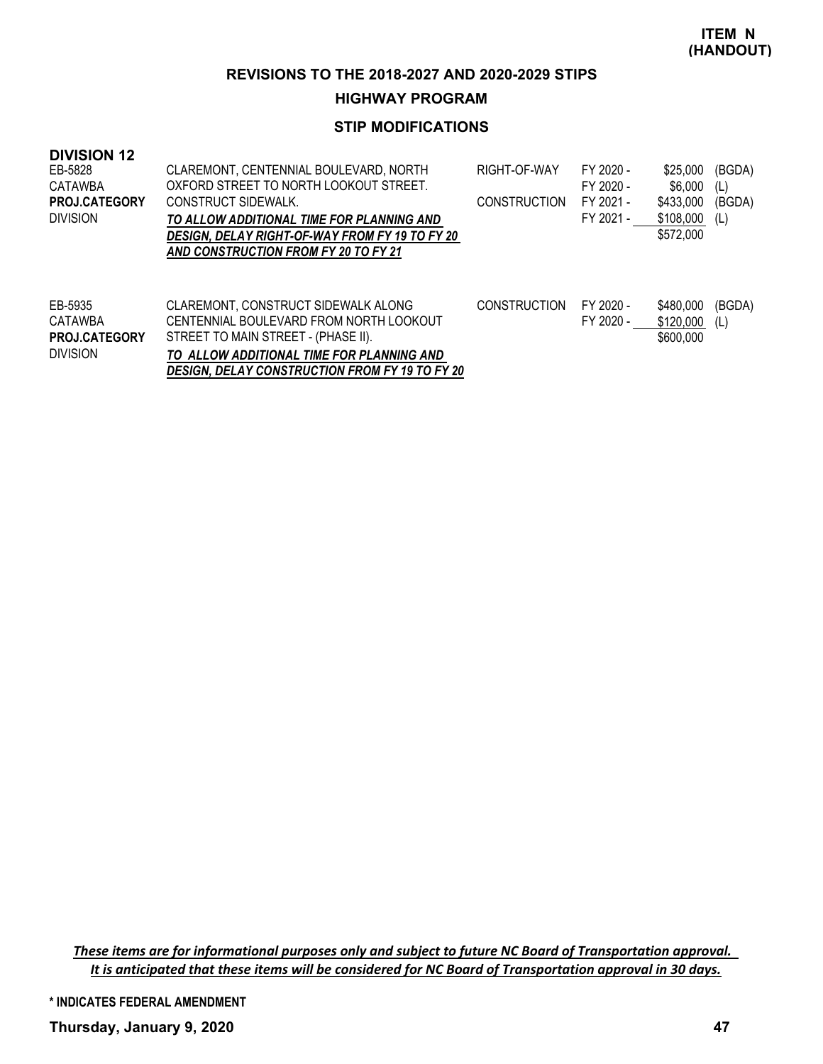#### **HIGHWAY PROGRAM**

# **STIP MODIFICATIONS**

| <b>DIVISION 12</b><br>EB-5828<br>CATAWBA<br><b>PROJ.CATEGORY</b><br><b>DIVISION</b> | CLAREMONT, CENTENNIAL BOULEVARD, NORTH<br>OXFORD STREET TO NORTH LOOKOUT STREET.<br>CONSTRUCT SIDEWALK.<br>TO ALLOW ADDITIONAL TIME FOR PLANNING AND<br>DESIGN. DELAY RIGHT-OF-WAY FROM FY 19 TO FY 20<br>AND CONSTRUCTION FROM FY 20 TO FY 21 | RIGHT-OF-WAY<br><b>CONSTRUCTION</b> | FY 2020 -<br>FY 2020 -<br>FY 2021 -<br>FY 2021 - | \$25,000<br>\$6,000<br>\$433,000<br>\$108,000<br>\$572,000 | (BGDA)<br>(L)<br>(BGDA)<br>(L) |
|-------------------------------------------------------------------------------------|------------------------------------------------------------------------------------------------------------------------------------------------------------------------------------------------------------------------------------------------|-------------------------------------|--------------------------------------------------|------------------------------------------------------------|--------------------------------|
| EB-5935<br>CATAWBA<br><b>PROJ.CATEGORY</b><br><b>DIVISION</b>                       | CLAREMONT, CONSTRUCT SIDEWALK ALONG<br>CENTENNIAL BOULEVARD FROM NORTH LOOKOUT<br>STREET TO MAIN STREET - (PHASE II).<br>TO ALLOW ADDITIONAL TIME FOR PLANNING AND<br>DESIGN. DELAY CONSTRUCTION FROM FY 19 TO FY 20                           | <b>CONSTRUCTION</b>                 | FY 2020 -<br>FY 2020 -                           | \$480,000<br>\$120,000<br>\$600,000                        | (BGDA)<br>(L)                  |

*These items are for informational purposes only and subject to future NC Board of Transportation approval. It is anticipated that these items will be considered for NC Board of Transportation approval in 30 days.*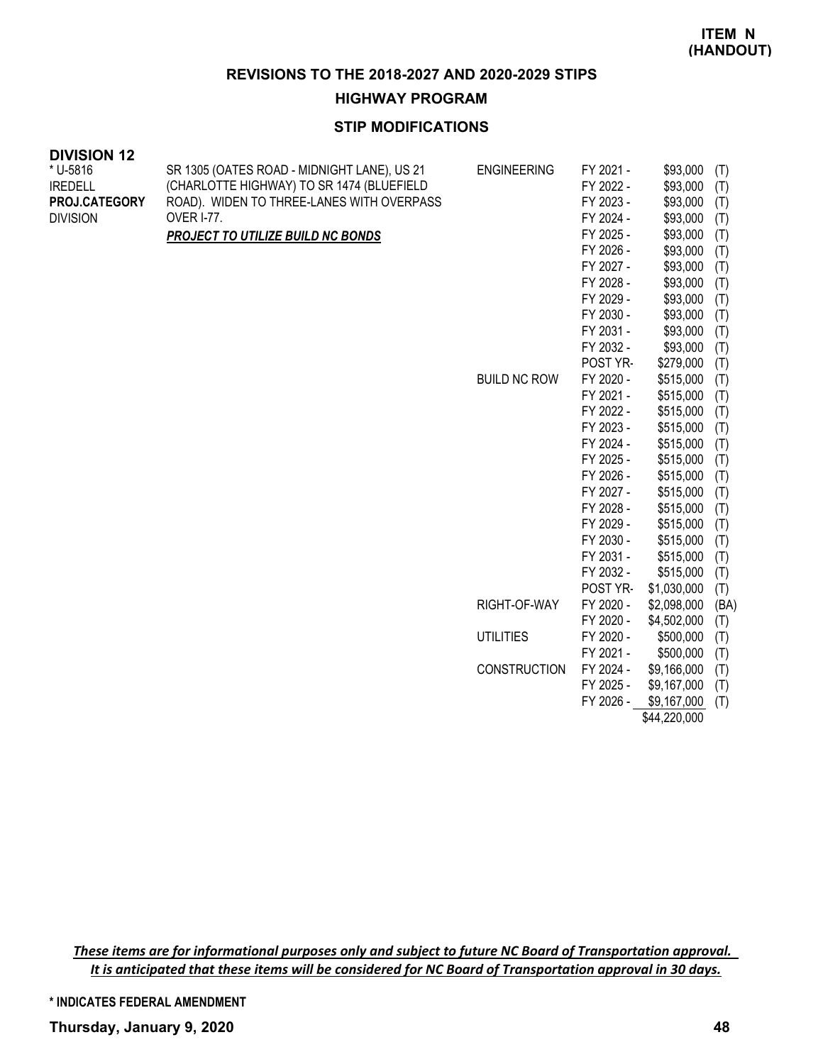#### **HIGHWAY PROGRAM**

# **STIP MODIFICATIONS**

| <b>DIVISION 12</b> |                                             |                     |           |                 |     |
|--------------------|---------------------------------------------|---------------------|-----------|-----------------|-----|
| * U-5816           | SR 1305 (OATES ROAD - MIDNIGHT LANE), US 21 | <b>ENGINEERING</b>  | FY 2021 - | \$93,000        | (T) |
| <b>IREDELL</b>     | (CHARLOTTE HIGHWAY) TO SR 1474 (BLUEFIELD   |                     | FY 2022 - | \$93,000        | (T) |
| PROJ.CATEGORY      | ROAD). WIDEN TO THREE-LANES WITH OVERPASS   |                     | FY 2023 - | \$93,000        | (T) |
| <b>DIVISION</b>    | <b>OVER I-77.</b>                           |                     | FY 2024 - | \$93,000        | (T) |
|                    | <b>PROJECT TO UTILIZE BUILD NC BONDS</b>    |                     | FY 2025 - | \$93,000        | (T) |
|                    |                                             |                     | FY 2026 - | \$93,000        | (T) |
|                    |                                             |                     | FY 2027 - | \$93,000        | (T) |
|                    |                                             |                     | FY 2028 - | \$93,000        | (T) |
|                    |                                             |                     | FY 2029 - | \$93,000        | (T) |
|                    |                                             |                     | FY 2030 - | \$93,000        | (T) |
|                    |                                             |                     | FY 2031 - | \$93,000        | (T) |
|                    |                                             |                     | FY 2032 - | \$93,000        | (T) |
|                    |                                             |                     | POST YR-  | \$279,000       | (T) |
|                    |                                             | <b>BUILD NC ROW</b> | FY 2020 - | \$515,000       | (T) |
|                    |                                             |                     | FY 2021 - | \$515,000       | (T) |
|                    |                                             |                     | FY 2022 - | \$515,000       | (T) |
|                    |                                             |                     | FY 2023 - | \$515,000       | (T) |
|                    |                                             |                     | FY 2024 - | \$515,000       | (T) |
|                    |                                             |                     | FY 2025 - | \$515,000       | (T) |
|                    |                                             |                     | FY 2026 - | \$515,000       | (T) |
|                    |                                             |                     | FY 2027 - | \$515,000       | (T) |
|                    |                                             |                     | FY 2028 - | \$515,000       | (T) |
|                    |                                             |                     | FY 2029 - | \$515,000       | (T) |
|                    |                                             |                     |           | $A = I = A A A$ |     |

|              | FY ZUZY-  | UUU,CI CG    | $\left(1\right)$ |
|--------------|-----------|--------------|------------------|
|              | FY 2030 - | \$515,000    | (T)              |
|              | FY 2031 - | \$515,000    | (T)              |
|              | FY 2032 - | \$515,000    | (T)              |
|              | POST YR-  | \$1,030,000  | (T)              |
| RIGHT-OF-WAY | FY 2020 - | \$2,098,000  | (BA)             |
|              | FY 2020 - | \$4,502,000  | (T)              |
| UTILITIES    | FY 2020 - | \$500,000    | (T)              |
|              | FY 2021 - | \$500,000    | (T)              |
| CONSTRUCTION | FY 2024 - | \$9,166,000  | (T)              |
|              | FY 2025 - | \$9,167,000  | (T)              |
|              | FY 2026 - | \$9,167,000  | (T)              |
|              |           | \$44,220,000 |                  |

*These items are for informational purposes only and subject to future NC Board of Transportation approval. It is anticipated that these items will be considered for NC Board of Transportation approval in 30 days.*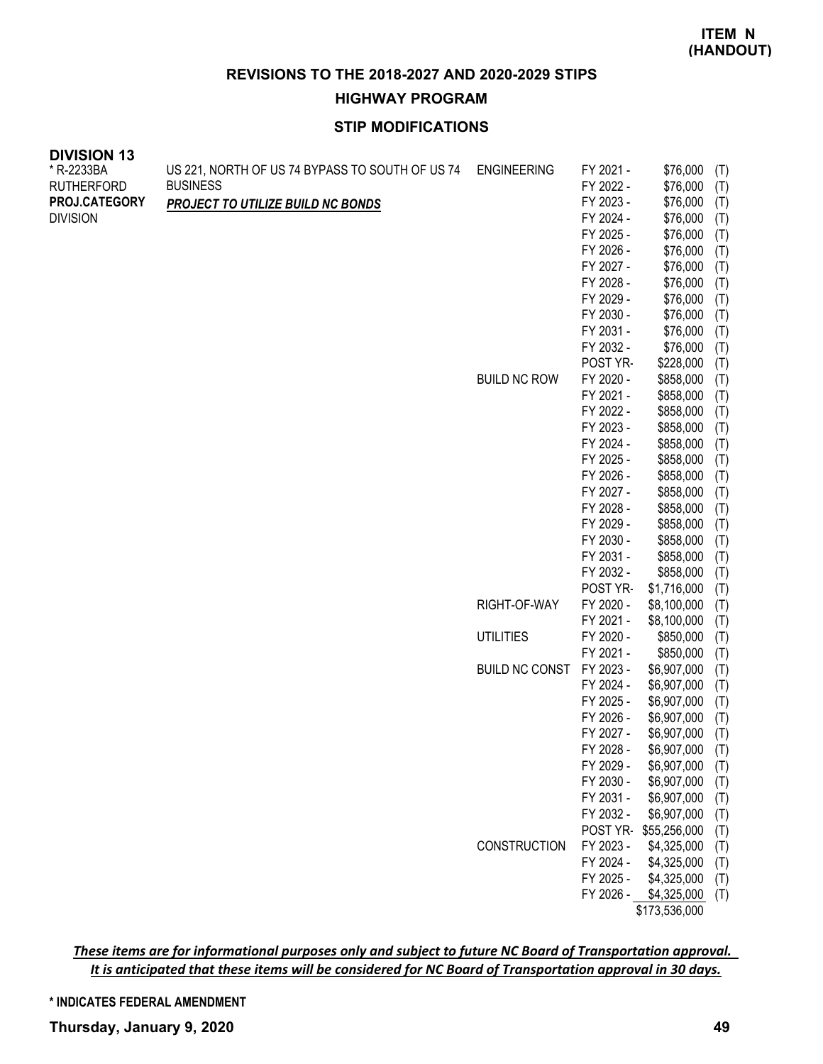# **HIGHWAY PROGRAM**

# **STIP MODIFICATIONS**

| * R-2233BA        | US 221, NORTH OF US 74 BYPASS TO SOUTH OF US 74 | <b>ENGINEERING</b>    | FY 2021 -              | \$76,000                   | (T)        |
|-------------------|-------------------------------------------------|-----------------------|------------------------|----------------------------|------------|
| <b>RUTHERFORD</b> | <b>BUSINESS</b>                                 |                       | FY 2022 -              | \$76,000                   | (T)        |
| PROJ.CATEGORY     | <b>PROJECT TO UTILIZE BUILD NC BONDS</b>        |                       | FY 2023 -              | \$76,000                   | (T)        |
| <b>DIVISION</b>   |                                                 |                       | FY 2024 -              | \$76,000                   | (T)        |
|                   |                                                 |                       | FY 2025 -              | \$76,000                   | (T)        |
|                   |                                                 |                       | FY 2026 -              | \$76,000                   | (T)        |
|                   |                                                 |                       | FY 2027 -              | \$76,000                   | (T)        |
|                   |                                                 |                       | FY 2028 -              | \$76,000                   | (T)        |
|                   |                                                 |                       | FY 2029 -              | \$76,000                   | (T)        |
|                   |                                                 |                       | FY 2030 -              | \$76,000                   | (T)        |
|                   |                                                 |                       | FY 2031 -              | \$76,000                   | (T)        |
|                   |                                                 |                       | FY 2032 -              | \$76,000                   | (T)        |
|                   |                                                 |                       | POST YR-               | \$228,000                  | (T)        |
|                   |                                                 | <b>BUILD NC ROW</b>   | FY 2020 -              | \$858,000                  | (T)        |
|                   |                                                 |                       | FY 2021 -              | \$858,000                  | (T)        |
|                   |                                                 |                       | FY 2022 -              | \$858,000                  | (T)        |
|                   |                                                 |                       | FY 2023 -              | \$858,000                  | (T)        |
|                   |                                                 |                       | FY 2024 -              | \$858,000                  | (T)        |
|                   |                                                 |                       | FY 2025 -              | \$858,000                  | (T)        |
|                   |                                                 |                       | FY 2026 -              | \$858,000                  | (T)        |
|                   |                                                 |                       | FY 2027 -              | \$858,000                  | (T)        |
|                   |                                                 |                       | FY 2028 -              | \$858,000                  | (T)        |
|                   |                                                 |                       | FY 2029 -              | \$858,000                  | (T)        |
|                   |                                                 |                       | FY 2030 -              | \$858,000                  | (T)        |
|                   |                                                 |                       | FY 2031 -              | \$858,000                  | (T)        |
|                   |                                                 |                       | FY 2032 -              | \$858,000                  | (T)        |
|                   |                                                 |                       | POST YR-               | \$1,716,000                | (T)        |
|                   |                                                 | RIGHT-OF-WAY          | FY 2020 -              | \$8,100,000                | (T)        |
|                   |                                                 |                       | FY 2021 -              | \$8,100,000                | (T)        |
|                   |                                                 | <b>UTILITIES</b>      | FY 2020 -              | \$850,000                  | (T)        |
|                   |                                                 | <b>BUILD NC CONST</b> | FY 2021 -<br>FY 2023 - | \$850,000                  | (T)        |
|                   |                                                 |                       | FY 2024 -              | \$6,907,000<br>\$6,907,000 | (T)        |
|                   |                                                 |                       | FY 2025 -              | \$6,907,000                | (T)        |
|                   |                                                 |                       | FY 2026 -              | \$6,907,000                | (T)        |
|                   |                                                 |                       | FY 2027 -              | \$6,907,000                | (T)        |
|                   |                                                 |                       | FY 2028 -              | \$6,907,000                | (T)<br>(T) |
|                   |                                                 |                       | FY 2029 -              | \$6,907,000                | (T)        |
|                   |                                                 |                       | FY 2030 -              | \$6,907,000                | (T)        |
|                   |                                                 |                       | FY 2031 -              | \$6,907,000                | (T)        |
|                   |                                                 |                       | FY 2032 -              | \$6,907,000                | (T)        |
|                   |                                                 |                       | POST YR-               | \$55,256,000               | (T)        |
|                   |                                                 | CONSTRUCTION          | FY 2023 -              | \$4,325,000                | (T)        |
|                   |                                                 |                       | FY 2024 -              | \$4,325,000                | (T)        |
|                   |                                                 |                       | FY 2025 -              | \$4,325,000                | (T)        |
|                   |                                                 |                       | FY 2026 -              | \$4,325,000                | (T)        |
|                   |                                                 |                       |                        | \$173,536,000              |            |

*These items are for informational purposes only and subject to future NC Board of Transportation approval. It is anticipated that these items will be considered for NC Board of Transportation approval in 30 days.*

**\* INDICATES FEDERAL AMENDMENT**

**DIVISION 13**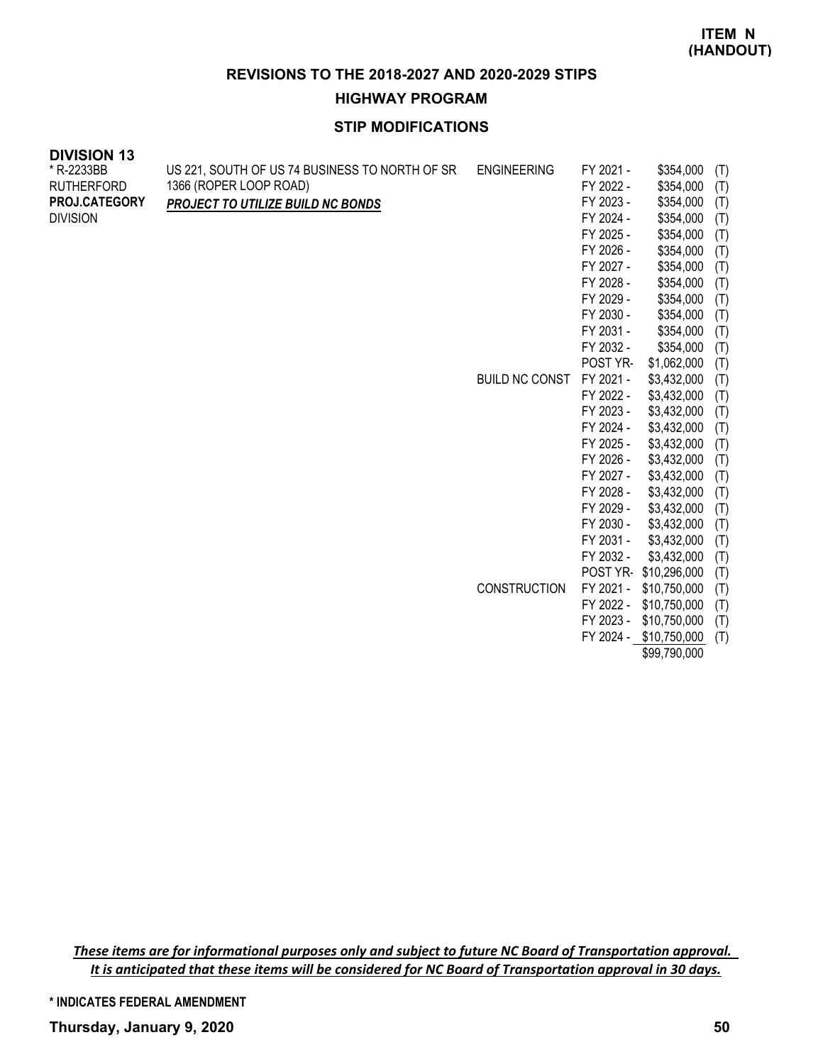**HIGHWAY PROGRAM**

# **STIP MODIFICATIONS**

| <b>DIVISION 13</b> |                                                |                       |           |              |     |
|--------------------|------------------------------------------------|-----------------------|-----------|--------------|-----|
| * R-2233BB         | US 221, SOUTH OF US 74 BUSINESS TO NORTH OF SR | <b>ENGINEERING</b>    | FY 2021 - | \$354,000    | (T) |
| <b>RUTHERFORD</b>  | 1366 (ROPER LOOP ROAD)                         |                       | FY 2022 - | \$354,000    | (T) |
| PROJ.CATEGORY      | PROJECT TO UTILIZE BUILD NC BONDS              |                       | FY 2023 - | \$354,000    | (T) |
| <b>DIVISION</b>    |                                                |                       | FY 2024 - | \$354,000    | (T) |
|                    |                                                |                       | FY 2025 - | \$354,000    | (T) |
|                    |                                                |                       | FY 2026 - | \$354,000    | (T) |
|                    |                                                |                       | FY 2027 - | \$354,000    | (T) |
|                    |                                                |                       | FY 2028 - | \$354,000    | (T) |
|                    |                                                |                       | FY 2029 - | \$354,000    | (T) |
|                    |                                                |                       | FY 2030 - | \$354,000    | (T) |
|                    |                                                |                       | FY 2031 - | \$354,000    | (T) |
|                    |                                                |                       | FY 2032 - | \$354,000    | (T) |
|                    |                                                |                       | POST YR-  | \$1,062,000  | (T) |
|                    |                                                | <b>BUILD NC CONST</b> | FY 2021 - | \$3,432,000  | (T) |
|                    |                                                |                       | FY 2022 - | \$3,432,000  | (T) |
|                    |                                                |                       | FY 2023 - | \$3,432,000  | (T) |
|                    |                                                |                       | FY 2024 - | \$3,432,000  | (T) |
|                    |                                                |                       | FY 2025 - | \$3,432,000  | (T) |
|                    |                                                |                       | FY 2026 - | \$3,432,000  | (T) |
|                    |                                                |                       | FY 2027 - | \$3,432,000  | (T) |
|                    |                                                |                       | FY 2028 - | \$3,432,000  | (T) |
|                    |                                                |                       | FY 2029 - | \$3,432,000  | (T) |
|                    |                                                |                       | FY 2030 - | \$3,432,000  | (T) |
|                    |                                                |                       | FY 2031 - | \$3,432,000  | (T) |
|                    |                                                |                       | FY 2032 - | \$3,432,000  | (T) |
|                    |                                                |                       | POST YR-  | \$10,296,000 | (T) |

CONSTRUCTION FY 2021 - \$10,750,000 (T)

FY 2022 - \$10,750,000 (T) FY 2023 - \$10,750,000 (T) FY 2024 - \$10,750,000 (T)

\$99,790,000

*These items are for informational purposes only and subject to future NC Board of Transportation approval. It is anticipated that these items will be considered for NC Board of Transportation approval in 30 days.*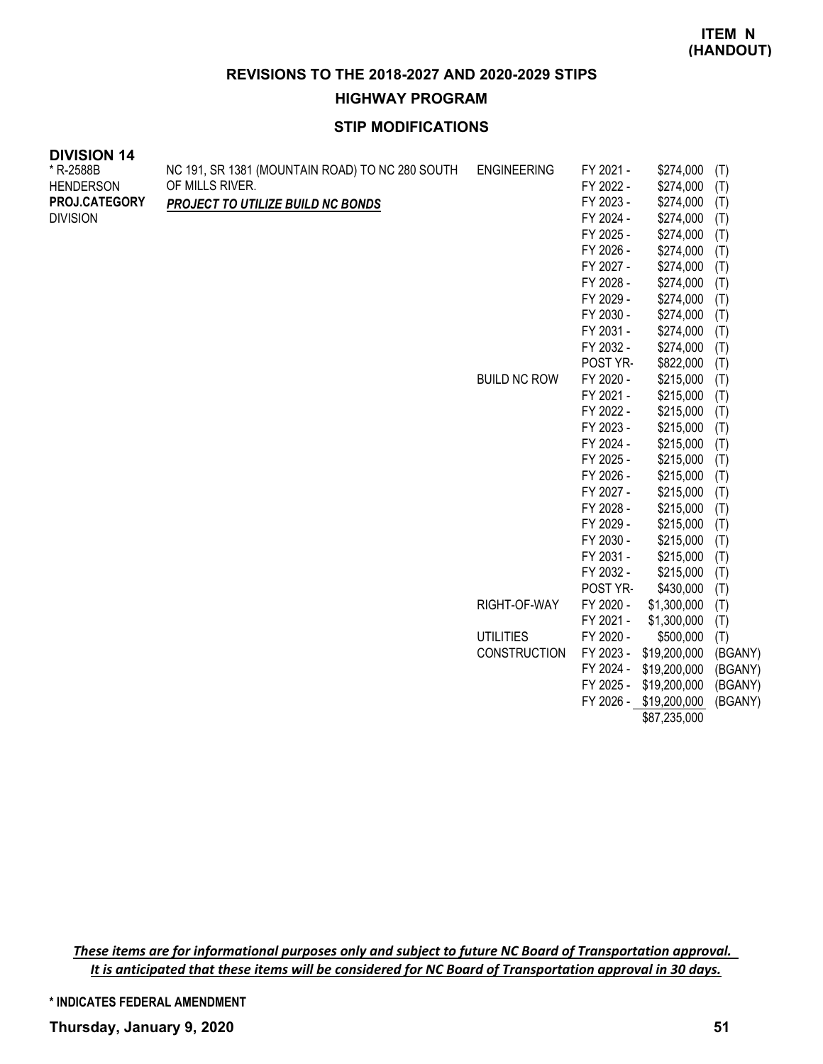### **HIGHWAY PROGRAM**

# **STIP MODIFICATIONS**

| <b>DIVISION 14</b> |                                                 |                     |           |              |         |
|--------------------|-------------------------------------------------|---------------------|-----------|--------------|---------|
| * R-2588B          | NC 191, SR 1381 (MOUNTAIN ROAD) TO NC 280 SOUTH | <b>ENGINEERING</b>  | FY 2021 - | \$274,000    | (T)     |
| <b>HENDERSON</b>   | OF MILLS RIVER.                                 |                     | FY 2022 - | \$274,000    | (T)     |
| PROJ.CATEGORY      | PROJECT TO UTILIZE BUILD NC BONDS               |                     | FY 2023 - | \$274,000    | (T)     |
| <b>DIVISION</b>    |                                                 |                     | FY 2024 - | \$274,000    | (T)     |
|                    |                                                 |                     | FY 2025 - | \$274,000    | (T)     |
|                    |                                                 |                     | FY 2026 - | \$274,000    | (T)     |
|                    |                                                 |                     | FY 2027 - | \$274,000    | (T)     |
|                    |                                                 |                     | FY 2028 - | \$274,000    | (T)     |
|                    |                                                 |                     | FY 2029 - | \$274,000    | (T)     |
|                    |                                                 |                     | FY 2030 - | \$274,000    | (T)     |
|                    |                                                 |                     | FY 2031 - | \$274,000    | (T)     |
|                    |                                                 |                     | FY 2032 - | \$274,000    | (T)     |
|                    |                                                 |                     | POST YR-  | \$822,000    | (T)     |
|                    |                                                 | <b>BUILD NC ROW</b> | FY 2020 - | \$215,000    | (T)     |
|                    |                                                 |                     | FY 2021 - | \$215,000    | (T)     |
|                    |                                                 |                     | FY 2022 - | \$215,000    | (T)     |
|                    |                                                 |                     | FY 2023 - | \$215,000    | (T)     |
|                    |                                                 |                     | FY 2024 - | \$215,000    | (T)     |
|                    |                                                 |                     | FY 2025 - | \$215,000    | (T)     |
|                    |                                                 |                     | FY 2026 - | \$215,000    | (T)     |
|                    |                                                 |                     | FY 2027 - | \$215,000    | (T)     |
|                    |                                                 |                     | FY 2028 - | \$215,000    | (T)     |
|                    |                                                 |                     | FY 2029 - | \$215,000    | (T)     |
|                    |                                                 |                     | FY 2030 - | \$215,000    | (T)     |
|                    |                                                 |                     | FY 2031 - | \$215,000    | (T)     |
|                    |                                                 |                     | FY 2032 - | \$215,000    | (T)     |
|                    |                                                 |                     | POST YR-  | \$430,000    | (T)     |
|                    |                                                 | RIGHT-OF-WAY        | FY 2020 - | \$1,300,000  | (T)     |
|                    |                                                 |                     | FY 2021 - | \$1,300,000  | (T)     |
|                    |                                                 | <b>UTILITIES</b>    | FY 2020 - | \$500,000    | (T)     |
|                    |                                                 | <b>CONSTRUCTION</b> | FY 2023 - | \$19,200,000 | (BGANY) |

*These items are for informational purposes only and subject to future NC Board of Transportation approval. It is anticipated that these items will be considered for NC Board of Transportation approval in 30 days.*

**\* INDICATES FEDERAL AMENDMENT**

FY 2024 - \$19,200,000 (BGANY) FY 2025 - \$19,200,000 (BGANY) FY 2026 - \$19,200,000 (BGANY) \$87,235,000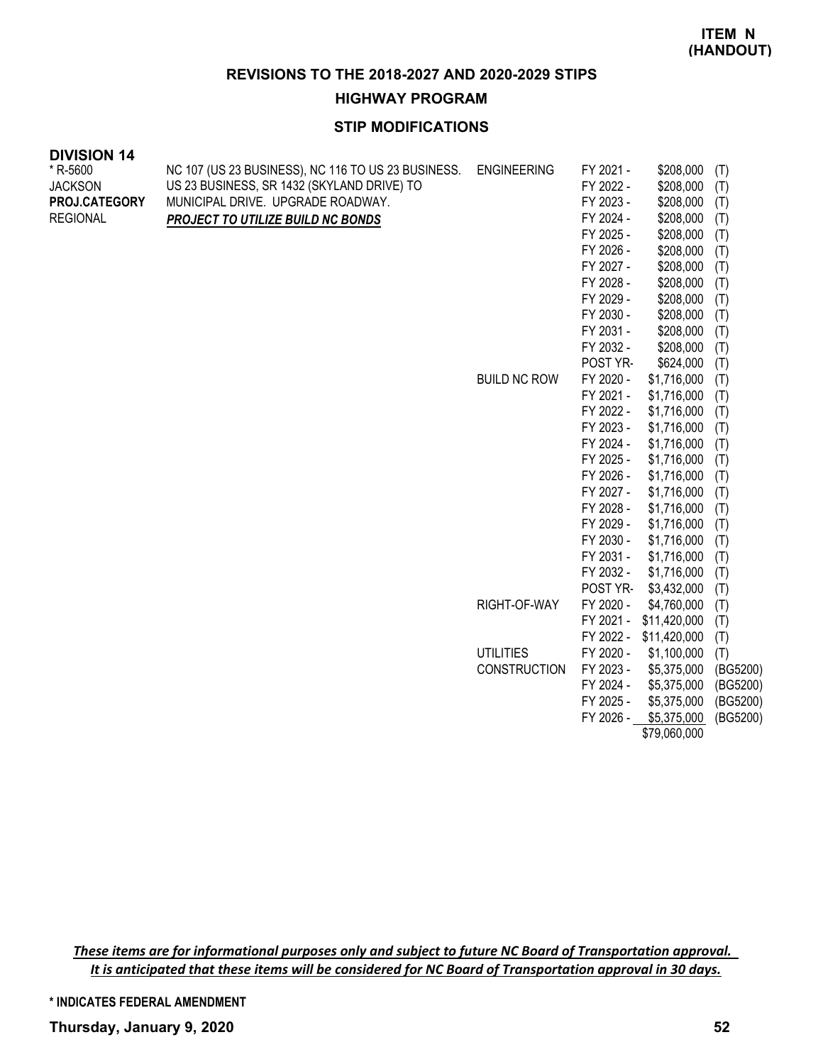**HIGHWAY PROGRAM**

# **STIP MODIFICATIONS**

| <b>DIVISION 14</b> |                                                    |                     |                        |                            |            |
|--------------------|----------------------------------------------------|---------------------|------------------------|----------------------------|------------|
| * R-5600           | NC 107 (US 23 BUSINESS), NC 116 TO US 23 BUSINESS. | <b>ENGINEERING</b>  | FY 2021 -              | \$208,000                  | (T)        |
| <b>JACKSON</b>     | US 23 BUSINESS, SR 1432 (SKYLAND DRIVE) TO         |                     | FY 2022 -              | \$208,000                  | (T)        |
| PROJ.CATEGORY      | MUNICIPAL DRIVE. UPGRADE ROADWAY.                  |                     | FY 2023 -              | \$208,000                  | (T)        |
| <b>REGIONAL</b>    | PROJECT TO UTILIZE BUILD NC BONDS                  |                     | FY 2024 -              | \$208,000                  | (T)        |
|                    |                                                    |                     | FY 2025 -              | \$208,000                  | (T)        |
|                    |                                                    |                     | FY 2026 -              | \$208,000                  | (T)        |
|                    |                                                    |                     | FY 2027 -              | \$208,000                  | (T)        |
|                    |                                                    |                     | FY 2028 -              | \$208,000                  | (T)        |
|                    |                                                    |                     | FY 2029 -              | \$208,000                  | (T)        |
|                    |                                                    |                     | FY 2030 -              | \$208,000                  | (T)        |
|                    |                                                    |                     | FY 2031 -              | \$208,000                  | (T)        |
|                    |                                                    |                     | FY 2032 -              | \$208,000                  | (T)        |
|                    |                                                    |                     | POST YR-               | \$624,000                  | (T)        |
|                    |                                                    | <b>BUILD NC ROW</b> | FY 2020 -              | \$1,716,000                | (T)        |
|                    |                                                    |                     | FY 2021 -              | \$1,716,000                | (T)        |
|                    |                                                    |                     | FY 2022 -              | \$1,716,000                | (T)        |
|                    |                                                    |                     | FY 2023 -              | \$1,716,000                | (T)        |
|                    |                                                    |                     | FY 2024 -              | \$1,716,000                | (T)        |
|                    |                                                    |                     | FY 2025 -              | \$1,716,000                | (T)        |
|                    |                                                    |                     | FY 2026 -              | \$1,716,000                | (T)        |
|                    |                                                    |                     | FY 2027 -              | \$1,716,000                | (T)        |
|                    |                                                    |                     | FY 2028 -              | \$1,716,000                | (T)        |
|                    |                                                    |                     | FY 2029 -              | \$1,716,000                | (T)        |
|                    |                                                    |                     | FY 2030 -<br>FY 2031 - | \$1,716,000                | (T)        |
|                    |                                                    |                     | FY 2032 -              | \$1,716,000<br>\$1,716,000 | (T)        |
|                    |                                                    |                     | POST YR-               | \$3,432,000                | (T)        |
|                    |                                                    | RIGHT-OF-WAY        | FY 2020 -              | \$4,760,000                | (T)        |
|                    |                                                    |                     | FY 2021 -              | \$11,420,000               | (T)<br>(T) |
|                    |                                                    |                     | FY 2022 -              | \$11,420,000               | (T)        |
|                    |                                                    | <b>UTILITIES</b>    | FY 2020 -              | \$1,100,000                | (T)        |
|                    |                                                    | <b>CONSTRUCTION</b> | FY 2023 -              | \$5,375,000                | (BG5200)   |

FY 2025 - \$5,375,000 (BG5200) FY 2026 - \$5,375,000 (BG5200) \$79,060,000

FY 2024 - \$5,375,000 (BG5200)

*These items are for informational purposes only and subject to future NC Board of Transportation approval. It is anticipated that these items will be considered for NC Board of Transportation approval in 30 days.*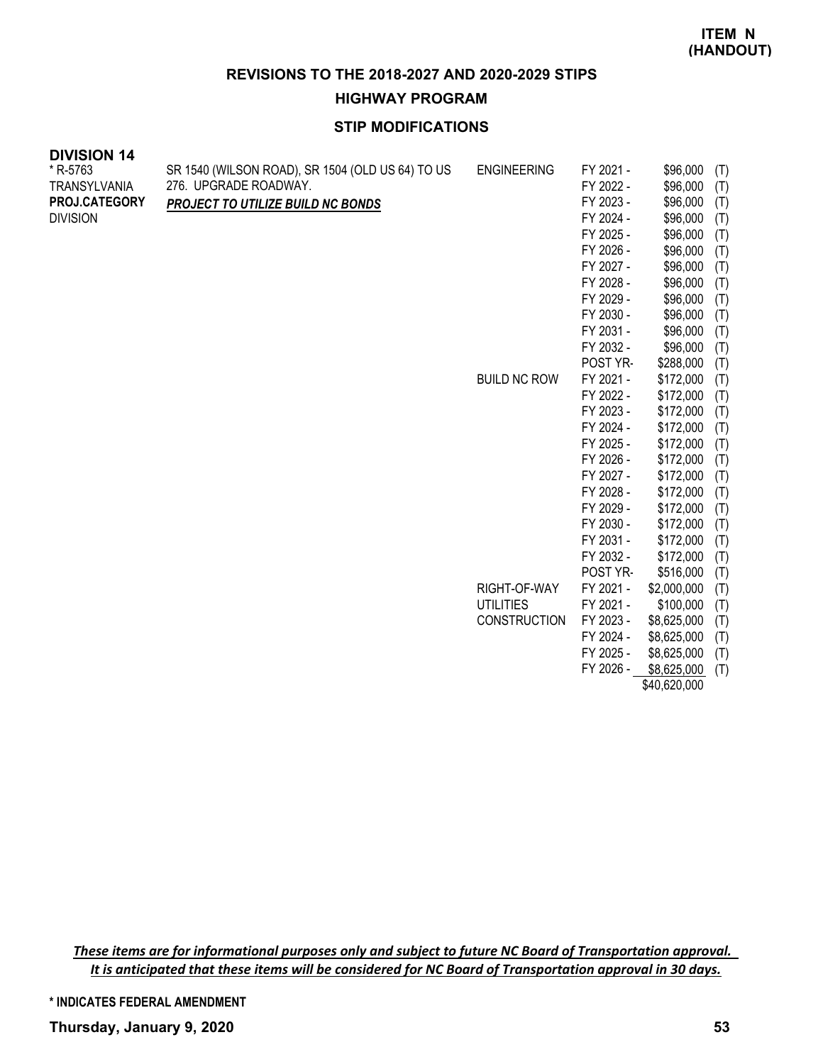#### **HIGHWAY PROGRAM**

# **STIP MODIFICATIONS**

| <b>DIVISION 14</b>  |                                                  |                     |           |             |     |
|---------------------|--------------------------------------------------|---------------------|-----------|-------------|-----|
| * R-5763            | SR 1540 (WILSON ROAD), SR 1504 (OLD US 64) TO US | <b>ENGINEERING</b>  | FY 2021 - | \$96,000    | (T) |
| <b>TRANSYLVANIA</b> | 276. UPGRADE ROADWAY.                            |                     | FY 2022 - | \$96,000    | (T) |
| PROJ.CATEGORY       | <b>PROJECT TO UTILIZE BUILD NC BONDS</b>         |                     | FY 2023 - | \$96,000    | (T) |
| <b>DIVISION</b>     |                                                  |                     | FY 2024 - | \$96,000    | (T) |
|                     |                                                  |                     | FY 2025 - | \$96,000    | (T) |
|                     |                                                  |                     | FY 2026 - | \$96,000    | (T) |
|                     |                                                  |                     | FY 2027 - | \$96,000    | (T) |
|                     |                                                  |                     | FY 2028 - | \$96,000    | (T) |
|                     |                                                  |                     | FY 2029 - | \$96,000    | (T) |
|                     |                                                  |                     | FY 2030 - | \$96,000    | (T) |
|                     |                                                  |                     | FY 2031 - | \$96,000    | (T) |
|                     |                                                  |                     | FY 2032 - | \$96,000    | (T) |
|                     |                                                  |                     | POST YR-  | \$288,000   | (T) |
|                     |                                                  | <b>BUILD NC ROW</b> | FY 2021 - | \$172,000   | (T) |
|                     |                                                  |                     | FY 2022 - | \$172,000   | (T) |
|                     |                                                  |                     | FY 2023 - | \$172,000   | (T) |
|                     |                                                  |                     | FY 2024 - | \$172,000   | (T) |
|                     |                                                  |                     | FY 2025 - | \$172,000   | (T) |
|                     |                                                  |                     | FY 2026 - | \$172,000   | (T) |
|                     |                                                  |                     | FY 2027 - | \$172,000   | (T) |
|                     |                                                  |                     | FY 2028 - | \$172,000   | (T) |
|                     |                                                  |                     | FY 2029 - | \$172,000   | (T) |
|                     |                                                  |                     | FY 2030 - | \$172,000   | (T) |
|                     |                                                  |                     | FY 2031 - | \$172,000   | (T) |
|                     |                                                  |                     | FY 2032 - | \$172,000   | (T) |
|                     |                                                  |                     | POST YR-  | \$516,000   | (T) |
|                     |                                                  | RIGHT-OF-WAY        | FY 2021 - | \$2,000,000 | (T) |
|                     |                                                  | <b>UTILITIES</b>    | FY 2021 - | \$100,000   | (T) |
|                     |                                                  | <b>CONSTRUCTION</b> | FY 2023 - | \$8,625,000 | (T) |
|                     |                                                  |                     | FY 2024 - | \$8,625,000 | (T) |

FY 2026 - \$8,625,000 (T) \$40,620,000

FY 2025 - \$8,625,000 (T)

*These items are for informational purposes only and subject to future NC Board of Transportation approval. It is anticipated that these items will be considered for NC Board of Transportation approval in 30 days.*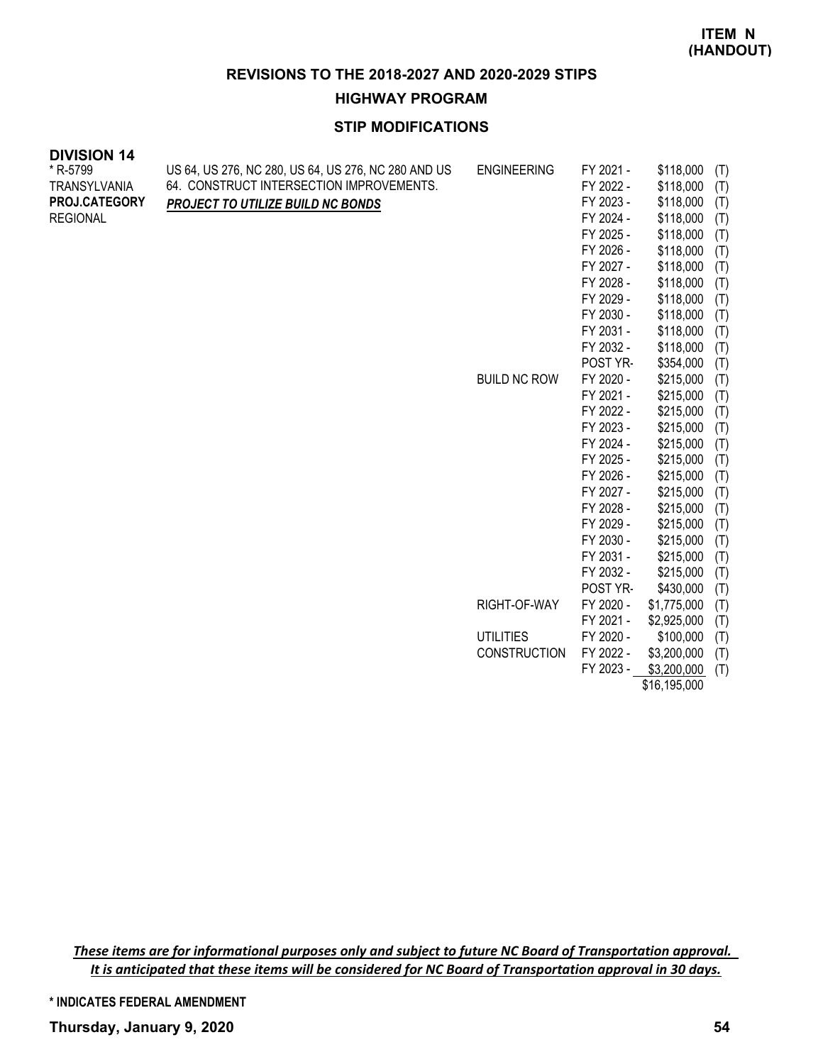**HIGHWAY PROGRAM**

# **STIP MODIFICATIONS**

| <b>DIVISION 14</b>  |                                                     |                     |           |           |     |
|---------------------|-----------------------------------------------------|---------------------|-----------|-----------|-----|
| * R-5799            | US 64, US 276, NC 280, US 64, US 276, NC 280 AND US | <b>ENGINEERING</b>  | FY 2021 - | \$118,000 | (T) |
| <b>TRANSYLVANIA</b> | 64. CONSTRUCT INTERSECTION IMPROVEMENTS.            |                     | FY 2022 - | \$118,000 | (T) |
| PROJ.CATEGORY       | PROJECT TO UTILIZE BUILD NC BONDS                   |                     | FY 2023 - | \$118,000 | (T) |
| <b>REGIONAL</b>     |                                                     |                     | FY 2024 - | \$118,000 | (T) |
|                     |                                                     |                     | FY 2025 - | \$118,000 | (T) |
|                     |                                                     |                     | FY 2026 - | \$118,000 | (T) |
|                     |                                                     |                     | FY 2027 - | \$118,000 | (T) |
|                     |                                                     |                     | FY 2028 - | \$118,000 | (T) |
|                     |                                                     |                     | FY 2029 - | \$118,000 | (T) |
|                     |                                                     |                     | FY 2030 - | \$118,000 | (T) |
|                     |                                                     |                     | FY 2031 - | \$118,000 | (T) |
|                     |                                                     |                     | FY 2032 - | \$118,000 | (T) |
|                     |                                                     |                     | POST YR-  | \$354,000 | (T) |
|                     |                                                     | <b>BUILD NC ROW</b> | FY 2020 - | \$215,000 | (T) |
|                     |                                                     |                     | FY 2021 - | \$215,000 | (T) |
|                     |                                                     |                     | FY 2022 - | \$215,000 | (T) |
|                     |                                                     |                     | FY 2023 - | \$215,000 | (T) |
|                     |                                                     |                     | FY 2024 - | \$215,000 | (T) |
|                     |                                                     |                     | FY 2025 - | \$215,000 | (T) |
|                     |                                                     |                     | FY 2026 - | \$215,000 | (T) |
|                     |                                                     |                     | FY 2027 - | \$215,000 | (T) |
|                     |                                                     |                     | FY 2028 - | \$215,000 | (T) |
|                     |                                                     |                     | FY 2029 - | \$215,000 | (T) |
|                     |                                                     |                     | FY 2030 - | \$215,000 | (T) |
|                     |                                                     |                     | FY 2031 - | \$215,000 | (T) |

*These items are for informational purposes only and subject to future NC Board of Transportation approval. It is anticipated that these items will be considered for NC Board of Transportation approval in 30 days.*

**\* INDICATES FEDERAL AMENDMENT**

FY 2032 - \$215,000 (T) POST YR- \$430,000 (T)

FY 2021 - \$2,925,000 (T)

FY 2023 - \$3,200,000 (T) \$16,195,000

RIGHT-OF-WAY FY 2020 - \$1,775,000 (T)

UTILITIES FY 2020 - \$100,000 (T) CONSTRUCTION FY 2022 - \$3,200,000 (T)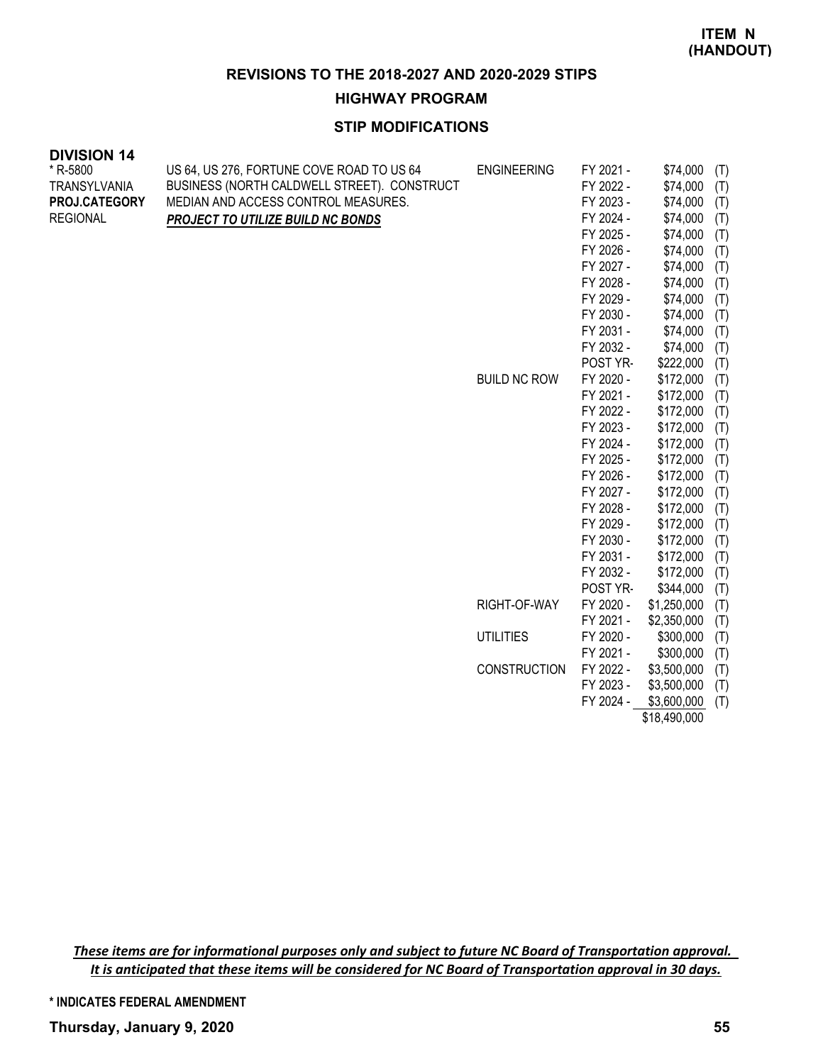#### **HIGHWAY PROGRAM**

# **STIP MODIFICATIONS**

| <b>DIVISION 14</b>   |                                             |                     |           |             |     |
|----------------------|---------------------------------------------|---------------------|-----------|-------------|-----|
| * R-5800             | US 64, US 276, FORTUNE COVE ROAD TO US 64   | <b>ENGINEERING</b>  | FY 2021 - | \$74,000    | (T) |
| <b>TRANSYLVANIA</b>  | BUSINESS (NORTH CALDWELL STREET). CONSTRUCT |                     | FY 2022 - | \$74,000    | (T) |
| <b>PROJ.CATEGORY</b> | MEDIAN AND ACCESS CONTROL MEASURES.         |                     | FY 2023 - | \$74,000    | (T) |
| <b>REGIONAL</b>      | PROJECT TO UTILIZE BUILD NC BONDS           |                     | FY 2024 - | \$74,000    | (T) |
|                      |                                             |                     | FY 2025 - | \$74,000    | (T) |
|                      |                                             |                     | FY 2026 - | \$74,000    | (T) |
|                      |                                             |                     | FY 2027 - | \$74,000    | (T) |
|                      |                                             |                     | FY 2028 - | \$74,000    | (T) |
|                      |                                             |                     | FY 2029 - | \$74,000    | (T) |
|                      |                                             |                     | FY 2030 - | \$74,000    | (T) |
|                      |                                             |                     | FY 2031 - | \$74,000    | (T) |
|                      |                                             |                     | FY 2032 - | \$74,000    | (T) |
|                      |                                             |                     | POST YR-  | \$222,000   | (T) |
|                      |                                             | <b>BUILD NC ROW</b> | FY 2020 - | \$172,000   | (T) |
|                      |                                             |                     | FY 2021 - | \$172,000   | (T) |
|                      |                                             |                     | FY 2022 - | \$172,000   | (T) |
|                      |                                             |                     | FY 2023 - | \$172,000   | (T) |
|                      |                                             |                     | FY 2024 - | \$172,000   | (T) |
|                      |                                             |                     | FY 2025 - | \$172,000   | (T) |
|                      |                                             |                     | FY 2026 - | \$172,000   | (T) |
|                      |                                             |                     | FY 2027 - | \$172,000   | (T) |
|                      |                                             |                     | FY 2028 - | \$172,000   | (T) |
|                      |                                             |                     | FY 2029 - | \$172,000   | (T) |
|                      |                                             |                     | FY 2030 - | \$172,000   | (T) |
|                      |                                             |                     | FY 2031 - | \$172,000   | (T) |
|                      |                                             |                     | FY 2032 - | \$172,000   | (T) |
|                      |                                             |                     | POST YR-  | \$344,000   | (T) |
|                      |                                             | RIGHT-OF-WAY        | FY 2020 - | \$1,250,000 | (T) |
|                      |                                             |                     | FY 2021 - | \$2,350,000 | (T) |
|                      |                                             | <b>UTILITIES</b>    | FY 2020 - | \$300,000   | (T) |

*These items are for informational purposes only and subject to future NC Board of Transportation approval. It is anticipated that these items will be considered for NC Board of Transportation approval in 30 days.*

**\* INDICATES FEDERAL AMENDMENT**

FY 2021 - \$300,000 (T)

FY 2023 - \$3,500,000 (T) FY 2024 - \$3,600,000 (T) \$18,490,000

CONSTRUCTION FY 2022 - \$3,500,000 (T)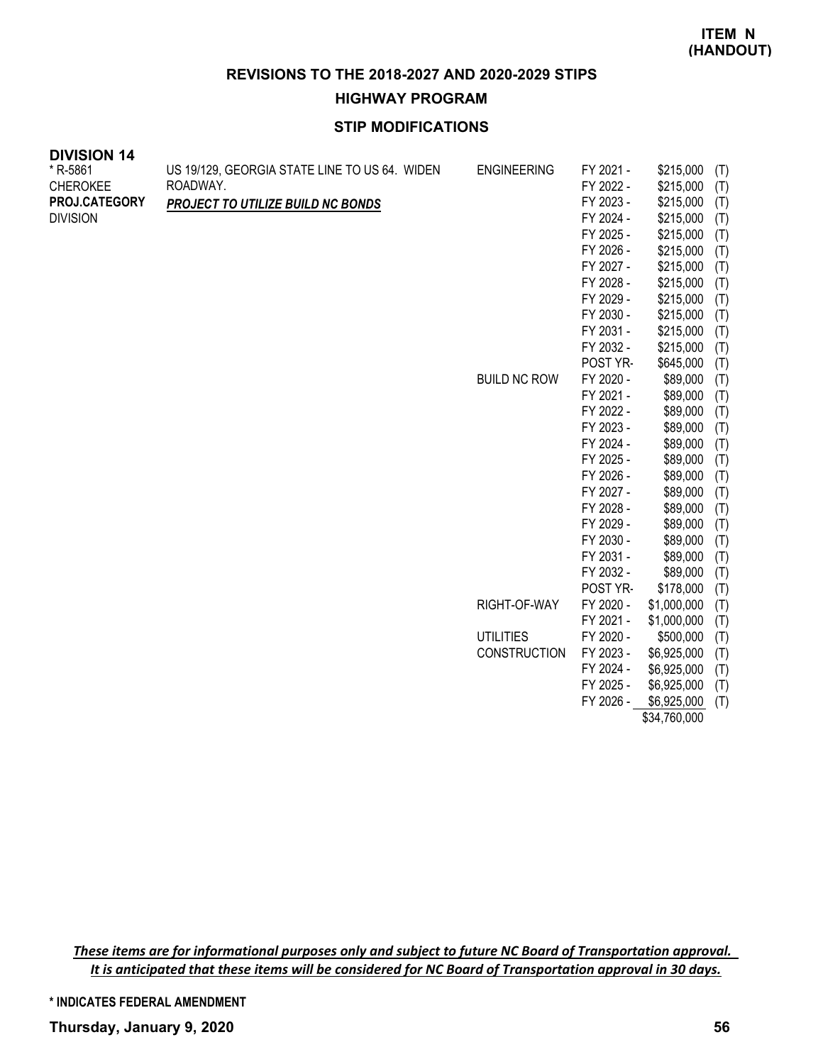**HIGHWAY PROGRAM**

# **STIP MODIFICATIONS**

| <b>DIVISION 14</b> |                                               |                     |           |             |     |
|--------------------|-----------------------------------------------|---------------------|-----------|-------------|-----|
| * R-5861           | US 19/129, GEORGIA STATE LINE TO US 64. WIDEN | <b>ENGINEERING</b>  | FY 2021 - | \$215,000   | (T) |
| <b>CHEROKEE</b>    | ROADWAY.                                      |                     | FY 2022 - | \$215,000   | (T) |
| PROJ.CATEGORY      | PROJECT TO UTILIZE BUILD NC BONDS             |                     | FY 2023 - | \$215,000   | (T) |
| <b>DIVISION</b>    |                                               |                     | FY 2024 - | \$215,000   | (T) |
|                    |                                               |                     | FY 2025 - | \$215,000   | (T) |
|                    |                                               |                     | FY 2026 - | \$215,000   | (T) |
|                    |                                               |                     | FY 2027 - | \$215,000   | (T) |
|                    |                                               |                     | FY 2028 - | \$215,000   | (T) |
|                    |                                               |                     | FY 2029 - | \$215,000   | (T) |
|                    |                                               |                     | FY 2030 - | \$215,000   | (T) |
|                    |                                               |                     | FY 2031 - | \$215,000   | (T) |
|                    |                                               |                     | FY 2032 - | \$215,000   | (T) |
|                    |                                               |                     | POST YR-  | \$645,000   | (T) |
|                    |                                               | <b>BUILD NC ROW</b> | FY 2020 - | \$89,000    | (T) |
|                    |                                               |                     | FY 2021 - | \$89,000    | (T) |
|                    |                                               |                     | FY 2022 - | \$89,000    | (T) |
|                    |                                               |                     | FY 2023 - | \$89,000    | (T) |
|                    |                                               |                     | FY 2024 - | \$89,000    | (T) |
|                    |                                               |                     | FY 2025 - | \$89,000    | (T) |
|                    |                                               |                     | FY 2026 - | \$89,000    | (T) |
|                    |                                               |                     | FY 2027 - | \$89,000    | (T) |
|                    |                                               |                     | FY 2028 - | \$89,000    | (T) |
|                    |                                               |                     | FY 2029 - | \$89,000    | (T) |
|                    |                                               |                     | FY 2030 - | \$89,000    | (T) |
|                    |                                               |                     | FY 2031 - | \$89,000    | (T) |
|                    |                                               |                     | FY 2032 - | \$89,000    | (T) |
|                    |                                               |                     | POST YR-  | \$178,000   | (T) |
|                    |                                               | RIGHT-OF-WAY        | FY 2020 - | \$1,000,000 | (T) |
|                    |                                               |                     | FY 2021 - | \$1,000,000 | (T) |
|                    |                                               | <b>UTILITIES</b>    | FY 2020 - | \$500,000   | (T) |
|                    |                                               | <b>CONSTRUCTION</b> | FY 2023 - | \$6,925,000 | (T) |
|                    |                                               |                     | FY 2024 - | \$6,925,000 | (T) |
|                    |                                               |                     | FY 2025 - | \$6,925,000 | (T) |

*These items are for informational purposes only and subject to future NC Board of Transportation approval. It is anticipated that these items will be considered for NC Board of Transportation approval in 30 days.*

FY 2026 - \$6,925,000 (T) \$34,760,000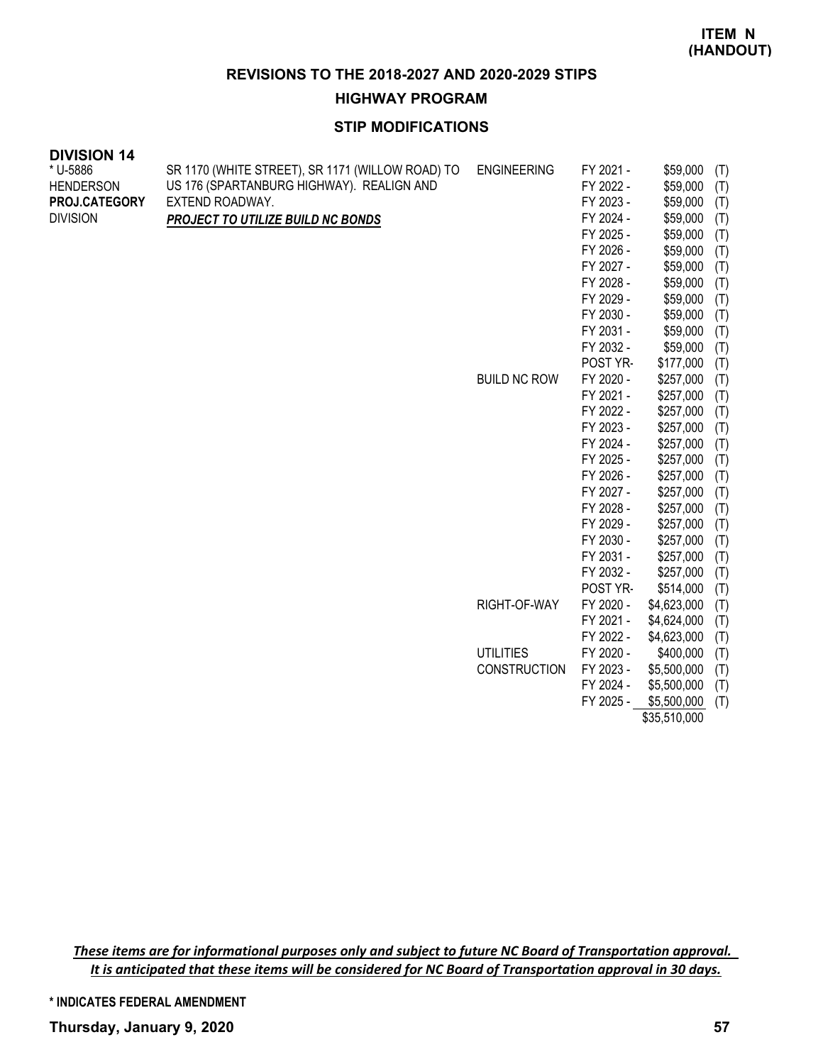#### **HIGHWAY PROGRAM**

# **STIP MODIFICATIONS**

| <b>DIVISION 14</b> |                                                  |                     |           |             |     |
|--------------------|--------------------------------------------------|---------------------|-----------|-------------|-----|
| * U-5886           | SR 1170 (WHITE STREET), SR 1171 (WILLOW ROAD) TO | <b>ENGINEERING</b>  | FY 2021 - | \$59,000    | (T) |
| <b>HENDERSON</b>   | US 176 (SPARTANBURG HIGHWAY). REALIGN AND        |                     | FY 2022 - | \$59,000    | (T) |
| PROJ.CATEGORY      | EXTEND ROADWAY.                                  |                     | FY 2023 - | \$59,000    | (T) |
| <b>DIVISION</b>    | PROJECT TO UTILIZE BUILD NC BONDS                |                     | FY 2024 - | \$59,000    | (T) |
|                    |                                                  |                     | FY 2025 - | \$59,000    | (T) |
|                    |                                                  |                     | FY 2026 - | \$59,000    | (T) |
|                    |                                                  |                     | FY 2027 - | \$59,000    | (T) |
|                    |                                                  |                     | FY 2028 - | \$59,000    | (T) |
|                    |                                                  |                     | FY 2029 - | \$59,000    | (T) |
|                    |                                                  |                     | FY 2030 - | \$59,000    | (T) |
|                    |                                                  |                     | FY 2031 - | \$59,000    | (T) |
|                    |                                                  |                     | FY 2032 - | \$59,000    | (T) |
|                    |                                                  |                     | POST YR-  | \$177,000   | (T) |
|                    |                                                  | <b>BUILD NC ROW</b> | FY 2020 - | \$257,000   | (T) |
|                    |                                                  |                     | FY 2021 - | \$257,000   | (T) |
|                    |                                                  |                     | FY 2022 - | \$257,000   | (T) |
|                    |                                                  |                     | FY 2023 - | \$257,000   | (T) |
|                    |                                                  |                     | FY 2024 - | \$257,000   | (T) |
|                    |                                                  |                     | FY 2025 - | \$257,000   | (T) |
|                    |                                                  |                     | FY 2026 - | \$257,000   | (T) |
|                    |                                                  |                     | FY 2027 - | \$257,000   | (T) |
|                    |                                                  |                     | FY 2028 - | \$257,000   | (T) |
|                    |                                                  |                     | FY 2029 - | \$257,000   | (T) |
|                    |                                                  |                     | FY 2030 - | \$257,000   | (T) |
|                    |                                                  |                     | FY 2031 - | \$257,000   | (T) |
|                    |                                                  |                     | FY 2032 - | \$257,000   | (T) |
|                    |                                                  |                     | POST YR-  | \$514,000   | (T) |
|                    |                                                  | RIGHT-OF-WAY        | FY 2020 - | \$4,623,000 | (T) |
|                    |                                                  |                     | FY 2021 - | \$4,624,000 | (T) |
|                    |                                                  |                     | FY 2022 - | \$4,623,000 | (T) |
|                    |                                                  | <b>UTILITIES</b>    | FY 2020 - | \$400,000   | (T) |
|                    |                                                  | <b>CONSTRUCTION</b> | FY 2023 - | \$5,500,000 | (T) |
|                    |                                                  |                     | FY 2024 - | \$5,500,000 | (T) |
|                    |                                                  |                     | FY 2025 - | \$5,500,000 | (T) |

\$35,510,000

*These items are for informational purposes only and subject to future NC Board of Transportation approval. It is anticipated that these items will be considered for NC Board of Transportation approval in 30 days.*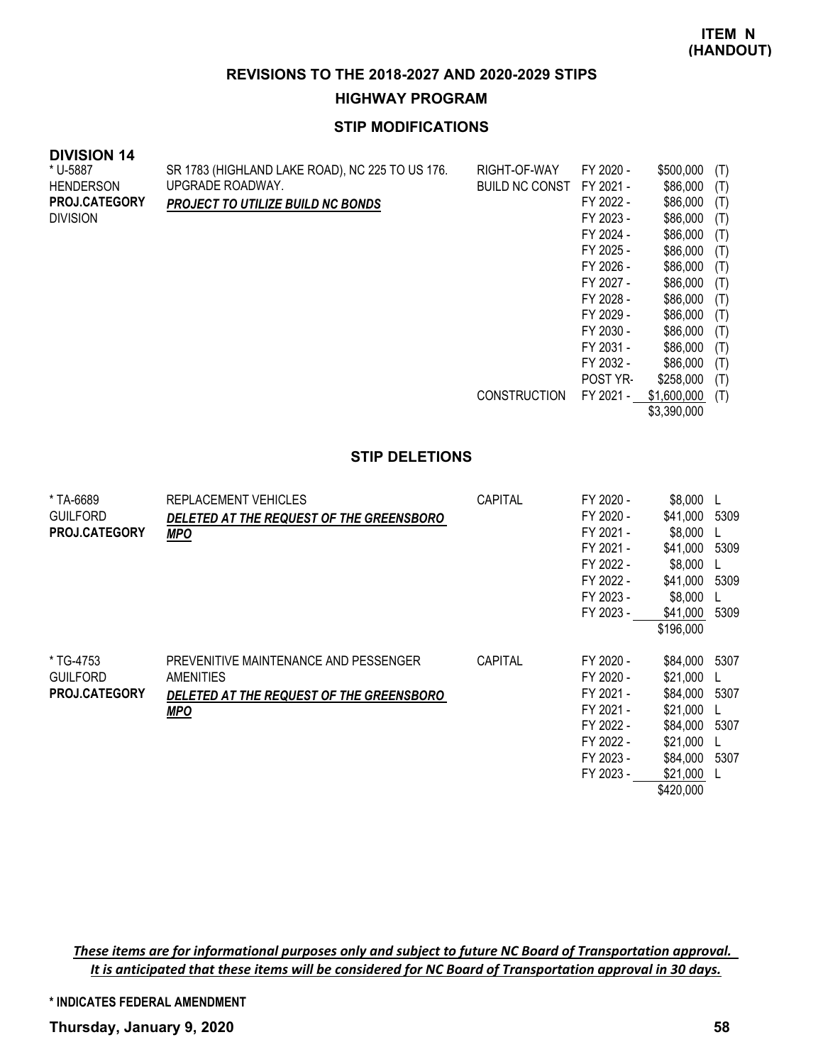# **HIGHWAY PROGRAM**

# **STIP MODIFICATIONS**

| <b>DIVISION 14</b>   |                                                 |                       |           |             |     |
|----------------------|-------------------------------------------------|-----------------------|-----------|-------------|-----|
| * U-5887             | SR 1783 (HIGHLAND LAKE ROAD), NC 225 TO US 176. | RIGHT-OF-WAY          | FY 2020 - | \$500,000   | (T) |
| <b>HENDERSON</b>     | UPGRADE ROADWAY.                                | <b>BUILD NC CONST</b> | FY 2021 - | \$86,000    | (T) |
| <b>PROJ.CATEGORY</b> | <b>PROJECT TO UTILIZE BUILD NC BONDS</b>        |                       | FY 2022 - | \$86,000    | (T) |
| <b>DIVISION</b>      |                                                 |                       | FY 2023 - | \$86,000    | (T) |
|                      |                                                 |                       | FY 2024 - | \$86,000    | (T) |
|                      |                                                 |                       | FY 2025 - | \$86,000    | (T) |
|                      |                                                 |                       | FY 2026 - | \$86,000    | (T) |
|                      |                                                 |                       | FY 2027 - | \$86,000    | (T) |
|                      |                                                 |                       | FY 2028 - | \$86,000    | (T) |
|                      |                                                 |                       | FY 2029 - | \$86,000    | (T) |
|                      |                                                 |                       | FY 2030 - | \$86,000    | (T) |
|                      |                                                 |                       | FY 2031 - | \$86,000    | (T) |
|                      |                                                 |                       | FY 2032 - | \$86,000    | (T) |
|                      |                                                 |                       | POST YR-  | \$258,000   | (T) |
|                      |                                                 | <b>CONSTRUCTION</b>   | FY 2021 - | \$1,600,000 | (T) |
|                      |                                                 |                       |           | \$3,390,000 |     |

#### **STIP DELETIONS**

| * TA-6689<br><b>GUILFORD</b><br><b>PROJ.CATEGORY</b> | REPLACEMENT VEHICLES<br>DELETED AT THE REQUEST OF THE GREENSBORO<br><b>MPO</b>                               | CAPITAL        | FY 2020 -<br>FY 2020 -<br>FY 2021 -<br>FY 2021 -<br>FY 2022 -<br>FY 2022 -<br>FY 2023 -<br>FY 2023 - | \$8,000<br>\$41.000<br>\$8,000<br>\$41.000<br>\$8,000<br>\$41,000<br>\$8,000<br>\$41,000                  | 5309<br>5309<br>5309<br>5309 |
|------------------------------------------------------|--------------------------------------------------------------------------------------------------------------|----------------|------------------------------------------------------------------------------------------------------|-----------------------------------------------------------------------------------------------------------|------------------------------|
|                                                      |                                                                                                              |                |                                                                                                      | \$196,000                                                                                                 |                              |
| * TG-4753<br><b>GUILFORD</b><br>PROJ.CATEGORY        | PREVENITIVE MAINTENANCE AND PESSENGER<br>AMENITIES<br>DELETED AT THE REQUEST OF THE GREENSBORO<br><b>MPO</b> | <b>CAPITAL</b> | FY 2020 -<br>FY 2020 -<br>FY 2021 -<br>FY 2021 -<br>FY 2022 -<br>FY 2022 -<br>FY 2023 -<br>FY 2023 - | \$84,000<br>\$21,000<br>\$84,000<br>\$21,000<br>\$84,000<br>\$21,000<br>\$84,000<br>\$21,000<br>\$420,000 | 5307<br>5307<br>5307<br>5307 |

*These items are for informational purposes only and subject to future NC Board of Transportation approval. It is anticipated that these items will be considered for NC Board of Transportation approval in 30 days.*

**\* INDICATES FEDERAL AMENDMENT**

**Thursday, January 9, 2020 58**